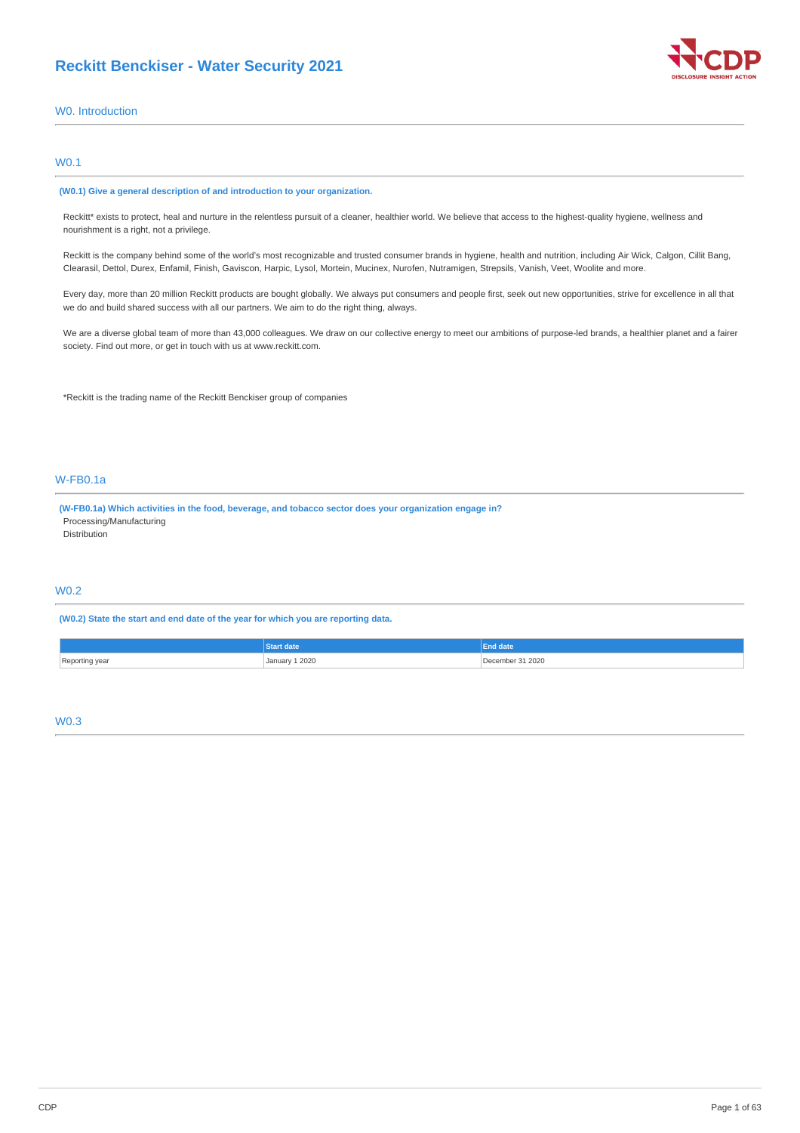

# W0. Introduction

# W0.1

#### **(W0.1) Give a general description of and introduction to your organization.**

Reckitt\* exists to protect, heal and nurture in the relentless pursuit of a cleaner, healthier world. We believe that access to the highest-quality hygiene, wellness and nourishment is a right, not a privilege.

Reckitt is the company behind some of the world's most recognizable and trusted consumer brands in hygiene, health and nutrition, including Air Wick, Calgon, Cillit Bang, Clearasil, Dettol, Durex, Enfamil, Finish, Gaviscon, Harpic, Lysol, Mortein, Mucinex, Nurofen, Nutramigen, Strepsils, Vanish, Veet, Woolite and more.

Every day, more than 20 million Reckitt products are bought globally. We always put consumers and people first, seek out new opportunities, strive for excellence in all that we do and build shared success with all our partners. We aim to do the right thing, always.

We are a diverse global team of more than 43,000 colleagues. We draw on our collective energy to meet our ambitions of purpose-led brands, a healthier planet and a fairer society. Find out more, or get in touch with us at www.reckitt.com.

\*Reckitt is the trading name of the Reckitt Benckiser group of companies

# W-FB0.1a

**(W-FB0.1a) Which activities in the food, beverage, and tobacco sector does your organization engage in?** Processing/Manufacturing Distribution

# W0.2

**(W0.2) State the start and end date of the year for which you are reporting data.**

| January 1 2020<br>. | 312020<br>December |
|---------------------|--------------------|

# W0.3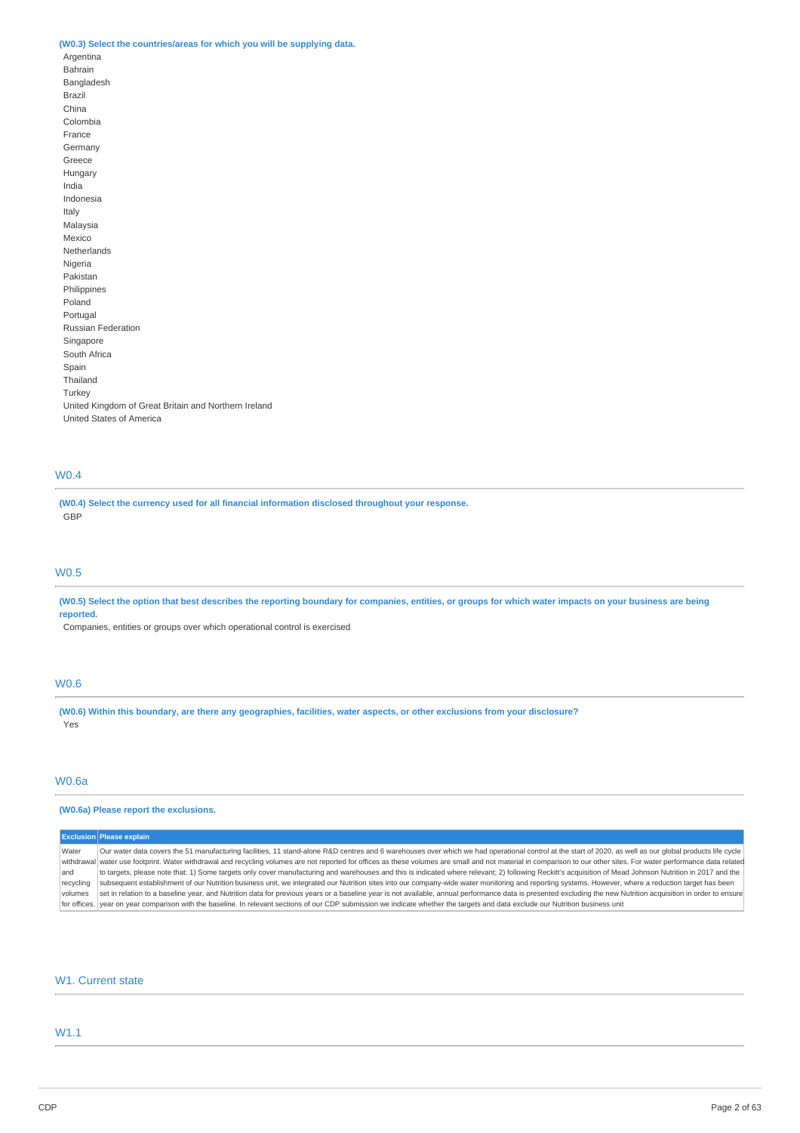# **(W0.3) Select the countries/areas for which you will be supplying data.**

Argentina Bahrain Bangladesh Brazil China Colombia France Germany Greece Hungary India Indonesia Italy Malaysia Mexico Netherlands Nigeria Pakistan Philippines Poland Portugal Russian Federation Singapore South Africa Spain Thailand Turkey United Kingdom of Great Britain and Northern Ireland United States of America

# W0.4

**(W0.4) Select the currency used for all financial information disclosed throughout your response.** GBP

# W0.5

(W0.5) Select the option that best describes the reporting boundary for companies, entities, or groups for which water impacts on your business are being **reported.**

Companies, entities or groups over which operational control is exercised

# W0.6

(W0.6) Within this boundary, are there any geographies, facilities, water aspects, or other exclusions from your disclosure? Yes

# W0.6a

# **(W0.6a) Please report the exclusions.**

|           | <b>Exclusion Please explain</b>                                                                                                                                                                                      |
|-----------|----------------------------------------------------------------------------------------------------------------------------------------------------------------------------------------------------------------------|
| Water     | Our water data covers the 51 manufacturing facilities, 11 stand-alone R&D centres and 6 warehouses over which we had operational control at the start of 2020, as well as our global products life cycle             |
|           | withdrawal water use footprint. Water withdrawal and recycling volumes are not reported for offices as these volumes are small and not material in comparison to our other sites. For water performance data related |
| land      | to targets, please note that: 1) Some targets only cover manufacturing and warehouses and this is indicated where relevant; 2) following Reckitt's acquisition of Mead Johnson Nutrition in 2017 and the             |
| recycling | subsequent establishment of our Nutrition business unit, we integrated our Nutrition sites into our company-wide water monitoring and reporting systems. However, where a reduction target has been                  |
| volumes   | set in relation to a baseline year, and Nutrition data for previous years or a baseline year is not available, annual performance data is presented excluding the new Nutrition acquisition in order to ensure       |
|           | for offices. year on year comparison with the baseline. In relevant sections of our CDP submission we indicate whether the targets and data exclude our Nutrition business unit                                      |

# W1. Current state

# W1.1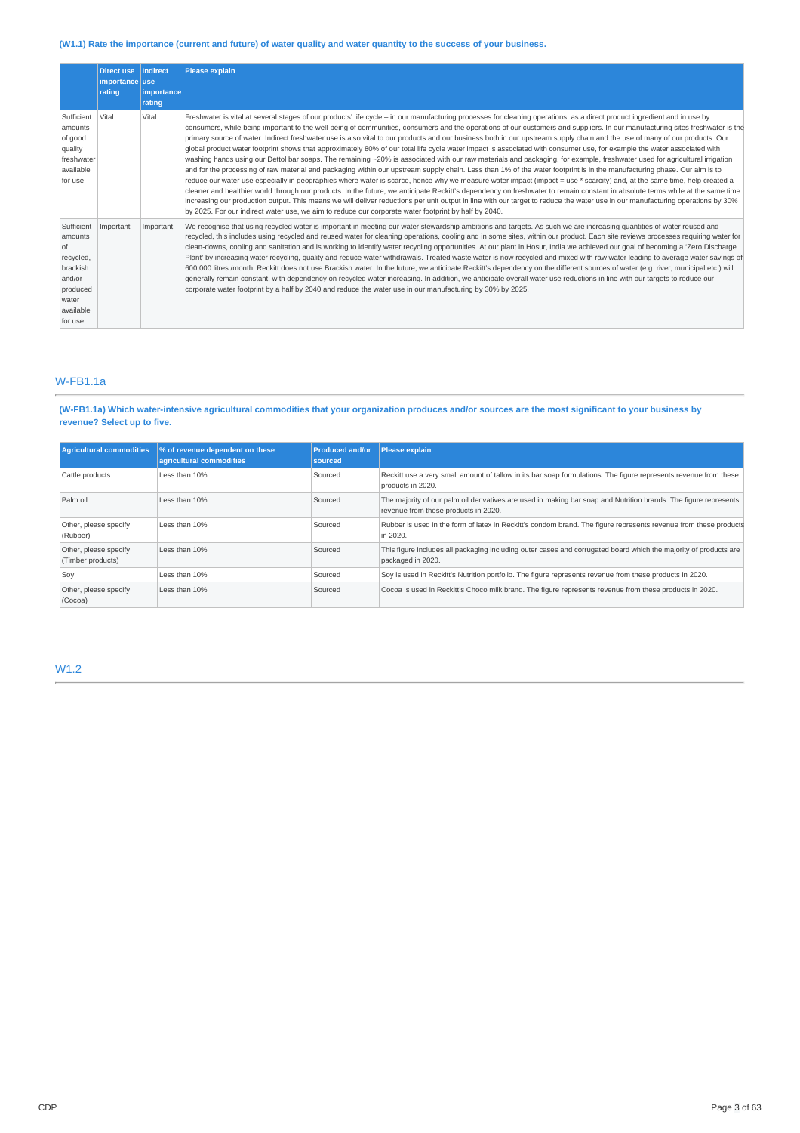# (W1.1) Rate the importance (current and future) of water quality and water quantity to the success of your business.

|                                                                                                               | <b>Direct use</b><br>importance use<br>rating | Indirect<br><b>limportance</b><br>rating | Please explain                                                                                                                                                                                                                                                                                                                                                                                                                                                                                                                                                                                                                                                                                                                                                                                                                                                                                                                                                                                                                                                                                                                                                                                                                                                                                                                                                                                                                                                                                                                                                                                                                                                                                                                  |
|---------------------------------------------------------------------------------------------------------------|-----------------------------------------------|------------------------------------------|---------------------------------------------------------------------------------------------------------------------------------------------------------------------------------------------------------------------------------------------------------------------------------------------------------------------------------------------------------------------------------------------------------------------------------------------------------------------------------------------------------------------------------------------------------------------------------------------------------------------------------------------------------------------------------------------------------------------------------------------------------------------------------------------------------------------------------------------------------------------------------------------------------------------------------------------------------------------------------------------------------------------------------------------------------------------------------------------------------------------------------------------------------------------------------------------------------------------------------------------------------------------------------------------------------------------------------------------------------------------------------------------------------------------------------------------------------------------------------------------------------------------------------------------------------------------------------------------------------------------------------------------------------------------------------------------------------------------------------|
| Sufficient<br>amounts<br>of good<br>quality<br>freshwater<br>available<br>for use                             | Vital                                         | Vital                                    | Freshwater is vital at several stages of our products' life cycle - in our manufacturing processes for cleaning operations, as a direct product ingredient and in use by<br>consumers, while being important to the well-being of communities, consumers and the operations of our customers and suppliers. In our manufacturing sites freshwater is the<br>primary source of water. Indirect freshwater use is also vital to our products and our business both in our upstream supply chain and the use of many of our products. Our<br>global product water footprint shows that approximately 80% of our total life cycle water impact is associated with consumer use, for example the water associated with<br>washing hands using our Dettol bar soaps. The remaining ~20% is associated with our raw materials and packaging, for example, freshwater used for agricultural irrigation<br>and for the processing of raw material and packaging within our upstream supply chain. Less than 1% of the water footprint is in the manufacturing phase. Our aim is to<br>reduce our water use especially in geographies where water is scarce, hence why we measure water impact (impact = use * scarcity) and, at the same time, help created a<br>cleaner and healthier world through our products. In the future, we anticipate Reckitt's dependency on freshwater to remain constant in absolute terms while at the same time<br>increasing our production output. This means we will deliver reductions per unit output in line with our target to reduce the water use in our manufacturing operations by 30%<br>by 2025. For our indirect water use, we aim to reduce our corporate water footprint by half by 2040. |
| Sufficient<br>amounts<br>l of<br>recycled,<br>brackish<br>and/or<br>produced<br>water<br>available<br>for use | Important                                     | Important                                | We recognise that using recycled water is important in meeting our water stewardship ambitions and targets. As such we are increasing quantities of water reused and<br>recycled, this includes using recycled and reused water for cleaning operations, cooling and in some sites, within our product. Each site reviews processes requiring water for<br>clean-downs, cooling and sanitation and is working to identify water recycling opportunities. At our plant in Hosur, India we achieved our goal of becoming a 'Zero Discharge<br>Plant' by increasing water recycling, quality and reduce water withdrawals. Treated waste water is now recycled and mixed with raw water leading to average water savings of<br>600,000 litres /month. Reckitt does not use Brackish water. In the future, we anticipate Reckitt's dependency on the different sources of water (e.g. river, municipal etc.) will<br>generally remain constant, with dependency on recycled water increasing. In addition, we anticipate overall water use reductions in line with our targets to reduce our<br>corporate water footprint by a half by 2040 and reduce the water use in our manufacturing by 30% by 2025.                                                                                                                                                                                                                                                                                                                                                                                                                                                                                                                           |

# W-FB1.1a

(W-FB1.1a) Which water-intensive agricultural commodities that your organization produces and/or sources are the most significant to your business by **revenue? Select up to five.**

| <b>Agricultural commodities</b>            | % of revenue dependent on these<br>agricultural commodities | <b>Produced and/or</b><br>sourced | Please explain                                                                                                                                           |
|--------------------------------------------|-------------------------------------------------------------|-----------------------------------|----------------------------------------------------------------------------------------------------------------------------------------------------------|
| Cattle products                            | Less than 10%                                               | Sourced                           | Reckitt use a very small amount of tallow in its bar soap formulations. The figure represents revenue from these<br>products in 2020.                    |
| Palm oil                                   | Less than 10%                                               | Sourced                           | The majority of our palm oil derivatives are used in making bar soap and Nutrition brands. The figure represents<br>revenue from these products in 2020. |
| Other, please specify<br>(Rubber)          | Less than 10%                                               | Sourced                           | Rubber is used in the form of latex in Reckitt's condom brand. The figure represents revenue from these products<br>in 2020.                             |
| Other, please specify<br>(Timber products) | Less than 10%                                               | Sourced                           | This figure includes all packaging including outer cases and corrugated board which the majority of products are<br>packaged in 2020.                    |
| Soy                                        | Less than 10%                                               | Sourced                           | Soy is used in Reckitt's Nutrition portfolio. The figure represents revenue from these products in 2020.                                                 |
| Other, please specify<br>(Cocoa)           | Less than 10%                                               | Sourced                           | Cocoa is used in Reckitt's Choco milk brand. The figure represents revenue from these products in 2020.                                                  |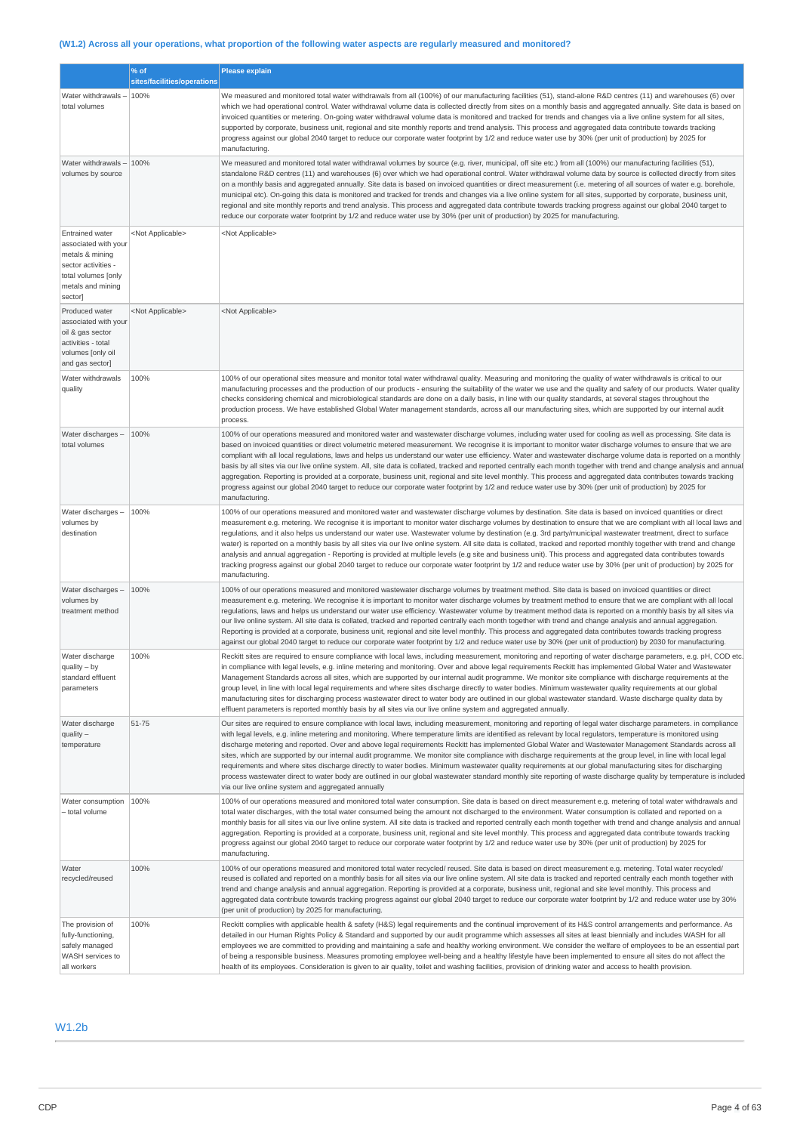# (W1.2) Across all your operations, what proportion of the following water aspects are regularly measured and monitored?

|                                                                                                                                                 | % of                        | <b>Please explain</b>                                                                                                                                                                                                                                                                                                                                                                                                                                                                                                                                                                                                                                                                                                                                                                                                                                                                                                                                                                                                                                      |
|-------------------------------------------------------------------------------------------------------------------------------------------------|-----------------------------|------------------------------------------------------------------------------------------------------------------------------------------------------------------------------------------------------------------------------------------------------------------------------------------------------------------------------------------------------------------------------------------------------------------------------------------------------------------------------------------------------------------------------------------------------------------------------------------------------------------------------------------------------------------------------------------------------------------------------------------------------------------------------------------------------------------------------------------------------------------------------------------------------------------------------------------------------------------------------------------------------------------------------------------------------------|
|                                                                                                                                                 | sites/facilities/operations |                                                                                                                                                                                                                                                                                                                                                                                                                                                                                                                                                                                                                                                                                                                                                                                                                                                                                                                                                                                                                                                            |
| Water withdrawals -<br>total volumes                                                                                                            | 100%                        | We measured and monitored total water withdrawals from all (100%) of our manufacturing facilities (51), stand-alone R&D centres (11) and warehouses (6) over<br>which we had operational control. Water withdrawal volume data is collected directly from sites on a monthly basis and aggregated annually. Site data is based on<br>invoiced quantities or metering. On-going water withdrawal volume data is monitored and tracked for trends and changes via a live online system for all sites,<br>supported by corporate, business unit, regional and site monthly reports and trend analysis. This process and aggregated data contribute towards tracking<br>progress against our global 2040 target to reduce our corporate water footprint by 1/2 and reduce water use by 30% (per unit of production) by 2025 for<br>manufacturing.                                                                                                                                                                                                              |
| Water withdrawals<br>volumes by source                                                                                                          | 100%                        | We measured and monitored total water withdrawal volumes by source (e.g. river, municipal, off site etc.) from all (100%) our manufacturing facilities (51),<br>standalone R&D centres (11) and warehouses (6) over which we had operational control. Water withdrawal volume data by source is collected directly from sites<br>on a monthly basis and aggregated annually. Site data is based on invoiced quantities or direct measurement (i.e. metering of all sources of water e.g. borehole,<br>municipal etc). On-going this data is monitored and tracked for trends and changes via a live online system for all sites, supported by corporate, business unit,<br>regional and site monthly reports and trend analysis. This process and aggregated data contribute towards tracking progress against our global 2040 target to<br>reduce our corporate water footprint by 1/2 and reduce water use by 30% (per unit of production) by 2025 for manufacturing.                                                                                    |
| <b>Entrained water</b><br>associated with your<br>metals & mining<br>sector activities -<br>total volumes [only<br>metals and mining<br>sector] | <not applicable=""></not>   | <not applicable=""></not>                                                                                                                                                                                                                                                                                                                                                                                                                                                                                                                                                                                                                                                                                                                                                                                                                                                                                                                                                                                                                                  |
| Produced water<br>associated with your<br>oil & gas sector<br>activities - total<br>volumes [only oil<br>and gas sector]                        | <not applicable=""></not>   | <not applicable=""></not>                                                                                                                                                                                                                                                                                                                                                                                                                                                                                                                                                                                                                                                                                                                                                                                                                                                                                                                                                                                                                                  |
| Water withdrawals<br>quality                                                                                                                    | 100%                        | 100% of our operational sites measure and monitor total water withdrawal quality. Measuring and monitoring the quality of water withdrawals is critical to our<br>manufacturing processes and the production of our products - ensuring the suitability of the water we use and the quality and safety of our products. Water quality<br>checks considering chemical and microbiological standards are done on a daily basis, in line with our quality standards, at several stages throughout the<br>production process. We have established Global Water management standards, across all our manufacturing sites, which are supported by our internal audit<br>process.                                                                                                                                                                                                                                                                                                                                                                                 |
| Water discharges -<br>total volumes                                                                                                             | 100%                        | 100% of our operations measured and monitored water and wastewater discharge volumes, including water used for cooling as well as processing. Site data is<br>based on invoiced quantities or direct volumetric metered measurement. We recognise it is important to monitor water discharge volumes to ensure that we are<br>compliant with all local regulations, laws and helps us understand our water use efficiency. Water and wastewater discharge volume data is reported on a monthly<br>basis by all sites via our live online system. All, site data is collated, tracked and reported centrally each month together with trend and change analysis and annual<br>aggregation. Reporting is provided at a corporate, business unit, regional and site level monthly. This process and aggregated data contributes towards tracking<br>progress against our global 2040 target to reduce our corporate water footprint by 1/2 and reduce water use by 30% (per unit of production) by 2025 for<br>manufacturing.                                 |
| Water discharges -<br>volumes by<br>destination                                                                                                 | 100%                        | 100% of our operations measured and monitored water and wastewater discharge volumes by destination. Site data is based on invoiced quantities or direct<br>measurement e.g. metering. We recognise it is important to monitor water discharge volumes by destination to ensure that we are compliant with all local laws and<br>regulations, and it also helps us understand our water use. Wastewater volume by destination (e.g. 3rd party/municipal wastewater treatment, direct to surface<br>water) is reported on a monthly basis by all sites via our live online system. All site data is collated, tracked and reported monthly together with trend and change<br>analysis and annual aggregation - Reporting is provided at multiple levels (e.g site and business unit). This process and aggregated data contributes towards<br>tracking progress against our global 2040 target to reduce our corporate water footprint by 1/2 and reduce water use by 30% (per unit of production) by 2025 for<br>manufacturing.                            |
| Water discharges -<br>volumes by<br>treatment method                                                                                            | 100%                        | 100% of our operations measured and monitored wastewater discharge volumes by treatment method. Site data is based on invoiced quantities or direct<br>measurement e.g. metering. We recognise it is important to monitor water discharge volumes by treatment method to ensure that we are compliant with all local<br>regulations, laws and helps us understand our water use efficiency. Wastewater volume by treatment method data is reported on a monthly basis by all sites via<br>our live online system. All site data is collated, tracked and reported centrally each month together with trend and change analysis and annual aggregation.<br>Reporting is provided at a corporate, business unit, regional and site level monthly. This process and aggregated data contributes towards tracking progress<br>against our global 2040 target to reduce our corporate water footprint by 1/2 and reduce water use by 30% (per unit of production) by 2030 for manufacturing.                                                                    |
| Water discharge<br>$quality - by$<br>standard effluent<br>parameters                                                                            | 100%                        | Reckitt sites are required to ensure compliance with local laws, including measurement, monitoring and reporting of water discharge parameters, e.g. pH, COD etc.<br>in compliance with legal levels, e.g. inline metering and monitoring. Over and above legal requirements Reckitt has implemented Global Water and Wastewater<br>Management Standards across all sites, which are supported by our internal audit programme. We monitor site compliance with discharge requirements at the<br>group level, in line with local legal requirements and where sites discharge directly to water bodies. Minimum wastewater quality requirements at our global<br>manufacturing sites for discharging process wastewater direct to water body are outlined in our global wastewater standard. Waste discharge quality data by<br>effluent parameters is reported monthly basis by all sites via our live online system and aggregated annually.                                                                                                             |
| Water discharge<br>$quality -$<br>temperature                                                                                                   | 51-75                       | Our sites are required to ensure compliance with local laws, including measurement, monitoring and reporting of legal water discharge parameters. in compliance<br>with legal levels, e.g. inline metering and monitoring. Where temperature limits are identified as relevant by local regulators, temperature is monitored using<br>discharge metering and reported. Over and above legal requirements Reckitt has implemented Global Water and Wastewater Management Standards across all<br>sites, which are supported by our internal audit programme. We monitor site compliance with discharge requirements at the group level, in line with local legal<br>requirements and where sites discharge directly to water bodies. Minimum wastewater quality requirements at our global manufacturing sites for discharging<br>process wastewater direct to water body are outlined in our global wastewater standard monthly site reporting of waste discharge quality by temperature is included<br>via our live online system and aggregated annually |
| Water consumption<br>- total volume                                                                                                             | 100%                        | 100% of our operations measured and monitored total water consumption. Site data is based on direct measurement e.g. metering of total water withdrawals and<br>total water discharges, with the total water consumed being the amount not discharged to the environment. Water consumption is collated and reported on a<br>monthly basis for all sites via our live online system. All site data is tracked and reported centrally each month together with trend and change analysis and annual<br>aggregation. Reporting is provided at a corporate, business unit, regional and site level monthly. This process and aggregated data contribute towards tracking<br>progress against our global 2040 target to reduce our corporate water footprint by 1/2 and reduce water use by 30% (per unit of production) by 2025 for<br>manufacturing.                                                                                                                                                                                                         |
| Water<br>recycled/reused                                                                                                                        | 100%                        | 100% of our operations measured and monitored total water recycled/ reused. Site data is based on direct measurement e.g. metering. Total water recycled/<br>reused is collated and reported on a monthly basis for all sites via our live online system. All site data is tracked and reported centrally each month together with<br>trend and change analysis and annual aggregation. Reporting is provided at a corporate, business unit, regional and site level monthly. This process and<br>aggregated data contribute towards tracking progress against our global 2040 target to reduce our corporate water footprint by 1/2 and reduce water use by 30%<br>(per unit of production) by 2025 for manufacturing.                                                                                                                                                                                                                                                                                                                                    |
| The provision of<br>fully-functioning,<br>safely managed<br>WASH services to<br>all workers                                                     | 100%                        | Reckitt complies with applicable health & safety (H&S) legal requirements and the continual improvement of its H&S control arrangements and performance. As<br>detailed in our Human Rights Policy & Standard and supported by our audit programme which assesses all sites at least biennially and includes WASH for all<br>employees we are committed to providing and maintaining a safe and healthy working environment. We consider the welfare of employees to be an essential part<br>of being a responsible business. Measures promoting employee well-being and a healthy lifestyle have been implemented to ensure all sites do not affect the<br>health of its employees. Consideration is given to air quality, toilet and washing facilities, provision of drinking water and access to health provision.                                                                                                                                                                                                                                     |

# W1.2b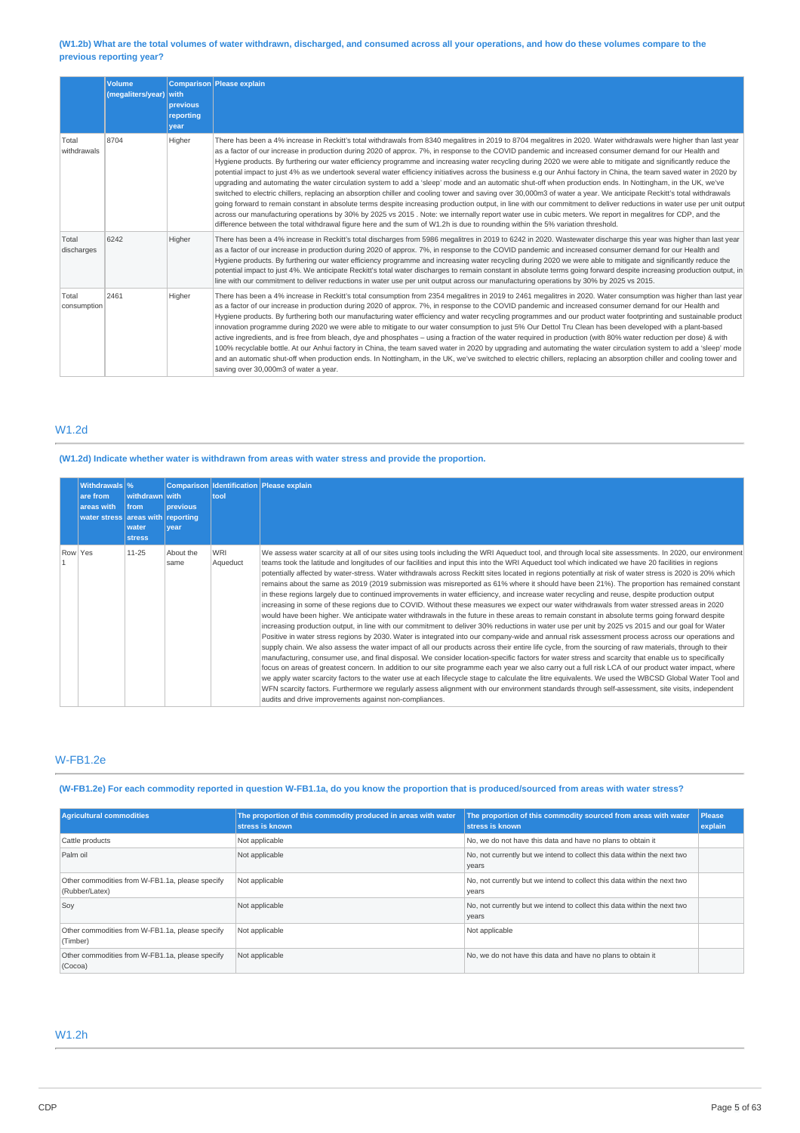# (W1.2b) What are the total volumes of water withdrawn, discharged, and consumed across all your operations, and how do these volumes compare to the **previous reporting year?**

|                      | <b>Volume</b><br>(megaliters/year) with | previous<br>reporting<br>year | Comparison Please explain                                                                                                                                                                                                                                                                                                                                                                                                                                                                                                                                                                                                                                                                                                                                                                                                                                                                                                                                                                                                                                                                                                                                                                                                                                                                                                                                                                                                                                                                 |
|----------------------|-----------------------------------------|-------------------------------|-------------------------------------------------------------------------------------------------------------------------------------------------------------------------------------------------------------------------------------------------------------------------------------------------------------------------------------------------------------------------------------------------------------------------------------------------------------------------------------------------------------------------------------------------------------------------------------------------------------------------------------------------------------------------------------------------------------------------------------------------------------------------------------------------------------------------------------------------------------------------------------------------------------------------------------------------------------------------------------------------------------------------------------------------------------------------------------------------------------------------------------------------------------------------------------------------------------------------------------------------------------------------------------------------------------------------------------------------------------------------------------------------------------------------------------------------------------------------------------------|
| Total<br>withdrawals | 8704                                    | Higher                        | There has been a 4% increase in Reckitt's total withdrawals from 8340 megalitres in 2019 to 8704 megalitres in 2020. Water withdrawals were higher than last year<br>as a factor of our increase in production during 2020 of approx. 7%, in response to the COVID pandemic and increased consumer demand for our Health and<br>Hygiene products. By furthering our water efficiency programme and increasing water recycling during 2020 we were able to mitigate and significantly reduce the<br>potential impact to just 4% as we undertook several water efficiency initiatives across the business e.g our Anhui factory in China, the team saved water in 2020 by<br>upgrading and automating the water circulation system to add a 'sleep' mode and an automatic shut-off when production ends. In Nottingham, in the UK, we've<br>switched to electric chillers, replacing an absorption chiller and cooling tower and saving over 30,000m3 of water a year. We anticipate Reckitt's total withdrawals<br>going forward to remain constant in absolute terms despite increasing production output, in line with our commitment to deliver reductions in water use per unit output<br>across our manufacturing operations by 30% by 2025 vs 2015. Note: we internally report water use in cubic meters. We report in megalitres for CDP, and the<br>difference between the total withdrawal figure here and the sum of W1.2h is due to rounding within the 5% variation threshold. |
| Total<br>discharges  | 6242                                    | Higher                        | There has been a 4% increase in Reckitt's total discharges from 5986 megalitres in 2019 to 6242 in 2020. Wastewater discharge this year was higher than last year<br>as a factor of our increase in production during 2020 of approx. 7%, in response to the COVID pandemic and increased consumer demand for our Health and<br>Hygiene products. By furthering our water efficiency programme and increasing water recycling during 2020 we were able to mitigate and significantly reduce the<br>potential impact to just 4%. We anticipate Reckitt's total water discharges to remain constant in absolute terms going forward despite increasing production output, in<br>line with our commitment to deliver reductions in water use per unit output across our manufacturing operations by 30% by 2025 vs 2015.                                                                                                                                                                                                                                                                                                                                                                                                                                                                                                                                                                                                                                                                     |
| Total<br>consumption | 2461                                    | Higher                        | There has been a 4% increase in Reckitt's total consumption from 2354 megalitres in 2019 to 2461 megalitres in 2020. Water consumption was higher than last year<br>as a factor of our increase in production during 2020 of approx. 7%, in response to the COVID pandemic and increased consumer demand for our Health and<br>Hygiene products. By furthering both our manufacturing water efficiency and water recycling programmes and our product water footprinting and sustainable product<br>innovation programme during 2020 we were able to mitigate to our water consumption to just 5% Our Dettol Tru Clean has been developed with a plant-based<br>active ingredients, and is free from bleach, dye and phosphates – using a fraction of the water required in production (with 80% water reduction per dose) & with<br>100% recyclable bottle. At our Anhui factory in China, the team saved water in 2020 by upgrading and automating the water circulation system to add a 'sleep' mode<br>and an automatic shut-off when production ends. In Nottingham, in the UK, we've switched to electric chillers, replacing an absorption chiller and cooling tower and<br>saving over 30,000m3 of water a year.                                                                                                                                                                                                                                                                  |

# W1.2d

# **(W1.2d) Indicate whether water is withdrawn from areas with water stress and provide the proportion.**

| Withdrawals \%<br>are from<br>areas with<br>water stress areas with reporting | withdrawn with<br><b>from</b><br>water<br><b>stress</b> | <b>previous</b><br>vear | tool                   | Comparison Identification Please explain                                                                                                                                                                                                                                                                                                                                                                                                                                                                                                                                                                                                                                                                                                                                                                                                                                                                                                                                                                                                                                                                                                                                                                                                                                                                                                                                                                                                                                                                                                                                                                                                                                                                                                                                                                                                                                                                                                                                                                                                                                                                                                                                                                                          |
|-------------------------------------------------------------------------------|---------------------------------------------------------|-------------------------|------------------------|-----------------------------------------------------------------------------------------------------------------------------------------------------------------------------------------------------------------------------------------------------------------------------------------------------------------------------------------------------------------------------------------------------------------------------------------------------------------------------------------------------------------------------------------------------------------------------------------------------------------------------------------------------------------------------------------------------------------------------------------------------------------------------------------------------------------------------------------------------------------------------------------------------------------------------------------------------------------------------------------------------------------------------------------------------------------------------------------------------------------------------------------------------------------------------------------------------------------------------------------------------------------------------------------------------------------------------------------------------------------------------------------------------------------------------------------------------------------------------------------------------------------------------------------------------------------------------------------------------------------------------------------------------------------------------------------------------------------------------------------------------------------------------------------------------------------------------------------------------------------------------------------------------------------------------------------------------------------------------------------------------------------------------------------------------------------------------------------------------------------------------------------------------------------------------------------------------------------------------------|
| Row Yes                                                                       | $11 - 25$                                               | About the<br>same       | <b>WRI</b><br>Aqueduct | We assess water scarcity at all of our sites using tools including the WRI Aqueduct tool, and through local site assessments. In 2020, our environment<br>teams took the latitude and longitudes of our facilities and input this into the WRI Aqueduct tool which indicated we have 20 facilities in regions<br>potentially affected by water-stress. Water withdrawals across Reckitt sites located in regions potentially at risk of water stress is 2020 is 20% which<br>remains about the same as 2019 (2019 submission was misreported as 61% where it should have been 21%). The proportion has remained constant<br>in these regions largely due to continued improvements in water efficiency, and increase water recycling and reuse, despite production output<br>increasing in some of these regions due to COVID. Without these measures we expect our water withdrawals from water stressed areas in 2020<br>would have been higher. We anticipate water withdrawals in the future in these areas to remain constant in absolute terms going forward despite<br>increasing production output, in line with our commitment to deliver 30% reductions in water use per unit by 2025 vs 2015 and our goal for Water<br>Positive in water stress regions by 2030. Water is integrated into our company-wide and annual risk assessment process across our operations and<br>supply chain. We also assess the water impact of all our products across their entire life cycle, from the sourcing of raw materials, through to their<br>manufacturing, consumer use, and final disposal. We consider location-specific factors for water stress and scarcity that enable us to specifically<br>focus on areas of greatest concern. In addition to our site programme each year we also carry out a full risk LCA of our product water impact, where<br>we apply water scarcity factors to the water use at each lifecycle stage to calculate the litre equivalents. We used the WBCSD Global Water Tool and<br>WFN scarcity factors. Furthermore we regularly assess alignment with our environment standards through self-assessment, site visits, independent<br>audits and drive improvements against non-compliances. |

# W-FB1.2e

# (W-FB1.2e) For each commodity reported in question W-FB1.1a, do you know the proportion that is produced/sourced from areas with water stress?

| <b>Agricultural commodities</b>                                   | The proportion of this commodity produced in areas with water<br>stress is known | The proportion of this commodity sourced from areas with water<br>stress is known | Please<br>explain |
|-------------------------------------------------------------------|----------------------------------------------------------------------------------|-----------------------------------------------------------------------------------|-------------------|
| Cattle products                                                   | Not applicable                                                                   | No, we do not have this data and have no plans to obtain it                       |                   |
| Palm oil                                                          | Not applicable                                                                   | No, not currently but we intend to collect this data within the next two<br>years |                   |
| Other commodities from W-FB1.1a, please specify<br>(Rubber/Latex) | Not applicable                                                                   | No, not currently but we intend to collect this data within the next two<br>vears |                   |
| Soy                                                               | Not applicable                                                                   | No, not currently but we intend to collect this data within the next two<br>years |                   |
| Other commodities from W-FB1.1a, please specify<br>(Timber)       | Not applicable                                                                   | Not applicable                                                                    |                   |
| Other commodities from W-FB1.1a, please specify<br>(Cocoa)        | Not applicable                                                                   | No, we do not have this data and have no plans to obtain it                       |                   |

# W1.2h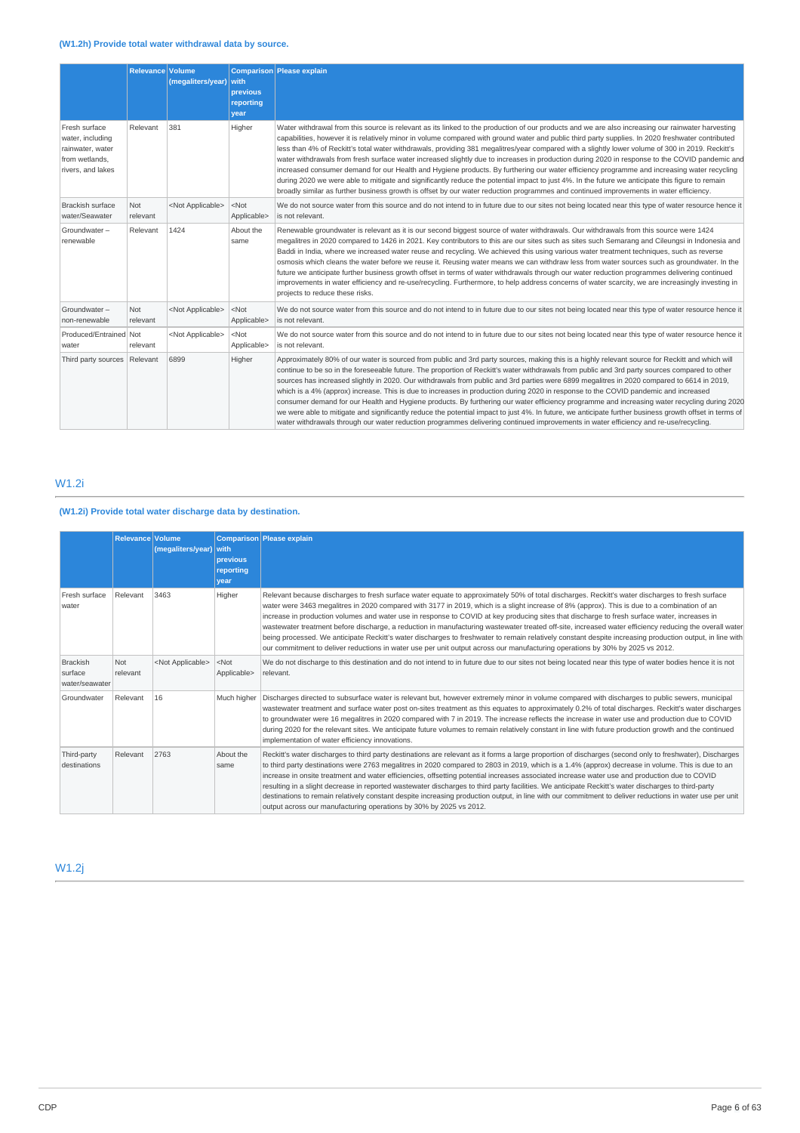|                                                                                              | Relevance Volume | (megaliters/year)         | with<br>previous<br>reporting<br>vear | Comparison Please explain                                                                                                                                                                                                                                                                                                                                                                                                                                                                                                                                                                                                                                                                                                                                                                                                                                                                                                                                                                                                                                |
|----------------------------------------------------------------------------------------------|------------------|---------------------------|---------------------------------------|----------------------------------------------------------------------------------------------------------------------------------------------------------------------------------------------------------------------------------------------------------------------------------------------------------------------------------------------------------------------------------------------------------------------------------------------------------------------------------------------------------------------------------------------------------------------------------------------------------------------------------------------------------------------------------------------------------------------------------------------------------------------------------------------------------------------------------------------------------------------------------------------------------------------------------------------------------------------------------------------------------------------------------------------------------|
| Fresh surface<br>water, including<br>rainwater, water<br>from wetlands,<br>rivers, and lakes | Relevant         | 381                       | Higher                                | Water withdrawal from this source is relevant as its linked to the production of our products and we are also increasing our rainwater harvesting<br>capabilities, however it is relatively minor in volume compared with ground water and public third party supplies. In 2020 freshwater contributed<br>less than 4% of Reckitt's total water withdrawals, providing 381 megalitres/year compared with a slightly lower volume of 300 in 2019. Reckitt's<br>water withdrawals from fresh surface water increased slightly due to increases in production during 2020 in response to the COVID pandemic and<br>increased consumer demand for our Health and Hygiene products. By furthering our water efficiency programme and increasing water recycling<br>during 2020 we were able to mitigate and significantly reduce the potential impact to just 4%. In the future we anticipate this figure to remain<br>broadly similar as further business growth is offset by our water reduction programmes and continued improvements in water efficiency. |
| <b>Brackish surface</b><br>water/Seawater                                                    | Not<br>relevant  | <not applicable=""></not> | $<$ Not<br>Applicable>                | We do not source water from this source and do not intend to in future due to our sites not being located near this type of water resource hence it<br>is not relevant.                                                                                                                                                                                                                                                                                                                                                                                                                                                                                                                                                                                                                                                                                                                                                                                                                                                                                  |
| Groundwater-<br>renewable                                                                    | Relevant         | 1424                      | About the<br>same                     | Renewable groundwater is relevant as it is our second biggest source of water withdrawals. Our withdrawals from this source were 1424<br>megalitres in 2020 compared to 1426 in 2021. Key contributors to this are our sites such as sites such Semarang and Cileungsi in Indonesia and<br>Baddi in India, where we increased water reuse and recycling. We achieved this using various water treatment techniques, such as reverse<br>osmosis which cleans the water before we reuse it. Reusing water means we can withdraw less from water sources such as groundwater. In the<br>future we anticipate further business growth offset in terms of water withdrawals through our water reduction programmes delivering continued<br>improvements in water efficiency and re-use/recycling. Furthermore, to help address concerns of water scarcity, we are increasingly investing in<br>projects to reduce these risks.                                                                                                                                |
| Groundwater-<br>non-renewable                                                                | Not<br>relevant  | <not applicable=""></not> | $<$ Not<br>Applicable>                | We do not source water from this source and do not intend to in future due to our sites not being located near this type of water resource hence it<br>is not relevant.                                                                                                                                                                                                                                                                                                                                                                                                                                                                                                                                                                                                                                                                                                                                                                                                                                                                                  |
| Produced/Entrained Not<br>water                                                              | relevant         | <not applicable=""></not> | $<$ Not<br>Applicable>                | We do not source water from this source and do not intend to in future due to our sites not being located near this type of water resource hence it<br>is not relevant.                                                                                                                                                                                                                                                                                                                                                                                                                                                                                                                                                                                                                                                                                                                                                                                                                                                                                  |
| Third party sources   Relevant                                                               |                  | 6899                      | Higher                                | Approximately 80% of our water is sourced from public and 3rd party sources, making this is a highly relevant source for Reckitt and which will<br>continue to be so in the foreseeable future. The proportion of Reckitt's water withdrawals from public and 3rd party sources compared to other<br>sources has increased slightly in 2020. Our withdrawals from public and 3rd parties were 6899 megalitres in 2020 compared to 6614 in 2019,<br>which is a 4% (approx) increase. This is due to increases in production during 2020 in response to the COVID pandemic and increased<br>consumer demand for our Health and Hygiene products. By furthering our water efficiency programme and increasing water recycling during 2020<br>we were able to mitigate and significantly reduce the potential impact to just 4%. In future, we anticipate further business growth offset in terms of<br>water withdrawals through our water reduction programmes delivering continued improvements in water efficiency and re-use/recycling.                 |

# W1.2i

# **(W1.2i) Provide total water discharge data by destination.**

|                                              | Relevance Volume | (megaliters/year) with    | <b>previous</b><br>reporting<br>vear | Comparison Please explain                                                                                                                                                                                                                                                                                                                                                                                                                                                                                                                                                                                                                                                                                                                                                                                                                                                                              |
|----------------------------------------------|------------------|---------------------------|--------------------------------------|--------------------------------------------------------------------------------------------------------------------------------------------------------------------------------------------------------------------------------------------------------------------------------------------------------------------------------------------------------------------------------------------------------------------------------------------------------------------------------------------------------------------------------------------------------------------------------------------------------------------------------------------------------------------------------------------------------------------------------------------------------------------------------------------------------------------------------------------------------------------------------------------------------|
| Fresh surface<br>water                       | Relevant         | 3463                      | Higher                               | Relevant because discharges to fresh surface water equate to approximately 50% of total discharges. Reckitt's water discharges to fresh surface<br>water were 3463 megalitres in 2020 compared with 3177 in 2019, which is a slight increase of 8% (approx). This is due to a combination of an<br>increase in production volumes and water use in response to COVID at key producing sites that discharge to fresh surface water, increases in<br>wastewater treatment before discharge, a reduction in manufacturing wastewater treated off-site, increased water efficiency reducing the overall water<br>being processed. We anticipate Reckitt's water discharges to freshwater to remain relatively constant despite increasing production output, in line with<br>our commitment to deliver reductions in water use per unit output across our manufacturing operations by 30% by 2025 vs 2012. |
| <b>Brackish</b><br>surface<br>water/seawater | Not<br>relevant  | <not applicable=""></not> | $<$ Not<br>Applicable>               | We do not discharge to this destination and do not intend to in future due to our sites not being located near this type of water bodies hence it is not<br>relevant.                                                                                                                                                                                                                                                                                                                                                                                                                                                                                                                                                                                                                                                                                                                                  |
| Groundwater                                  | Relevant         | 16                        | Much higher                          | Discharges directed to subsurface water is relevant but, however extremely minor in volume compared with discharges to public sewers, municipal<br>wastewater treatment and surface water post on-sites treatment as this equates to approximately 0.2% of total discharges. Reckitt's water discharges<br>to groundwater were 16 megalitres in 2020 compared with 7 in 2019. The increase reflects the increase in water use and production due to COVID<br>during 2020 for the relevant sites. We anticipate future volumes to remain relatively constant in line with future production growth and the continued<br>implementation of water efficiency innovations.                                                                                                                                                                                                                                 |
| Third-party<br>destinations                  | Relevant         | 2763                      | About the<br>same                    | Reckitt's water discharges to third party destinations are relevant as it forms a large proportion of discharges (second only to freshwater), Discharges<br>to third party destinations were 2763 megalitres in 2020 compared to 2803 in 2019, which is a 1.4% (approx) decrease in volume. This is due to an<br>increase in onsite treatment and water efficiencies, offsetting potential increases associated increase water use and production due to COVID<br>resulting in a slight decrease in reported wastewater discharges to third party facilities. We anticipate Reckitt's water discharges to third-party<br>destinations to remain relatively constant despite increasing production output, in line with our commitment to deliver reductions in water use per unit<br>output across our manufacturing operations by 30% by 2025 vs 2012.                                                |

W1.2j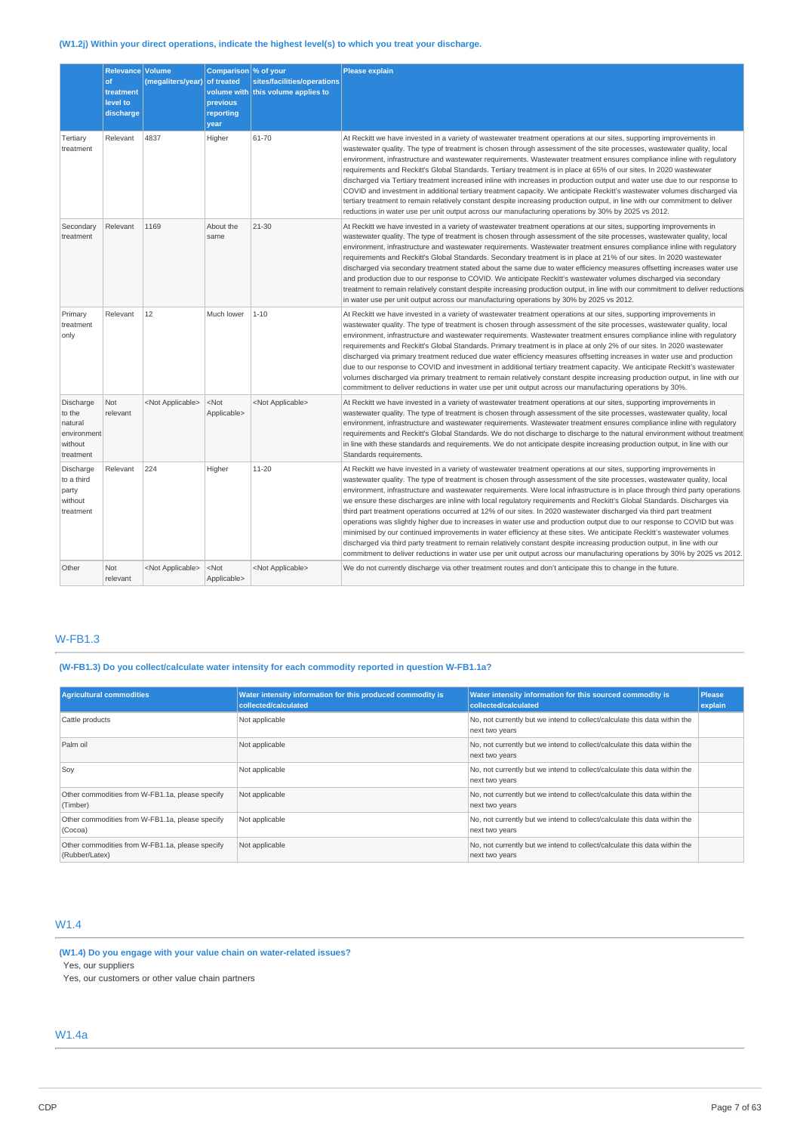# **(W1.2j) Within your direct operations, indicate the highest level(s) to which you treat your discharge.**

|                                                                       | Relevance Volume<br>of<br>treatment<br>level to<br>discharge | (megaliters/year) of treated | Comparison \% of your<br>previous<br>reporting<br>year | sites/facilities/operations<br>volume with this volume applies to | <b>Please explain</b>                                                                                                                                                                                                                                                                                                                                                                                                                                                                                                                                                                                                                                                                                                                                                                                                                                                                                                                                                                                                                                                                                                                              |
|-----------------------------------------------------------------------|--------------------------------------------------------------|------------------------------|--------------------------------------------------------|-------------------------------------------------------------------|----------------------------------------------------------------------------------------------------------------------------------------------------------------------------------------------------------------------------------------------------------------------------------------------------------------------------------------------------------------------------------------------------------------------------------------------------------------------------------------------------------------------------------------------------------------------------------------------------------------------------------------------------------------------------------------------------------------------------------------------------------------------------------------------------------------------------------------------------------------------------------------------------------------------------------------------------------------------------------------------------------------------------------------------------------------------------------------------------------------------------------------------------|
| Tertiary<br>treatment                                                 | Relevant                                                     | 4837                         | Higher                                                 | 61-70                                                             | At Reckitt we have invested in a variety of wastewater treatment operations at our sites, supporting improvements in<br>wastewater quality. The type of treatment is chosen through assessment of the site processes, wastewater quality, local<br>environment, infrastructure and wastewater requirements. Wastewater treatment ensures compliance inline with regulatory<br>requirements and Reckitt's Global Standards. Tertiary treatment is in place at 65% of our sites. In 2020 wastewater<br>discharged via Tertiary treatment increased inline with increases in production output and water use due to our response to<br>COVID and investment in additional tertiary treatment capacity. We anticipate Reckitt's wastewater volumes discharged via<br>tertiary treatment to remain relatively constant despite increasing production output, in line with our commitment to deliver<br>reductions in water use per unit output across our manufacturing operations by 30% by 2025 vs 2012.                                                                                                                                              |
| Secondary<br>treatment                                                | Relevant                                                     | 1169                         | About the<br>same                                      | $21 - 30$                                                         | At Reckitt we have invested in a variety of wastewater treatment operations at our sites, supporting improvements in<br>wastewater quality. The type of treatment is chosen through assessment of the site processes, wastewater quality, local<br>environment, infrastructure and wastewater requirements. Wastewater treatment ensures compliance inline with requlatory<br>requirements and Reckitt's Global Standards. Secondary treatment is in place at 21% of our sites. In 2020 wastewater<br>discharged via secondary treatment stated about the same due to water efficiency measures offsetting increases water use<br>and production due to our response to COVID. We anticipate Reckitt's wastewater volumes discharged via secondary<br>treatment to remain relatively constant despite increasing production output, in line with our commitment to deliver reductions<br>in water use per unit output across our manufacturing operations by 30% by 2025 vs 2012.                                                                                                                                                                  |
| Primary<br>treatment<br>only                                          | Relevant                                                     | 12                           | Much lower                                             | $1 - 10$                                                          | At Reckitt we have invested in a variety of wastewater treatment operations at our sites, supporting improvements in<br>wastewater quality. The type of treatment is chosen through assessment of the site processes, wastewater quality, local<br>environment, infrastructure and wastewater requirements. Wastewater treatment ensures compliance inline with regulatory<br>requirements and Reckitt's Global Standards. Primary treatment is in place at only 2% of our sites. In 2020 wastewater<br>discharged via primary treatment reduced due water efficiency measures offsetting increases in water use and production<br>due to our response to COVID and investment in additional tertiary treatment capacity. We anticipate Reckitt's wastewater<br>volumes discharged via primary treatment to remain relatively constant despite increasing production output, in line with our<br>commitment to deliver reductions in water use per unit output across our manufacturing operations by 30%.                                                                                                                                         |
| Discharge<br>to the<br>natural<br>environment<br>without<br>treatment | Not<br>relevant                                              | <not applicable=""></not>    | <not<br>Applicable&gt;</not<br>                        | <not applicable=""></not>                                         | At Reckitt we have invested in a variety of wastewater treatment operations at our sites, supporting improvements in<br>wastewater quality. The type of treatment is chosen through assessment of the site processes, wastewater quality, local<br>environment, infrastructure and wastewater requirements. Wastewater treatment ensures compliance inline with requlatory<br>requirements and Reckitt's Global Standards. We do not discharge to discharge to the natural environment without treatment<br>in line with these standards and requirements. We do not anticipate despite increasing production output, in line with our<br>Standards requirements.                                                                                                                                                                                                                                                                                                                                                                                                                                                                                  |
| Discharge<br>to a third<br>party<br>without<br>treatment              | Relevant                                                     | 224                          | Higher                                                 | 11-20                                                             | At Reckitt we have invested in a variety of wastewater treatment operations at our sites, supporting improvements in<br>wastewater quality. The type of treatment is chosen through assessment of the site processes, wastewater quality, local<br>environment, infrastructure and wastewater requirements. Were local infrastructure is in place through third party operations<br>we ensure these discharges are inline with local regulatory requirements and Reckitt's Global Standards. Discharges via<br>third part treatment operations occurred at 12% of our sites. In 2020 wastewater discharged via third part treatment<br>operations was slightly higher due to increases in water use and production output due to our response to COVID but was<br>minimised by our continued improvements in water efficiency at these sites. We anticipate Reckitt's wastewater volumes<br>discharged via third party treatment to remain relatively constant despite increasing production output, in line with our<br>commitment to deliver reductions in water use per unit output across our manufacturing operations by 30% by 2025 vs 2012. |
| Other                                                                 | Not<br>relevant                                              | <not applicable=""></not>    | <not<br>Applicable&gt;</not<br>                        | <not applicable=""></not>                                         | We do not currently discharge via other treatment routes and don't anticipate this to change in the future.                                                                                                                                                                                                                                                                                                                                                                                                                                                                                                                                                                                                                                                                                                                                                                                                                                                                                                                                                                                                                                        |

# W-FB1.3

**(W-FB1.3) Do you collect/calculate water intensity for each commodity reported in question W-FB1.1a?**

| <b>Agricultural commodities</b>                                   | Water intensity information for this produced commodity is<br>collected/calculated | Water intensity information for this sourced commodity is<br>collected/calculated           | <b>Please</b><br>explain |
|-------------------------------------------------------------------|------------------------------------------------------------------------------------|---------------------------------------------------------------------------------------------|--------------------------|
| Cattle products                                                   | Not applicable                                                                     | No, not currently but we intend to collect/calculate this data within the<br>next two years |                          |
| Palm oil                                                          | Not applicable                                                                     | No, not currently but we intend to collect/calculate this data within the<br>next two years |                          |
| Soy                                                               | Not applicable                                                                     | No, not currently but we intend to collect/calculate this data within the<br>next two years |                          |
| Other commodities from W-FB1.1a, please specify<br>(Timber)       | Not applicable                                                                     | No, not currently but we intend to collect/calculate this data within the<br>next two years |                          |
| Other commodities from W-FB1.1a, please specify<br>(Cocoa)        | Not applicable                                                                     | No, not currently but we intend to collect/calculate this data within the<br>next two years |                          |
| Other commodities from W-FB1.1a, please specify<br>(Rubber/Latex) | Not applicable                                                                     | No, not currently but we intend to collect/calculate this data within the<br>next two years |                          |

# W1.4

**(W1.4) Do you engage with your value chain on water-related issues?** Yes, our suppliers

Yes, our customers or other value chain partners

W1.4a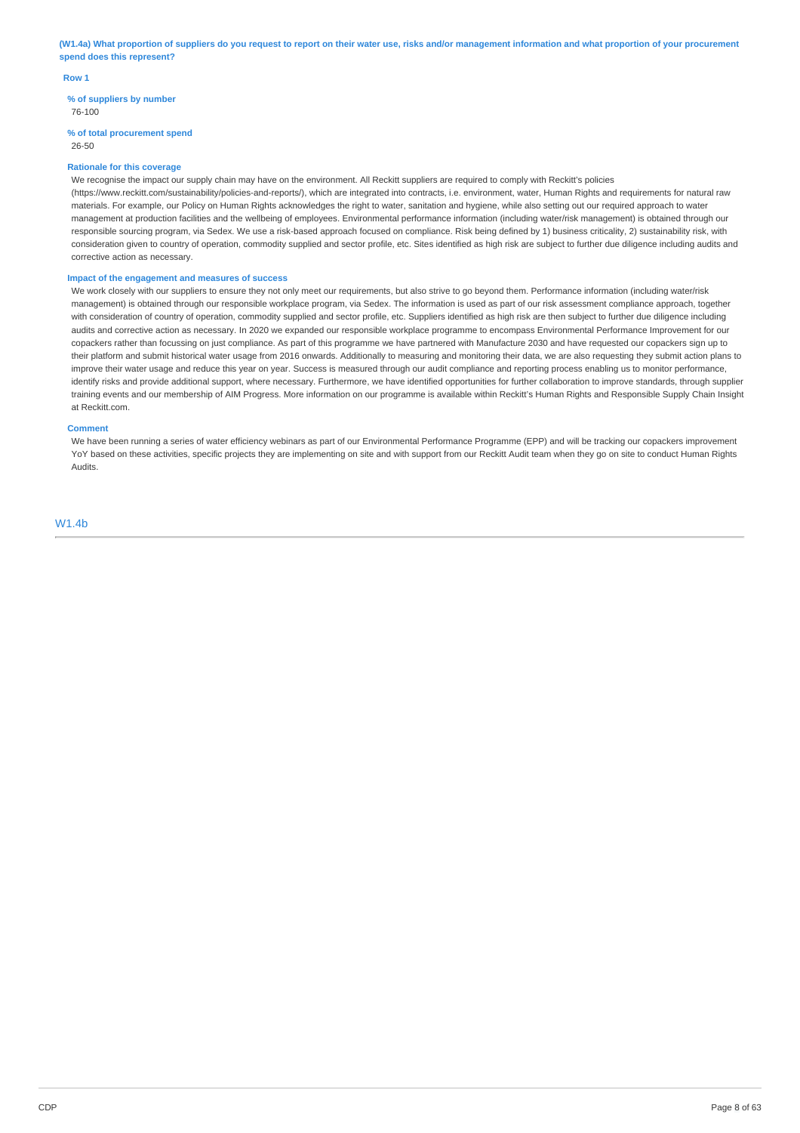(W1.4a) What proportion of suppliers do you request to report on their water use, risks and/or management information and what proportion of your procurement **spend does this represent?**

#### **Row 1**

**% of suppliers by number** 76-100

# **% of total procurement spend**

26-50

#### **Rationale for this coverage**

We recognise the impact our supply chain may have on the environment. All Reckitt suppliers are required to comply with Reckitt's policies (https://www.reckitt.com/sustainability/policies-and-reports/), which are integrated into contracts, i.e. environment, water, Human Rights and requirements for natural raw materials. For example, our Policy on Human Rights acknowledges the right to water, sanitation and hygiene, while also setting out our required approach to water management at production facilities and the wellbeing of employees. Environmental performance information (including water/risk management) is obtained through our responsible sourcing program, via Sedex. We use a risk-based approach focused on compliance. Risk being defined by 1) business criticality, 2) sustainability risk, with consideration given to country of operation, commodity supplied and sector profile, etc. Sites identified as high risk are subject to further due diligence including audits and corrective action as necessary.

### **Impact of the engagement and measures of success**

We work closely with our suppliers to ensure they not only meet our requirements, but also strive to go beyond them. Performance information (including water/risk management) is obtained through our responsible workplace program, via Sedex. The information is used as part of our risk assessment compliance approach, together with consideration of country of operation, commodity supplied and sector profile, etc. Suppliers identified as high risk are then subject to further due diligence including audits and corrective action as necessary. In 2020 we expanded our responsible workplace programme to encompass Environmental Performance Improvement for our copackers rather than focussing on just compliance. As part of this programme we have partnered with Manufacture 2030 and have requested our copackers sign up to their platform and submit historical water usage from 2016 onwards. Additionally to measuring and monitoring their data, we are also requesting they submit action plans to improve their water usage and reduce this year on year. Success is measured through our audit compliance and reporting process enabling us to monitor performance, identify risks and provide additional support, where necessary. Furthermore, we have identified opportunities for further collaboration to improve standards, through supplier training events and our membership of AIM Progress. More information on our programme is available within Reckitt's Human Rights and Responsible Supply Chain Insight at Reckitt.com.

#### **Comment**

We have been running a series of water efficiency webinars as part of our Environmental Performance Programme (EPP) and will be tracking our copackers improvement YoY based on these activities, specific projects they are implementing on site and with support from our Reckitt Audit team when they go on site to conduct Human Rights Audits.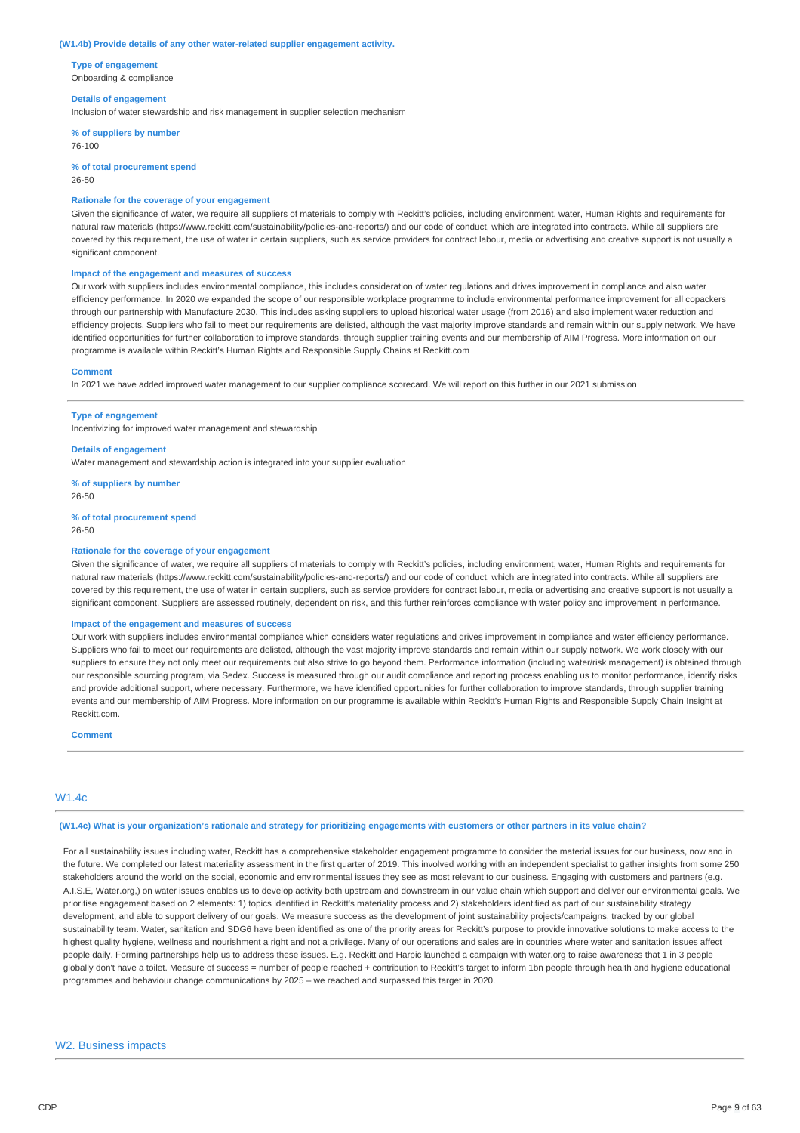#### **(W1.4b) Provide details of any other water-related supplier engagement activity.**

**Type of engagement** Onboarding & compliance

#### **Details of engagement**

Inclusion of water stewardship and risk management in supplier selection mechanism

**% of suppliers by number** 76-100

**% of total procurement spend** 26-50

### **Rationale for the coverage of your engagement**

Given the significance of water, we require all suppliers of materials to comply with Reckitt's policies, including environment, water, Human Rights and requirements for natural raw materials (https://www.reckitt.com/sustainability/policies-and-reports/) and our code of conduct, which are integrated into contracts. While all suppliers are covered by this requirement, the use of water in certain suppliers, such as service providers for contract labour, media or advertising and creative support is not usually a significant component.

#### **Impact of the engagement and measures of success**

Our work with suppliers includes environmental compliance, this includes consideration of water regulations and drives improvement in compliance and also water efficiency performance. In 2020 we expanded the scope of our responsible workplace programme to include environmental performance improvement for all copackers through our partnership with Manufacture 2030. This includes asking suppliers to upload historical water usage (from 2016) and also implement water reduction and efficiency projects. Suppliers who fail to meet our requirements are delisted, although the vast majority improve standards and remain within our supply network. We have identified opportunities for further collaboration to improve standards, through supplier training events and our membership of AIM Progress. More information on our programme is available within Reckitt's Human Rights and Responsible Supply Chains at Reckitt.com

#### **Comment**

In 2021 we have added improved water management to our supplier compliance scorecard. We will report on this further in our 2021 submission

#### **Type of engagement**

Incentivizing for improved water management and stewardship

# **Details of engagement**

Water management and stewardship action is integrated into your supplier evaluation

**% of suppliers by number** 26-50

#### **% of total procurement spend**

26-50

# **Rationale for the coverage of your engagement**

Given the significance of water, we require all suppliers of materials to comply with Reckitt's policies, including environment, water, Human Rights and requirements for natural raw materials (https://www.reckitt.com/sustainability/policies-and-reports/) and our code of conduct, which are integrated into contracts. While all suppliers are covered by this requirement, the use of water in certain suppliers, such as service providers for contract labour, media or advertising and creative support is not usually a significant component. Suppliers are assessed routinely, dependent on risk, and this further reinforces compliance with water policy and improvement in performance.

### **Impact of the engagement and measures of success**

Our work with suppliers includes environmental compliance which considers water regulations and drives improvement in compliance and water efficiency performance. Suppliers who fail to meet our requirements are delisted, although the vast majority improve standards and remain within our supply network. We work closely with our suppliers to ensure they not only meet our requirements but also strive to go beyond them. Performance information (including water/risk management) is obtained through our responsible sourcing program, via Sedex. Success is measured through our audit compliance and reporting process enabling us to monitor performance, identify risks and provide additional support, where necessary. Furthermore, we have identified opportunities for further collaboration to improve standards, through supplier training events and our membership of AIM Progress. More information on our programme is available within Reckitt's Human Rights and Responsible Supply Chain Insight at Reckitt.com.

#### **Comment**

#### W1.4c

#### (W1.4c) What is your organization's rationale and strategy for prioritizing engagements with customers or other partners in its value chain?

For all sustainability issues including water, Reckitt has a comprehensive stakeholder engagement programme to consider the material issues for our business, now and in the future. We completed our latest materiality assessment in the first quarter of 2019. This involved working with an independent specialist to gather insights from some 250 stakeholders around the world on the social, economic and environmental issues they see as most relevant to our business. Engaging with customers and partners (e.g. A.I.S.E, Water.org,) on water issues enables us to develop activity both upstream and downstream in our value chain which support and deliver our environmental goals. We prioritise engagement based on 2 elements: 1) topics identified in Reckitt's materiality process and 2) stakeholders identified as part of our sustainability strategy development, and able to support delivery of our goals. We measure success as the development of joint sustainability projects/campaigns, tracked by our global sustainability team. Water, sanitation and SDG6 have been identified as one of the priority areas for Reckitt's purpose to provide innovative solutions to make access to the highest quality hygiene, wellness and nourishment a right and not a privilege. Many of our operations and sales are in countries where water and sanitation issues affect people daily. Forming partnerships help us to address these issues. E.g. Reckitt and Harpic launched a campaign with water.org to raise awareness that 1 in 3 people globally don't have a toilet. Measure of success = number of people reached + contribution to Reckitt's target to inform 1bn people through health and hygiene educational programmes and behaviour change communications by 2025 – we reached and surpassed this target in 2020.

#### W2. Business impacts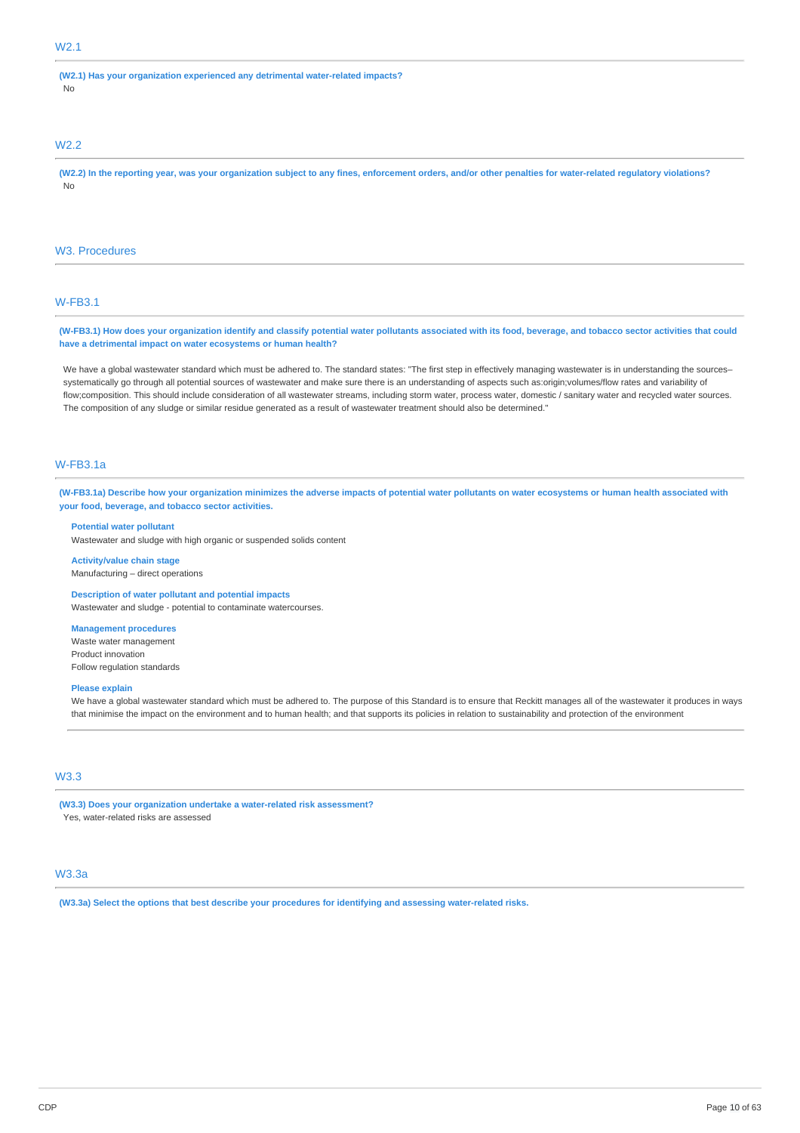# W2.1

**(W2.1) Has your organization experienced any detrimental water-related impacts?** No

# W2.2

(W2.2) In the reporting year, was your organization subject to any fines, enforcement orders, and/or other penalties for water-related regulatory violations? No

#### W3. Procedures

# W-FB3.1

(W-FB3.1) How does your organization identify and classify potential water pollutants associated with its food, beverage, and tobacco sector activities that could **have a detrimental impact on water ecosystems or human health?**

We have a global wastewater standard which must be adhered to. The standard states: "The first step in effectively managing wastewater is in understanding the sourcessystematically go through all potential sources of wastewater and make sure there is an understanding of aspects such as:origin;volumes/flow rates and variability of flow;composition. This should include consideration of all wastewater streams, including storm water, process water, domestic / sanitary water and recycled water sources. The composition of any sludge or similar residue generated as a result of wastewater treatment should also be determined."

# W-FB3.1a

(W-FB3.1a) Describe how your organization minimizes the adverse impacts of potential water pollutants on water ecosystems or human health associated with **your food, beverage, and tobacco sector activities.**

# **Potential water pollutant**

Wastewater and sludge with high organic or suspended solids content

**Activity/value chain stage** Manufacturing – direct operations

# **Description of water pollutant and potential impacts**

Wastewater and sludge - potential to contaminate watercourses.

#### **Management procedures**

Waste water management Product innovation Follow regulation standards

#### **Please explain**

We have a global wastewater standard which must be adhered to. The purpose of this Standard is to ensure that Reckitt manages all of the wastewater it produces in ways that minimise the impact on the environment and to human health; and that supports its policies in relation to sustainability and protection of the environment

# W3.3

**(W3.3) Does your organization undertake a water-related risk assessment?** Yes, water-related risks are assessed

# W3.3a

**(W3.3a) Select the options that best describe your procedures for identifying and assessing water-related risks.**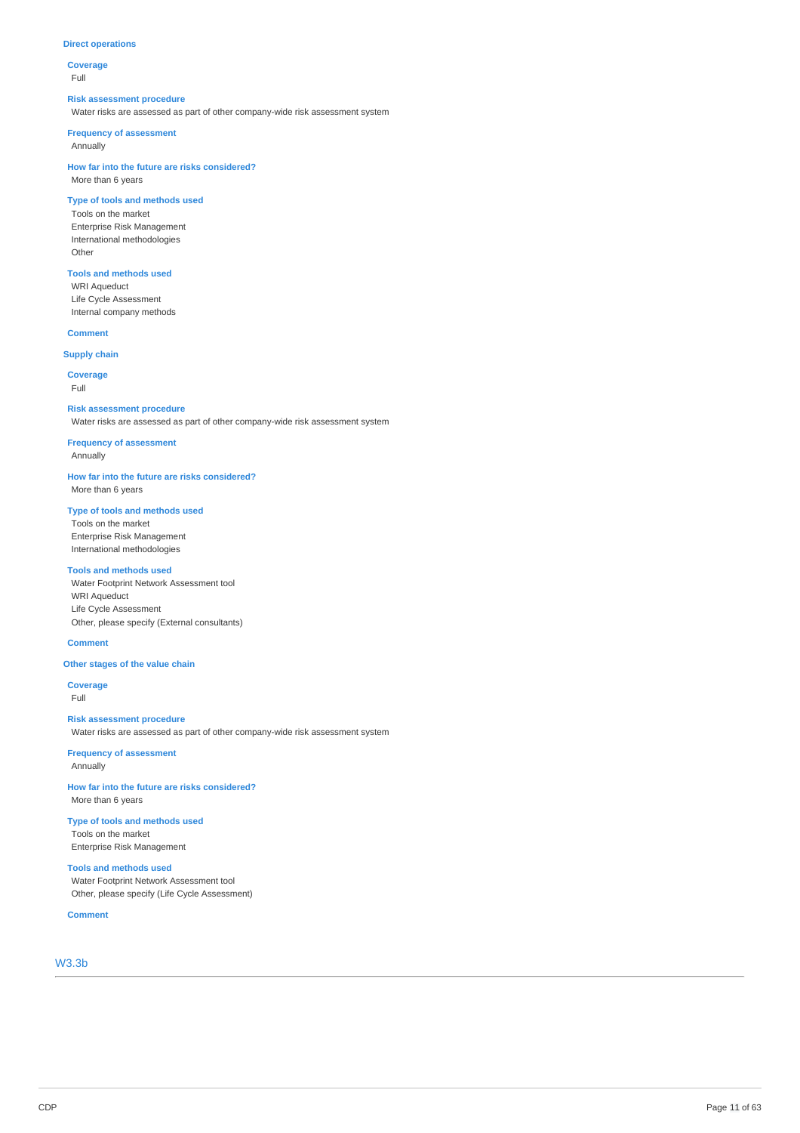# **Direct operations**

**Coverage** Full

#### **Risk assessment procedure**

Water risks are assessed as part of other company-wide risk assessment system

#### **Frequency of assessment**

Annually

**How far into the future are risks considered?** More than 6 years

# **Type of tools and methods used**

Tools on the market Enterprise Risk Management International methodologies Other

# **Tools and methods used**

WRI Aqueduct Life Cycle Assessment Internal company methods

# **Comment**

# **Supply chain**

**Coverage** Full

# **Risk assessment procedure**

Water risks are assessed as part of other company-wide risk assessment system

**Frequency of assessment** Annually

**How far into the future are risks considered?** More than 6 years

# **Type of tools and methods used**

Tools on the market Enterprise Risk Management International methodologies

# **Tools and methods used**

Water Footprint Network Assessment tool WRI Aqueduct Life Cycle Assessment Other, please specify (External consultants)

#### **Comment**

# **Other stages of the value chain**

**Coverage** Full

# **Risk assessment procedure**

Water risks are assessed as part of other company-wide risk assessment system

**Frequency of assessment** Annually

**How far into the future are risks considered?** More than 6 years

**Type of tools and methods used** Tools on the market Enterprise Risk Management

# **Tools and methods used**

Water Footprint Network Assessment tool Other, please specify (Life Cycle Assessment)

**Comment**

W3.3b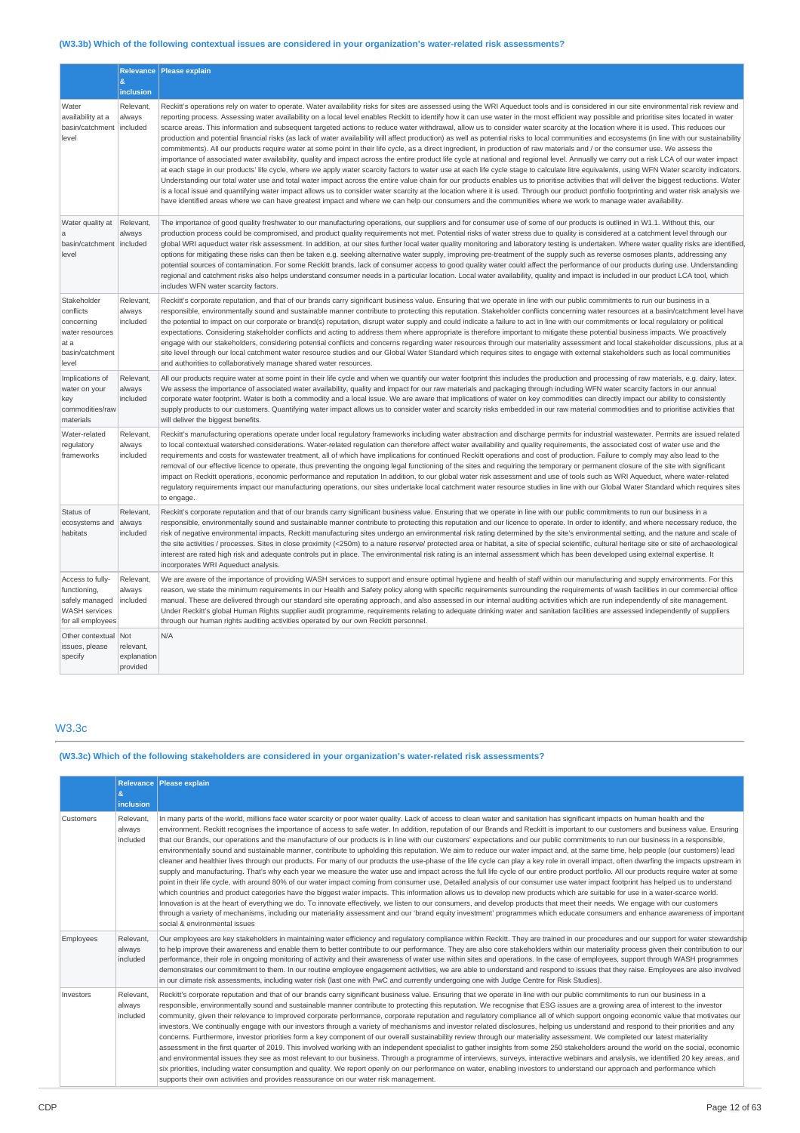# **(W3.3b) Which of the following contextual issues are considered in your organization's water-related risk assessments?**

|                                                                                                 | 8<br>inclusion                              | Relevance Please explain                                                                                                                                                                                                                                                                                                                                                                                                                                                                                                                                                                                                                                                                                                                                                                                                                                                                                                                                                                                                                                                                                                                                                                                                                                                                                                                                                                                                                                                                                                                                                                                                                                                                                                                                                                                                                                                                                                 |
|-------------------------------------------------------------------------------------------------|---------------------------------------------|--------------------------------------------------------------------------------------------------------------------------------------------------------------------------------------------------------------------------------------------------------------------------------------------------------------------------------------------------------------------------------------------------------------------------------------------------------------------------------------------------------------------------------------------------------------------------------------------------------------------------------------------------------------------------------------------------------------------------------------------------------------------------------------------------------------------------------------------------------------------------------------------------------------------------------------------------------------------------------------------------------------------------------------------------------------------------------------------------------------------------------------------------------------------------------------------------------------------------------------------------------------------------------------------------------------------------------------------------------------------------------------------------------------------------------------------------------------------------------------------------------------------------------------------------------------------------------------------------------------------------------------------------------------------------------------------------------------------------------------------------------------------------------------------------------------------------------------------------------------------------------------------------------------------------|
| Water<br>availability at a<br>basin/catchment<br>level                                          | Relevant,<br>always<br>included             | Reckitt's operations rely on water to operate. Water availability risks for sites are assessed using the WRI Aqueduct tools and is considered in our site environmental risk review and<br>reporting process. Assessing water availability on a local level enables Reckitt to identify how it can use water in the most efficient way possible and prioritise sites located in water<br>scarce areas. This information and subsequent targeted actions to reduce water withdrawal, allow us to consider water scarcity at the location where it is used. This reduces our<br>production and potential financial risks (as lack of water availability will affect production) as well as potential risks to local communities and ecosystems (in line with our sustainability<br>commitments). All our products require water at some point in their life cycle, as a direct ingredient, in production of raw materials and / or the consumer use. We assess the<br>importance of associated water availability, quality and impact across the entire product life cycle at national and regional level. Annually we carry out a risk LCA of our water impact<br>at each stage in our products' life cycle, where we apply water scarcity factors to water use at each life cycle stage to calculate litre equivalents, using WFN Water scarcity indicators.<br>Understanding our total water use and total water impact across the entire value chain for our products enables us to prioritise activities that will deliver the biggest reductions. Water<br>is a local issue and quantifying water impact allows us to consider water scarcity at the location where it is used. Through our product portfolio footprinting and water risk analysis we<br>have identified areas where we can have greatest impact and where we can help our consumers and the communities where we work to manage water availability. |
| Water quality at<br>$\mathbf{a}$<br>basin/catchment   included<br>level                         | Relevant,<br>always                         | The importance of good quality freshwater to our manufacturing operations, our suppliers and for consumer use of some of our products is outlined in W1.1. Without this, our<br>production process could be compromised, and product quality requirements not met. Potential risks of water stress due to quality is considered at a catchment level through our<br>global WRI aqueduct water risk assessment. In addition, at our sites further local water quality monitoring and laboratory testing is undertaken. Where water quality risks are identified<br>options for mitigating these risks can then be taken e.g. seeking alternative water supply, improving pre-treatment of the supply such as reverse osmoses plants, addressing any<br>potential sources of contamination. For some Reckitt brands, lack of consumer access to good quality water could affect the performance of our products during use. Understanding<br>regional and catchment risks also helps understand consumer needs in a particular location. Local water availability, quality and impact is included in our product LCA tool, which<br>includes WFN water scarcity factors.                                                                                                                                                                                                                                                                                                                                                                                                                                                                                                                                                                                                                                                                                                                                                   |
| Stakeholder<br>conflicts<br>concerning<br>water resources<br>at a<br>basin/catchment<br>level   | Relevant,<br>always<br>included             | Reckitt's corporate reputation, and that of our brands carry significant business value. Ensuring that we operate in line with our public commitments to run our business in a<br>responsible, environmentally sound and sustainable manner contribute to protecting this reputation. Stakeholder conflicts concerning water resources at a basin/catchment level have<br>the potential to impact on our corporate or brand(s) reputation, disrupt water supply and could indicate a failure to act in line with our commitments or local regulatory or political<br>expectations. Considering stakeholder conflicts and acting to address them where appropriate is therefore important to mitigate these potential business impacts. We proactively<br>engage with our stakeholders, considering potential conflicts and concerns regarding water resources through our materiality assessment and local stakeholder discussions, plus at a<br>site level through our local catchment water resource studies and our Global Water Standard which requires sites to engage with external stakeholders such as local communities<br>and authorities to collaboratively manage shared water resources.                                                                                                                                                                                                                                                                                                                                                                                                                                                                                                                                                                                                                                                                                                                    |
| Implications of<br>water on your<br>key<br>commodities/raw<br>materials                         | Relevant,<br>always<br>included             | All our products require water at some point in their life cycle and when we quantify our water footprint this includes the production and processing of raw materials, e.g. dairy, latex.<br>We assess the importance of associated water availability, quality and impact for our raw materials and packaging through including WFN water scarcity factors in our annual<br>corporate water footprint. Water is both a commodity and a local issue. We are aware that implications of water on key commodities can directly impact our ability to consistently<br>supply products to our customers. Quantifying water impact allows us to consider water and scarcity risks embedded in our raw material commodities and to prioritise activities that<br>will deliver the biggest benefits.                                                                                                                                                                                                                                                                                                                                                                                                                                                                                                                                                                                                                                                                                                                                                                                                                                                                                                                                                                                                                                                                                                                           |
| Water-related<br>regulatory<br>frameworks                                                       | Relevant,<br>always<br>included             | Reckitt's manufacturing operations operate under local regulatory frameworks including water abstraction and discharge permits for industrial wastewater. Permits are issued related<br>to local contextual watershed considerations. Water-related requlation can therefore affect water availability and quality requirements, the associated cost of water use and the<br>requirements and costs for wastewater treatment, all of which have implications for continued Reckitt operations and cost of production. Failure to comply may also lead to the<br>removal of our effective licence to operate, thus preventing the ongoing legal functioning of the sites and requiring the temporary or permanent closure of the site with significant<br>impact on Reckitt operations, economic performance and reputation In addition, to our global water risk assessment and use of tools such as WRI Aqueduct, where water-related<br>requlatory requirements impact our manufacturing operations, our sites undertake local catchment water resource studies in line with our Global Water Standard which requires sites<br>to engage.                                                                                                                                                                                                                                                                                                                                                                                                                                                                                                                                                                                                                                                                                                                                                                              |
| Status of<br>ecosystems and<br>habitats                                                         | Relevant,<br>always<br>included             | Reckitt's corporate reputation and that of our brands carry significant business value. Ensuring that we operate in line with our public commitments to run our business in a<br>responsible, environmentally sound and sustainable manner contribute to protecting this reputation and our licence to operate. In order to identify, and where necessary reduce, the<br>risk of negative environmental impacts, Reckitt manufacturing sites undergo an environmental risk rating determined by the site's environmental setting, and the nature and scale of<br>the site activities / processes. Sites in close proximity (<250m) to a nature reserve/ protected area or habitat, a site of special scientific, cultural heritage site or site of archaeological<br>interest are rated high risk and adequate controls put in place. The environmental risk rating is an internal assessment which has been developed using external expertise. It<br>incorporates WRI Aqueduct analysis.                                                                                                                                                                                                                                                                                                                                                                                                                                                                                                                                                                                                                                                                                                                                                                                                                                                                                                                               |
| Access to fully-<br>functioning,<br>safely managed<br><b>WASH</b> services<br>for all employees | Relevant,<br>always<br>included             | We are aware of the importance of providing WASH services to support and ensure optimal hygiene and health of staff within our manufacturing and supply environments. For this<br>reason, we state the minimum requirements in our Health and Safety policy along with specific requirements surrounding the requirements of wash facilities in our commercial office<br>manual. These are delivered through our standard site operating approach, and also assessed in our internal auditing activities which are run independently of site management.<br>Under Reckitt's global Human Rights supplier audit programme, requirements relating to adequate drinking water and sanitation facilities are assessed independently of suppliers<br>through our human rights auditing activities operated by our own Reckitt personnel.                                                                                                                                                                                                                                                                                                                                                                                                                                                                                                                                                                                                                                                                                                                                                                                                                                                                                                                                                                                                                                                                                      |
| Other contextual<br>issues, please<br>specify                                                   | Not<br>relevant,<br>explanation<br>provided | N/A                                                                                                                                                                                                                                                                                                                                                                                                                                                                                                                                                                                                                                                                                                                                                                                                                                                                                                                                                                                                                                                                                                                                                                                                                                                                                                                                                                                                                                                                                                                                                                                                                                                                                                                                                                                                                                                                                                                      |

# W3.3c

# **(W3.3c) Which of the following stakeholders are considered in your organization's water-related risk assessments?**

|           | $\mathbf{g}_i$<br>inclusion     | Relevance   Please explain                                                                                                                                                                                                                                                                                                                                                                                                                                                                                                                                                                                                                                                                                                                                                                                                                                                                                                                                                                                                                                                                                                                                                                                                                                                                                                                                                                                                                                                                                                                                                                                                                                                                                                                                                                                                                                                                                 |
|-----------|---------------------------------|------------------------------------------------------------------------------------------------------------------------------------------------------------------------------------------------------------------------------------------------------------------------------------------------------------------------------------------------------------------------------------------------------------------------------------------------------------------------------------------------------------------------------------------------------------------------------------------------------------------------------------------------------------------------------------------------------------------------------------------------------------------------------------------------------------------------------------------------------------------------------------------------------------------------------------------------------------------------------------------------------------------------------------------------------------------------------------------------------------------------------------------------------------------------------------------------------------------------------------------------------------------------------------------------------------------------------------------------------------------------------------------------------------------------------------------------------------------------------------------------------------------------------------------------------------------------------------------------------------------------------------------------------------------------------------------------------------------------------------------------------------------------------------------------------------------------------------------------------------------------------------------------------------|
| Customers | Relevant.<br>always<br>included | In many parts of the world, millions face water scarcity or poor water quality. Lack of access to clean water and sanitation has significant impacts on human health and the<br>environment. Reckitt recognises the importance of access to safe water. In addition, reputation of our Brands and Reckitt is important to our customers and business value. Ensuring<br>that our Brands, our operations and the manufacture of our products is in line with our customers' expectations and our public commitments to run our business in a responsible,<br>environmentally sound and sustainable manner, contribute to upholding this reputation. We aim to reduce our water impact and, at the same time, help people (our customers) lead<br>cleaner and healthier lives through our products. For many of our products the use-phase of the life cycle can play a key role in overall impact, often dwarfing the impacts upstream in<br>supply and manufacturing. That's why each year we measure the water use and impact across the full life cycle of our entire product portfolio. All our products require water at some<br>point in their life cycle, with around 80% of our water impact coming from consumer use, Detailed analysis of our consumer use water impact footprint has helped us to understand<br>which countries and product categories have the biggest water impacts. This information allows us to develop new products which are suitable for use in a water-scarce world.<br>Innovation is at the heart of everything we do. To innovate effectively, we listen to our consumers, and develop products that meet their needs. We engage with our customers<br>through a variety of mechanisms, including our materiality assessment and our 'brand equity investment' programmes which educate consumers and enhance awareness of important<br>social & environmental issues |
| Employees | Relevant.<br>always<br>included | Our employees are key stakeholders in maintaining water efficiency and regulatory compliance within Reckitt. They are trained in our procedures and our support for water stewardship<br>to help improve their awareness and enable them to better contribute to our performance. They are also core stakeholders within our materiality process given their contribution to our<br>performance, their role in ongoing monitoring of activity and their awareness of water use within sites and operations. In the case of employees, support through WASH programmes<br>demonstrates our commitment to them. In our routine employee engagement activities, we are able to understand and respond to issues that they raise. Employees are also involved<br>in our climate risk assessments, including water risk (last one with PwC and currently undergoing one with Judge Centre for Risk Studies).                                                                                                                                                                                                                                                                                                                                                                                                                                                                                                                                                                                                                                                                                                                                                                                                                                                                                                                                                                                                    |
| Investors | Relevant,<br>always<br>included | Reckitt's corporate reputation and that of our brands carry significant business value. Ensuring that we operate in line with our public commitments to run our business in a<br>responsible, environmentally sound and sustainable manner contribute to protecting this reputation. We recognise that ESG issues are a growing area of interest to the investor<br>community, given their relevance to improved corporate performance, corporate reputation and regulatory compliance all of which support ongoing economic value that motivates our<br>investors. We continually engage with our investors through a variety of mechanisms and investor related disclosures, helping us understand and respond to their priorities and any<br>concerns. Furthermore, investor priorities form a key component of our overall sustainability review through our materiality assessment. We completed our latest materiality<br>assessment in the first quarter of 2019. This involved working with an independent specialist to gather insights from some 250 stakeholders around the world on the social, economic<br>and environmental issues they see as most relevant to our business. Through a programme of interviews, surveys, interactive webinars and analysis, we identified 20 key areas, and<br>six priorities, including water consumption and quality. We report openly on our performance on water, enabling investors to understand our approach and performance which<br>supports their own activities and provides reassurance on our water risk management.                                                                                                                                                                                                                                                                                                                           |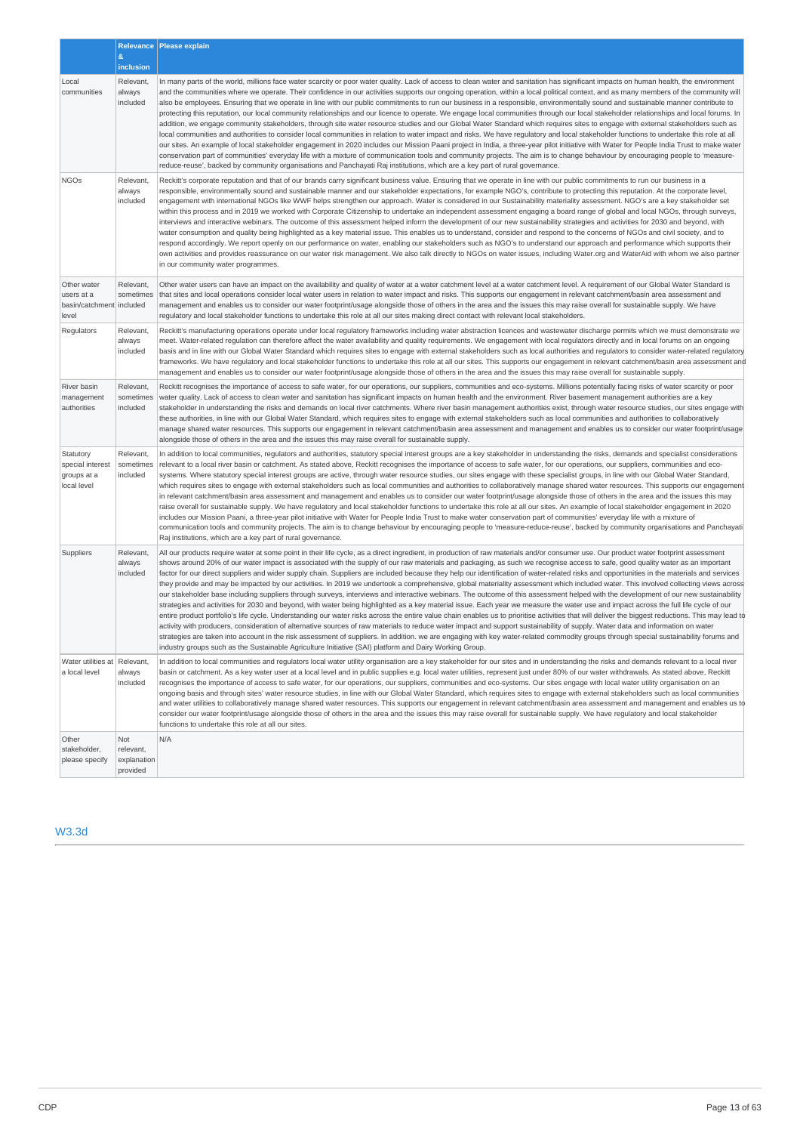|                                                                | &<br>inclusion                              | Relevance   Please explain                                                                                                                                                                                                                                                                                                                                                                                                                                                                                                                                                                                                                                                                                                                                                                                                                                                                                                                                                                                                                                                                                                                                                                                                                                                                                                                                                                                                                                                                                                                                                                                                                                                                                                                                                                                                            |
|----------------------------------------------------------------|---------------------------------------------|---------------------------------------------------------------------------------------------------------------------------------------------------------------------------------------------------------------------------------------------------------------------------------------------------------------------------------------------------------------------------------------------------------------------------------------------------------------------------------------------------------------------------------------------------------------------------------------------------------------------------------------------------------------------------------------------------------------------------------------------------------------------------------------------------------------------------------------------------------------------------------------------------------------------------------------------------------------------------------------------------------------------------------------------------------------------------------------------------------------------------------------------------------------------------------------------------------------------------------------------------------------------------------------------------------------------------------------------------------------------------------------------------------------------------------------------------------------------------------------------------------------------------------------------------------------------------------------------------------------------------------------------------------------------------------------------------------------------------------------------------------------------------------------------------------------------------------------|
| Local<br>communities                                           | Relevant,<br>always<br>included             | In many parts of the world, millions face water scarcity or poor water quality. Lack of access to clean water and sanitation has significant impacts on human health, the environment<br>and the communities where we operate. Their confidence in our activities supports our ongoing operation, within a local political context, and as many members of the community will<br>also be employees. Ensuring that we operate in line with our public commitments to run our business in a responsible, environmentally sound and sustainable manner contribute to<br>protecting this reputation, our local community relationships and our licence to operate. We engage local communities through our local stakeholder relationships and local forums. In<br>addition, we engage community stakeholders, through site water resource studies and our Global Water Standard which requires sites to engage with external stakeholders such as<br>local communities and authorities to consider local communities in relation to water impact and risks. We have regulatory and local stakeholder functions to undertake this role at all<br>our sites. An example of local stakeholder engagement in 2020 includes our Mission Paani project in India, a three-year pilot initiative with Water for People India Trust to make water<br>conservation part of communities' everyday life with a mixture of communication tools and community projects. The aim is to change behaviour by encouraging people to 'measure-<br>reduce-reuse', backed by community organisations and Panchayati Raj institutions, which are a key part of rural governance.                                                                                                                                                                               |
| <b>NGOs</b>                                                    | Relevant,<br>always<br>included             | Reckitt's corporate reputation and that of our brands carry significant business value. Ensuring that we operate in line with our public commitments to run our business in a<br>responsible, environmentally sound and sustainable manner and our stakeholder expectations, for example NGO's, contribute to protecting this reputation. At the corporate level,<br>engagement with international NGOs like WWF helps strengthen our approach. Water is considered in our Sustainability materiality assessment. NGO's are a key stakeholder set<br>within this process and in 2019 we worked with Corporate Citizenship to undertake an independent assessment engaging a board range of global and local NGOs, through surveys,<br>interviews and interactive webinars. The outcome of this assessment helped inform the development of our new sustainability strategies and activities for 2030 and beyond, with<br>water consumption and quality being highlighted as a key material issue. This enables us to understand, consider and respond to the concerns of NGOs and civil society, and to<br>respond accordingly. We report openly on our performance on water, enabling our stakeholders such as NGO's to understand our approach and performance which supports their<br>own activities and provides reassurance on our water risk management. We also talk directly to NGOs on water issues, including Water.org and WaterAid with whom we also partner<br>in our community water programmes.                                                                                                                                                                                                                                                                                                                        |
| Other water<br>users at a<br>basin/catchment included<br>level | Relevant,<br>sometimes                      | Other water users can have an impact on the availability and quality of water at a water catchment level at a water catchment level. A requirement of our Global Water Standard is<br>that sites and local operations consider local water users in relation to water impact and risks. This supports our engagement in relevant catchment/basin area assessment and<br>management and enables us to consider our water footprint/usage alongside those of others in the area and the issues this may raise overall for sustainable supply. We have<br>regulatory and local stakeholder functions to undertake this role at all our sites making direct contact with relevant local stakeholders.                                                                                                                                                                                                                                                                                                                                                                                                                                                                                                                                                                                                                                                                                                                                                                                                                                                                                                                                                                                                                                                                                                                                     |
| Regulators                                                     | Relevant,<br>always<br>included             | Reckitt's manufacturing operations operate under local regulatory frameworks including water abstraction licences and wastewater discharge permits which we must demonstrate we<br>meet. Water-related requlation can therefore affect the water availability and quality requirements. We engagement with local requlators directly and in local forums on an ongoing<br>basis and in line with our Global Water Standard which requires sites to engage with external stakeholders such as local authorities and regulators to consider water-related regulatory<br>frameworks. We have regulatory and local stakeholder functions to undertake this role at all our sites. This supports our engagement in relevant catchment/basin area assessment and<br>management and enables us to consider our water footprint/usage alongside those of others in the area and the issues this may raise overall for sustainable supply.                                                                                                                                                                                                                                                                                                                                                                                                                                                                                                                                                                                                                                                                                                                                                                                                                                                                                                     |
| River basin<br>management<br>authorities                       | Relevant,<br>sometimes<br>included          | Reckitt recognises the importance of access to safe water, for our operations, our suppliers, communities and eco-systems. Millions potentially facing risks of water scarcity or poor<br>water quality. Lack of access to clean water and sanitation has significant impacts on human health and the environment. River basement management authorities are a key<br>stakeholder in understanding the risks and demands on local river catchments. Where river basin management authorities exist, through water resource studies, our sites engage with<br>these authorities, in line with our Global Water Standard, which requires sites to engage with external stakeholders such as local communities and authorities to collaboratively<br>manage shared water resources. This supports our engagement in relevant catchment/basin area assessment and management and enables us to consider our water footprint/usage<br>alongside those of others in the area and the issues this may raise overall for sustainable supply.                                                                                                                                                                                                                                                                                                                                                                                                                                                                                                                                                                                                                                                                                                                                                                                                  |
| Statutory<br>special interest<br>groups at a<br>local level    | Relevant,<br>sometimes<br>included          | In addition to local communities, regulators and authorities, statutory special interest groups are a key stakeholder in understanding the risks, demands and specialist considerations<br>relevant to a local river basin or catchment. As stated above, Reckitt recognises the importance of access to safe water, for our operations, our suppliers, communities and eco-<br>systems. Where statutory special interest groups are active, through water resource studies, our sites engage with these specialist groups, in line with our Global Water Standard,<br>which requires sites to engage with external stakeholders such as local communities and authorities to collaboratively manage shared water resources. This supports our engagement<br>in relevant catchment/basin area assessment and management and enables us to consider our water footprint/usage alongside those of others in the area and the issues this may<br>raise overall for sustainable supply. We have regulatory and local stakeholder functions to undertake this role at all our sites. An example of local stakeholder engagement in 2020<br>includes our Mission Paani, a three-year pilot initiative with Water for People India Trust to make water conservation part of communities' everyday life with a mixture of<br>communication tools and community projects. The aim is to change behaviour by encouraging people to 'measure-reduce-reuse', backed by community organisations and Panchayati<br>Raj institutions, which are a key part of rural governance.                                                                                                                                                                                                                                                                      |
| Suppliers                                                      | Relevant,<br>always<br>included             | All our products require water at some point in their life cycle, as a direct ingredient, in production of raw materials and/or consumer use. Our product water footprint assessment<br>shows around 20% of our water impact is associated with the supply of our raw materials and packaging, as such we recognise access to safe, good quality water as an important<br>factor for our direct suppliers and wider supply chain. Suppliers are included because they help our identification of water-related risks and opportunities in the materials and services<br>they provide and may be impacted by our activities. In 2019 we undertook a comprehensive, global materiality assessment which included water. This involved collecting views across<br>our stakeholder base including suppliers through surveys, interviews and interactive webinars. The outcome of this assessment helped with the development of our new sustainability<br>strategies and activities for 2030 and beyond, with water being highlighted as a key material issue. Each year we measure the water use and impact across the full life cycle of our<br>entire product portfolio's life cycle. Understanding our water risks across the entire value chain enables us to prioritise activities that will deliver the biggest reductions. This may lead to<br>activity with producers, consideration of alternative sources of raw materials to reduce water impact and support sustainability of supply. Water data and information on water<br>strategies are taken into account in the risk assessment of suppliers. In addition. we are engaging with key water-related commodity groups through special sustainability forums and<br>industry groups such as the Sustainable Agriculture Initiative (SAI) platform and Dairy Working Group. |
| Water utilities at Relevant,<br>a local level                  | always<br>included                          | In addition to local communities and regulators local water utility organisation are a key stakeholder for our sites and in understanding the risks and demands relevant to a local river<br>basin or catchment. As a key water user at a local level and in public supplies e.g. local water utilities, represent just under 80% of our water withdrawals. As stated above, Reckitt<br>recognises the importance of access to safe water, for our operations, our suppliers, communities and eco-systems. Our sites engage with local water utility organisation on an<br>ongoing basis and through sites' water resource studies, in line with our Global Water Standard, which requires sites to engage with external stakeholders such as local communities<br>and water utilities to collaboratively manage shared water resources. This supports our engagement in relevant catchment/basin area assessment and management and enables us to<br>consider our water footprint/usage alongside those of others in the area and the issues this may raise overall for sustainable supply. We have regulatory and local stakeholder<br>functions to undertake this role at all our sites.                                                                                                                                                                                                                                                                                                                                                                                                                                                                                                                                                                                                                                           |
| Other<br>stakeholder,<br>please specify                        | Not<br>relevant,<br>explanation<br>provided | N/A                                                                                                                                                                                                                                                                                                                                                                                                                                                                                                                                                                                                                                                                                                                                                                                                                                                                                                                                                                                                                                                                                                                                                                                                                                                                                                                                                                                                                                                                                                                                                                                                                                                                                                                                                                                                                                   |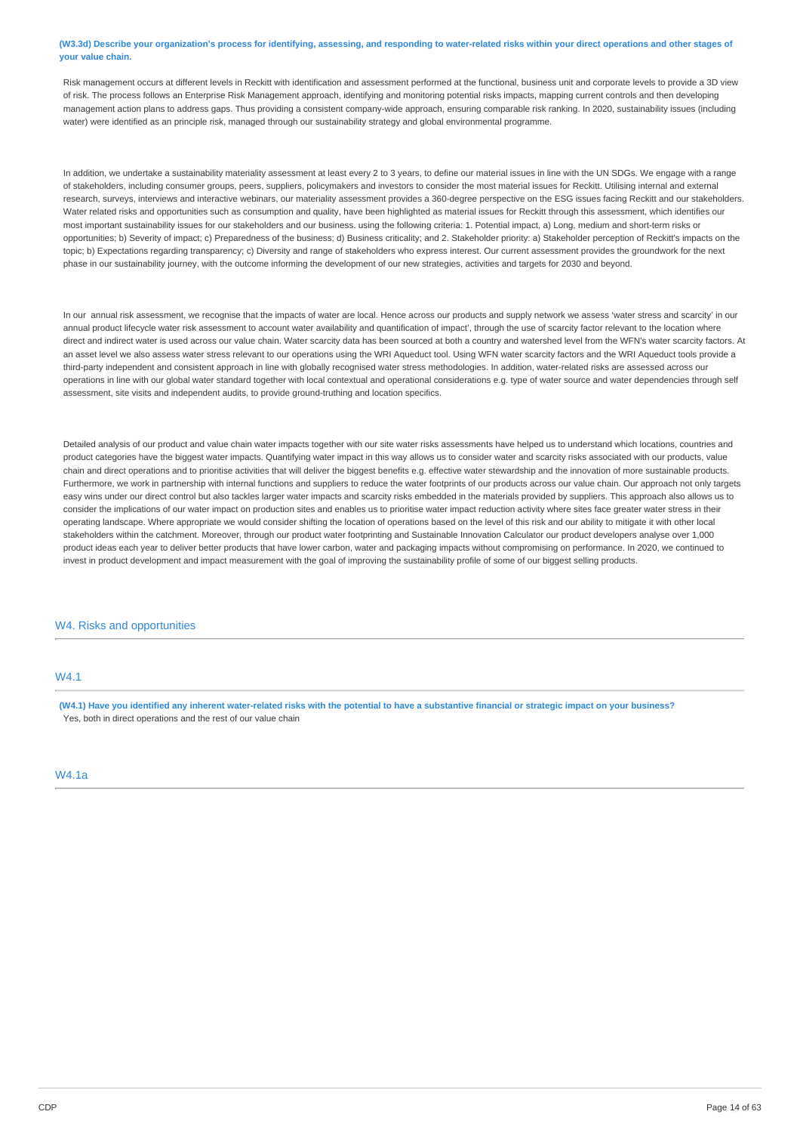(W3.3d) Describe your organization's process for identifying, assessing, and responding to water-related risks within your direct operations and other stages of **your value chain.**

Risk management occurs at different levels in Reckitt with identification and assessment performed at the functional, business unit and corporate levels to provide a 3D view of risk. The process follows an Enterprise Risk Management approach, identifying and monitoring potential risks impacts, mapping current controls and then developing management action plans to address gaps. Thus providing a consistent company-wide approach, ensuring comparable risk ranking. In 2020, sustainability issues (including water) were identified as an principle risk, managed through our sustainability strategy and global environmental programme.

In addition, we undertake a sustainability materiality assessment at least every 2 to 3 years, to define our material issues in line with the UN SDGs. We engage with a range of stakeholders, including consumer groups, peers, suppliers, policymakers and investors to consider the most material issues for Reckitt. Utilising internal and external research, surveys, interviews and interactive webinars, our materiality assessment provides a 360-degree perspective on the ESG issues facing Reckitt and our stakeholders. Water related risks and opportunities such as consumption and quality, have been highlighted as material issues for Reckitt through this assessment, which identifies our most important sustainability issues for our stakeholders and our business. using the following criteria: 1. Potential impact, a) Long, medium and short-term risks or opportunities; b) Severity of impact; c) Preparedness of the business; d) Business criticality; and 2. Stakeholder priority: a) Stakeholder perception of Reckitt's impacts on the topic; b) Expectations regarding transparency; c) Diversity and range of stakeholders who express interest. Our current assessment provides the groundwork for the next phase in our sustainability journey, with the outcome informing the development of our new strategies, activities and targets for 2030 and beyond.

In our annual risk assessment, we recognise that the impacts of water are local. Hence across our products and supply network we assess 'water stress and scarcity' in our annual product lifecycle water risk assessment to account water availability and quantification of impact', through the use of scarcity factor relevant to the location where direct and indirect water is used across our value chain. Water scarcity data has been sourced at both a country and watershed level from the WFN's water scarcity factors. At an asset level we also assess water stress relevant to our operations using the WRI Aqueduct tool. Using WFN water scarcity factors and the WRI Aqueduct tools provide a third-party independent and consistent approach in line with globally recognised water stress methodologies. In addition, water-related risks are assessed across our operations in line with our global water standard together with local contextual and operational considerations e.g. type of water source and water dependencies through self assessment, site visits and independent audits, to provide ground-truthing and location specifics.

Detailed analysis of our product and value chain water impacts together with our site water risks assessments have helped us to understand which locations, countries and product categories have the biggest water impacts. Quantifying water impact in this way allows us to consider water and scarcity risks associated with our products, value chain and direct operations and to prioritise activities that will deliver the biggest benefits e.g. effective water stewardship and the innovation of more sustainable products. Furthermore, we work in partnership with internal functions and suppliers to reduce the water footprints of our products across our value chain. Our approach not only targets easy wins under our direct control but also tackles larger water impacts and scarcity risks embedded in the materials provided by suppliers. This approach also allows us to consider the implications of our water impact on production sites and enables us to prioritise water impact reduction activity where sites face greater water stress in their operating landscape. Where appropriate we would consider shifting the location of operations based on the level of this risk and our ability to mitigate it with other local stakeholders within the catchment. Moreover, through our product water footprinting and Sustainable Innovation Calculator our product developers analyse over 1,000 product ideas each year to deliver better products that have lower carbon, water and packaging impacts without compromising on performance. In 2020, we continued to invest in product development and impact measurement with the goal of improving the sustainability profile of some of our biggest selling products.

# W4. Risks and opportunities

# W4.1

(W4.1) Have you identified any inherent water-related risks with the potential to have a substantive financial or strategic impact on your business? Yes, both in direct operations and the rest of our value chain

# W4.1a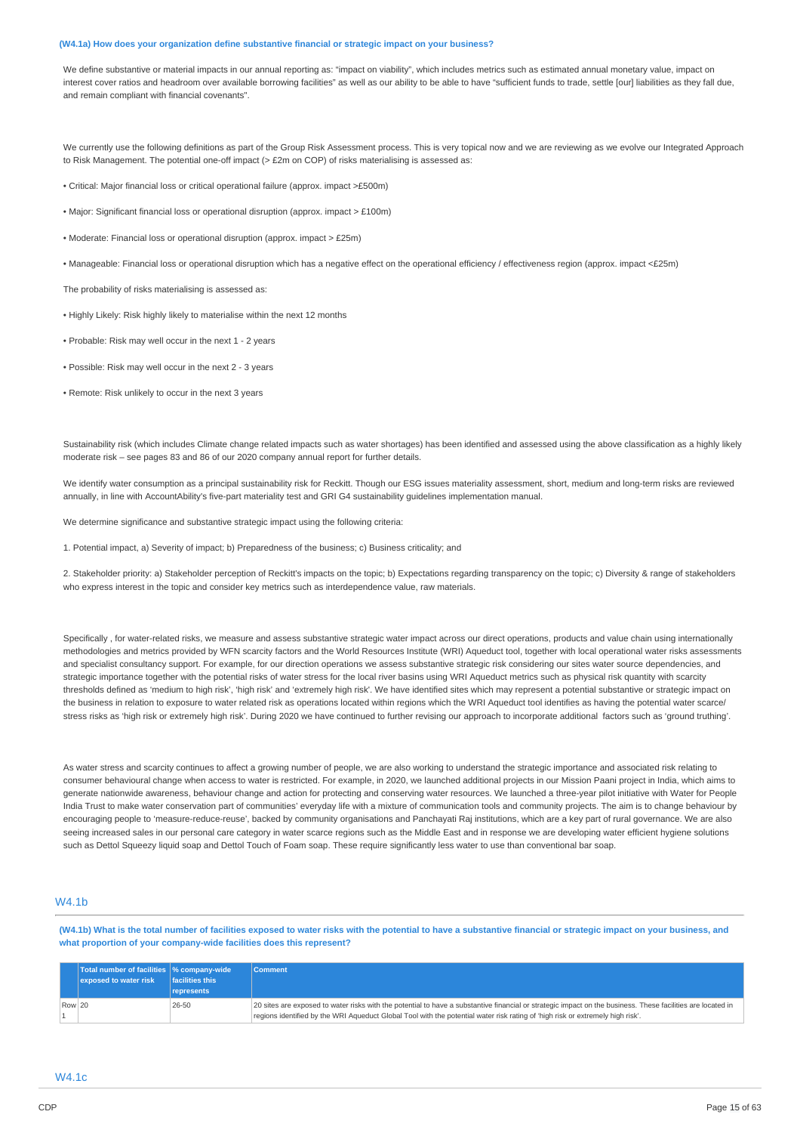#### **(W4.1a) How does your organization define substantive financial or strategic impact on your business?**

We define substantive or material impacts in our annual reporting as: "impact on viability", which includes metrics such as estimated annual monetary value, impact on interest cover ratios and headroom over available borrowing facilities" as well as our ability to be able to have "sufficient funds to trade, settle [our] liabilities as they fall due, and remain compliant with financial covenants".

We currently use the following definitions as part of the Group Risk Assessment process. This is very topical now and we are reviewing as we evolve our Integrated Approach to Risk Management. The potential one-off impact (> £2m on COP) of risks materialising is assessed as:

- Critical: Major financial loss or critical operational failure (approx. impact >£500m)
- Major: Significant financial loss or operational disruption (approx. impact > £100m)
- Moderate: Financial loss or operational disruption (approx. impact > £25m)
- Manageable: Financial loss or operational disruption which has a negative effect on the operational efficiency / effectiveness region (approx. impact <£25m)

The probability of risks materialising is assessed as:

- Highly Likely: Risk highly likely to materialise within the next 12 months
- Probable: Risk may well occur in the next 1 2 years
- Possible: Risk may well occur in the next 2 3 years
- Remote: Risk unlikely to occur in the next 3 years

Sustainability risk (which includes Climate change related impacts such as water shortages) has been identified and assessed using the above classification as a highly likely moderate risk – see pages 83 and 86 of our 2020 company annual report for further details.

We identify water consumption as a principal sustainability risk for Reckitt. Though our ESG issues materiality assessment, short, medium and long-term risks are reviewed annually, in line with AccountAbility's five-part materiality test and GRI G4 sustainability guidelines implementation manual.

We determine significance and substantive strategic impact using the following criteria:

1. Potential impact, a) Severity of impact; b) Preparedness of the business; c) Business criticality; and

2. Stakeholder priority: a) Stakeholder perception of Reckitt's impacts on the topic; b) Expectations regarding transparency on the topic; c) Diversity & range of stakeholders who express interest in the topic and consider key metrics such as interdependence value, raw materials.

Specifically , for water-related risks, we measure and assess substantive strategic water impact across our direct operations, products and value chain using internationally methodologies and metrics provided by WFN scarcity factors and the World Resources Institute (WRI) Aqueduct tool, together with local operational water risks assessments and specialist consultancy support. For example, for our direction operations we assess substantive strategic risk considering our sites water source dependencies, and strategic importance together with the potential risks of water stress for the local river basins using WRI Aqueduct metrics such as physical risk quantity with scarcity thresholds defined as 'medium to high risk', 'high risk' and 'extremely high risk'. We have identified sites which may represent a potential substantive or strategic impact on the business in relation to exposure to water related risk as operations located within regions which the WRI Aqueduct tool identifies as having the potential water scarce/ stress risks as 'high risk or extremely high risk'. During 2020 we have continued to further revising our approach to incorporate additional factors such as 'ground truthing'.

As water stress and scarcity continues to affect a growing number of people, we are also working to understand the strategic importance and associated risk relating to consumer behavioural change when access to water is restricted. For example, in 2020, we launched additional projects in our Mission Paani project in India, which aims to generate nationwide awareness, behaviour change and action for protecting and conserving water resources. We launched a three-year pilot initiative with Water for People India Trust to make water conservation part of communities' everyday life with a mixture of communication tools and community projects. The aim is to change behaviour by encouraging people to 'measure-reduce-reuse', backed by community organisations and Panchayati Raj institutions, which are a key part of rural governance. We are also seeing increased sales in our personal care category in water scarce regions such as the Middle East and in response we are developing water efficient hygiene solutions such as Dettol Squeezy liquid soap and Dettol Touch of Foam soap. These require significantly less water to use than conventional bar soap.

# W4.1b

(W4.1b) What is the total number of facilities exposed to water risks with the potential to have a substantive financial or strategic impact on your business, and **what proportion of your company-wide facilities does this represent?**

|        | Total number of facilities  % company-wide<br>exposed to water risk | facilities this | <b>Comment</b>                                                                                                                                              |
|--------|---------------------------------------------------------------------|-----------------|-------------------------------------------------------------------------------------------------------------------------------------------------------------|
|        |                                                                     | represents      |                                                                                                                                                             |
| Row 20 |                                                                     | 26-50           | 20 sites are exposed to water risks with the potential to have a substantive financial or strategic impact on the business. These facilities are located in |
|        |                                                                     |                 | regions identified by the WRI Aqueduct Global Tool with the potential water risk rating of 'high risk or extremely high risk'.                              |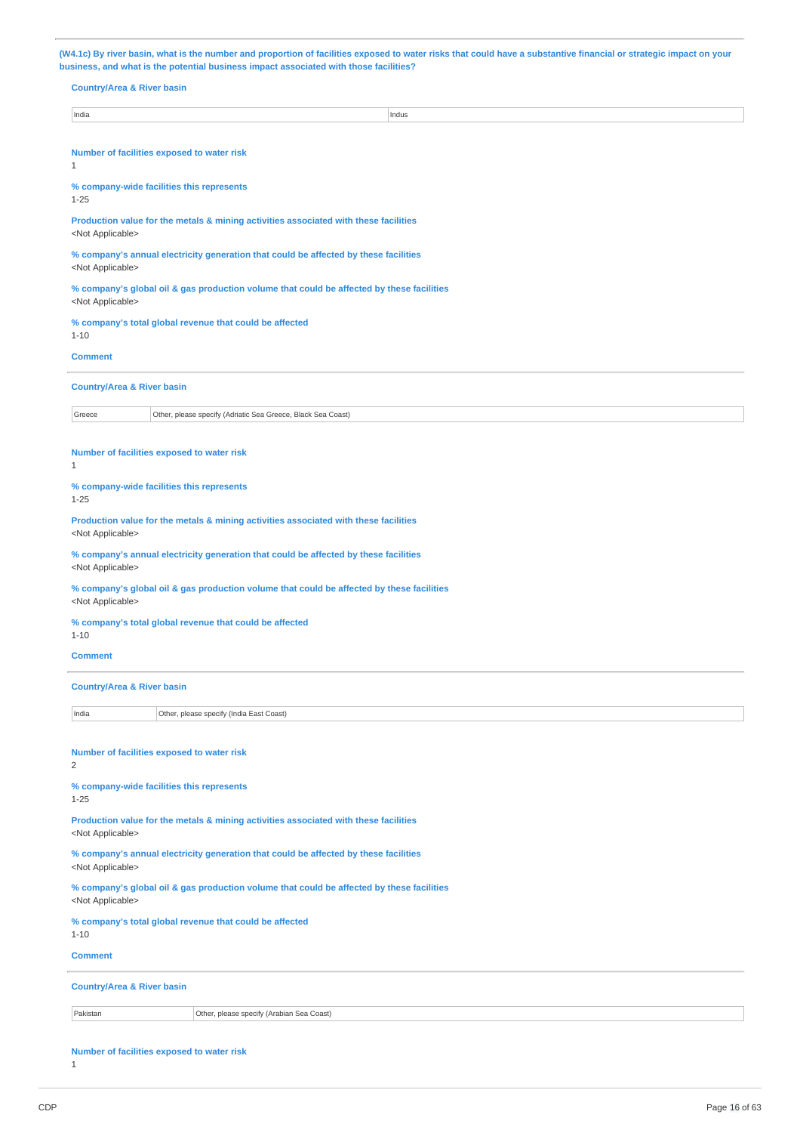(W4.1c) By river basin, what is the number and proportion of facilities exposed to water risks that could have a substantive financial or strategic impact on your **business, and what is the potential business impact associated with those facilities?**

| <b>Country/Area &amp; River basin</b>                                                                                  |  |  |  |  |  |
|------------------------------------------------------------------------------------------------------------------------|--|--|--|--|--|
| India<br>Indus                                                                                                         |  |  |  |  |  |
| Number of facilities exposed to water risk<br>1                                                                        |  |  |  |  |  |
| % company-wide facilities this represents<br>$1 - 25$                                                                  |  |  |  |  |  |
| Production value for the metals & mining activities associated with these facilities<br><not applicable=""></not>      |  |  |  |  |  |
| % company's annual electricity generation that could be affected by these facilities<br><not applicable=""></not>      |  |  |  |  |  |
| % company's global oil & gas production volume that could be affected by these facilities<br><not applicable=""></not> |  |  |  |  |  |
| % company's total global revenue that could be affected<br>$1 - 10$                                                    |  |  |  |  |  |
| <b>Comment</b>                                                                                                         |  |  |  |  |  |
| <b>Country/Area &amp; River basin</b>                                                                                  |  |  |  |  |  |
| Greece<br>Other, please specify (Adriatic Sea Greece, Black Sea Coast)                                                 |  |  |  |  |  |
| Number of facilities exposed to water risk<br>$\mathbf{1}$                                                             |  |  |  |  |  |
| % company-wide facilities this represents<br>$1 - 25$                                                                  |  |  |  |  |  |
| Production value for the metals & mining activities associated with these facilities<br><not applicable=""></not>      |  |  |  |  |  |
| % company's annual electricity generation that could be affected by these facilities<br><not applicable=""></not>      |  |  |  |  |  |
| % company's global oil & gas production volume that could be affected by these facilities<br><not applicable=""></not> |  |  |  |  |  |
| % company's total global revenue that could be affected<br>$1 - 10$                                                    |  |  |  |  |  |
| <b>Comment</b>                                                                                                         |  |  |  |  |  |
| <b>Country/Area &amp; River basin</b>                                                                                  |  |  |  |  |  |
| India<br>Other, please specify (India East Coast)                                                                      |  |  |  |  |  |
| Number of facilities exposed to water risk<br>$\overline{c}$                                                           |  |  |  |  |  |
| % company-wide facilities this represents<br>$1 - 25$                                                                  |  |  |  |  |  |
| Production value for the metals & mining activities associated with these facilities<br><not applicable=""></not>      |  |  |  |  |  |
| % company's annual electricity generation that could be affected by these facilities<br><not applicable=""></not>      |  |  |  |  |  |
| % company's global oil & gas production volume that could be affected by these facilities<br><not applicable=""></not> |  |  |  |  |  |
| % company's total global revenue that could be affected<br>$1 - 10$                                                    |  |  |  |  |  |
| <b>Comment</b>                                                                                                         |  |  |  |  |  |
| <b>Country/Area &amp; River basin</b>                                                                                  |  |  |  |  |  |
| Pakistan<br>Other, please specify (Arabian Sea Coast)                                                                  |  |  |  |  |  |
|                                                                                                                        |  |  |  |  |  |

**Number of facilities exposed to water risk**

1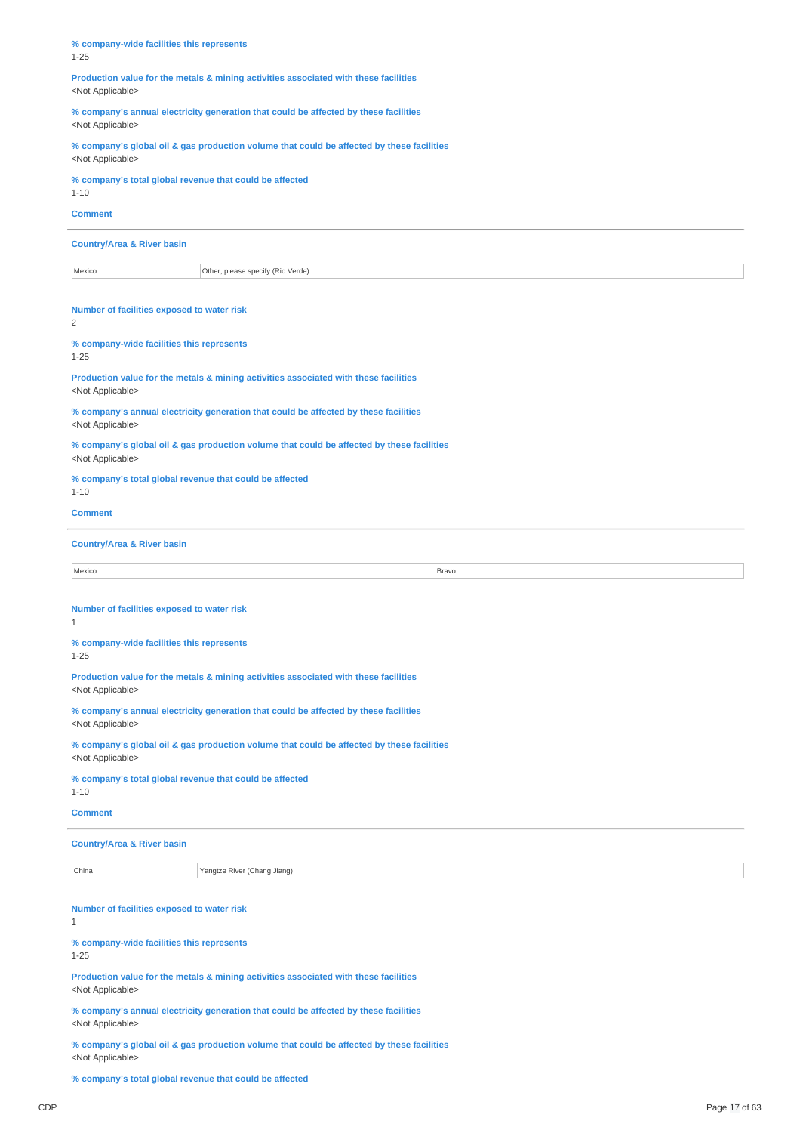**% company-wide facilities this represents** 1-25

**Production value for the metals & mining activities associated with these facilities** <Not Applicable>

**% company's annual electricity generation that could be affected by these facilities** <Not Applicable>

**% company's global oil & gas production volume that could be affected by these facilities** <Not Applicable>

**% company's total global revenue that could be affected**

1-10 **Comment**

# **Country/Area & River basin**

| Mexico | Other, please specify (Rio Verde) |
|--------|-----------------------------------|
|        |                                   |

**Number of facilities exposed to water risk**

 $\overline{2}$ 

#### **% company-wide facilities this represents** 1-25

**Production value for the metals & mining activities associated with these facilities** <Not Applicable>

**% company's annual electricity generation that could be affected by these facilities** <Not Applicable>

**% company's global oil & gas production volume that could be affected by these facilities** <Not Applicable>

# **% company's total global revenue that could be affected**

1-10

# **Comment**

# **Country/Area & River basin**

| Mexico | Bravo |
|--------|-------|

# **Number of facilities exposed to water risk**

1

# **% company-wide facilities this represents** 1-25

**Production value for the metals & mining activities associated with these facilities**

<Not Applicable>

**% company's annual electricity generation that could be affected by these facilities** <Not Applicable>

**% company's global oil & gas production volume that could be affected by these facilities** <Not Applicable>

# **% company's total global revenue that could be affected**

1-10

# **Comment**

# **Country/Area & River basin**

China Yangtze River (Chang Jiang)

#### **Number of facilities exposed to water risk** 1

**% company-wide facilities this represents** 1-25

**Production value for the metals & mining activities associated with these facilities** <Not Applicable>

**% company's annual electricity generation that could be affected by these facilities** <Not Applicable>

**% company's global oil & gas production volume that could be affected by these facilities** <Not Applicable>

**% company's total global revenue that could be affected**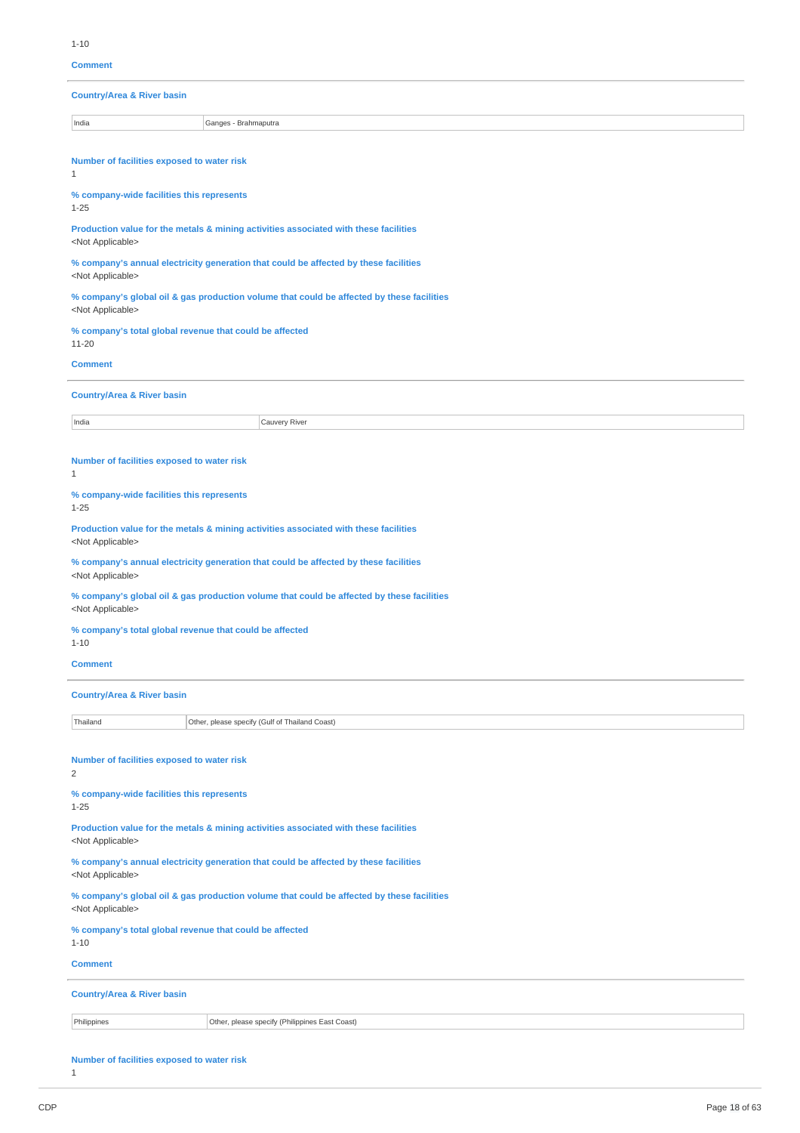**Comment**

**Country/Area & River basin**

India Ganges - Brahmaputra

**Number of facilities exposed to water risk**

1

**% company-wide facilities this represents** 1-25

**Production value for the metals & mining activities associated with these facilities** <Not Applicable>

**% company's annual electricity generation that could be affected by these facilities** <Not Applicable>

**% company's global oil & gas production volume that could be affected by these facilities** <Not Applicable>

**% company's total global revenue that could be affected** 11-20

**Comment**

**Country/Area & River basin**

**India** Cauvery River

# **Number of facilities exposed to water risk**

1

## **% company-wide facilities this represents**

1-25

**Production value for the metals & mining activities associated with these facilities** <Not Applicable>

**% company's annual electricity generation that could be affected by these facilities** <Not Applicable>

**% company's global oil & gas production volume that could be affected by these facilities** <Not Applicable>

**% company's total global revenue that could be affected** 1-10

### **Comment**

| <b>Country/Area &amp; River basin</b> |                                                |  |  |
|---------------------------------------|------------------------------------------------|--|--|
| Thailand                              | Other, please specify (Gulf of Thailand Coast) |  |  |
|                                       |                                                |  |  |

**Number of facilities exposed to water risk**

2

#### **% company-wide facilities this represents** 1-25

**Production value for the metals & mining activities associated with these facilities**

<Not Applicable>

**% company's annual electricity generation that could be affected by these facilities** <Not Applicable>

**% company's global oil & gas production volume that could be affected by these facilities** <Not Applicable>

**% company's total global revenue that could be affected**

1-10 **Comment**

# **Country/Area & River basin**

Philippines **Other, please specify (Philippines East Coast)** 

# **Number of facilities exposed to water risk**

1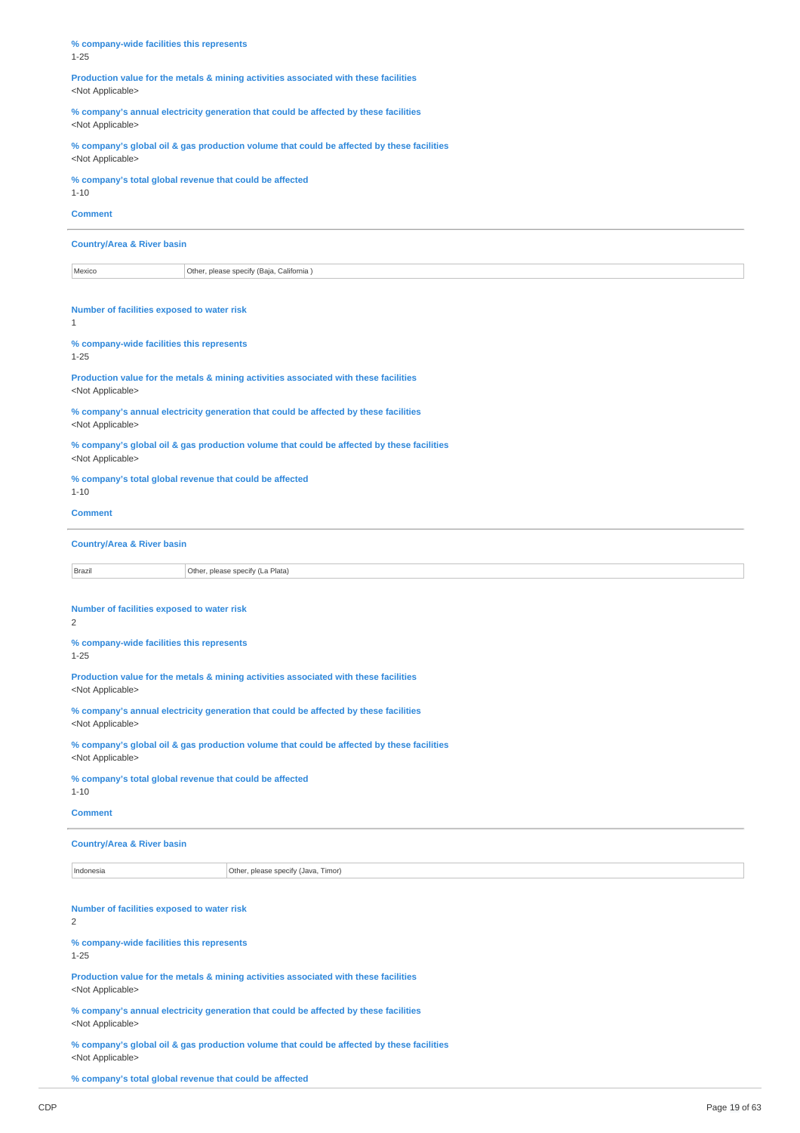**% company-wide facilities this represents** 1-25

**Production value for the metals & mining activities associated with these facilities** <Not Applicable>

**% company's annual electricity generation that could be affected by these facilities** <Not Applicable>

**% company's global oil & gas production volume that could be affected by these facilities** <Not Applicable>

**% company's total global revenue that could be affected**

1-10 **Comment**

# **Country/Area & River basin**

Mexico **Other, please specify (Baja, California** )

**Number of facilities exposed to water risk**

1

# **% company-wide facilities this represents**

1-25

**Production value for the metals & mining activities associated with these facilities** <Not Applicable>

**% company's annual electricity generation that could be affected by these facilities** <Not Applicable>

**% company's global oil & gas production volume that could be affected by these facilities** <Not Applicable>

#### **% company's total global revenue that could be affected** 1-10

# **Comment**

# **Country/Area & River basin**

**Brazil** Brazil **Disk Communist Communist Communist Communist Communist Communist Communist Communist Communist Communist Communist Communist Communist Communist Communist Communist Communist Communist Communist Communist** 

**Number of facilities exposed to water risk**

2

# **% company-wide facilities this represents** 1-25

**Production value for the metals & mining activities associated with these facilities** <Not Applicable>

**% company's annual electricity generation that could be affected by these facilities** <Not Applicable>

**% company's global oil & gas production volume that could be affected by these facilities** <Not Applicable>

# **% company's total global revenue that could be affected**

1-10

# **Comment**

# **Country/Area & River basin**

Indonesia **Other, please specify (Java, Timor)** 

# **Number of facilities exposed to water risk**

2

**% company-wide facilities this represents**

1-25

**Production value for the metals & mining activities associated with these facilities** <Not Applicable>

**% company's annual electricity generation that could be affected by these facilities** <Not Applicable>

**% company's global oil & gas production volume that could be affected by these facilities** <Not Applicable>

**% company's total global revenue that could be affected**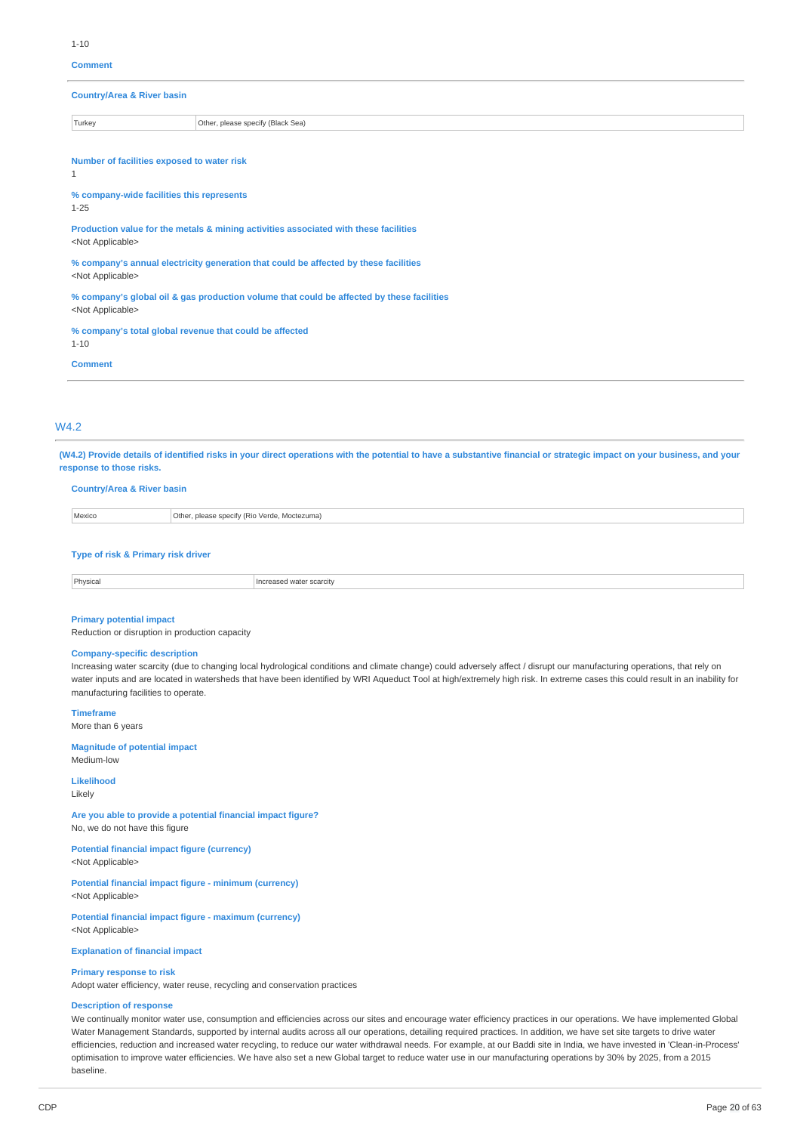#### **Comment**

**Country/Area & River basin**

Turkey **Turkey Community Community** Other, please specify (Black Sea)

**Number of facilities exposed to water risk**

1

**% company-wide facilities this represents** 1-25

**Production value for the metals & mining activities associated with these facilities** <Not Applicable>

**% company's annual electricity generation that could be affected by these facilities** <Not Applicable>

**% company's global oil & gas production volume that could be affected by these facilities** <Not Applicable>

**% company's total global revenue that could be affected** 1-10

**Comment**

# W4.2

(W4.2) Provide details of identified risks in your direct operations with the potential to have a substantive financial or strategic impact on your business, and your **response to those risks.**

#### **Country/Area & River basin**

Mexico **Other, please specify (Rio Verde, Moctezuma)** 

#### **Type of risk & Primary risk driver**

**Physical** Increased water scarcity

#### **Primary potential impact**

Reduction or disruption in production capacity

# **Company-specific description**

Increasing water scarcity (due to changing local hydrological conditions and climate change) could adversely affect / disrupt our manufacturing operations, that rely on water inputs and are located in watersheds that have been identified by WRI Aqueduct Tool at high/extremely high risk. In extreme cases this could result in an inability for manufacturing facilities to operate.

**Timeframe** More than 6 years

**Magnitude of potential impact**

Medium-low

#### **Likelihood** Likely

**Are you able to provide a potential financial impact figure?** No, we do not have this figure

**Potential financial impact figure (currency)** <Not Applicable>

**Potential financial impact figure - minimum (currency)** <Not Applicable>

**Potential financial impact figure - maximum (currency)** <Not Applicable>

**Explanation of financial impact**

#### **Primary response to risk**

Adopt water efficiency, water reuse, recycling and conservation practices

#### **Description of response**

We continually monitor water use, consumption and efficiencies across our sites and encourage water efficiency practices in our operations. We have implemented Global Water Management Standards, supported by internal audits across all our operations, detailing required practices. In addition, we have set site targets to drive water efficiencies, reduction and increased water recycling, to reduce our water withdrawal needs. For example, at our Baddi site in India, we have invested in 'Clean-in-Process' optimisation to improve water efficiencies. We have also set a new Global target to reduce water use in our manufacturing operations by 30% by 2025, from a 2015 baseline.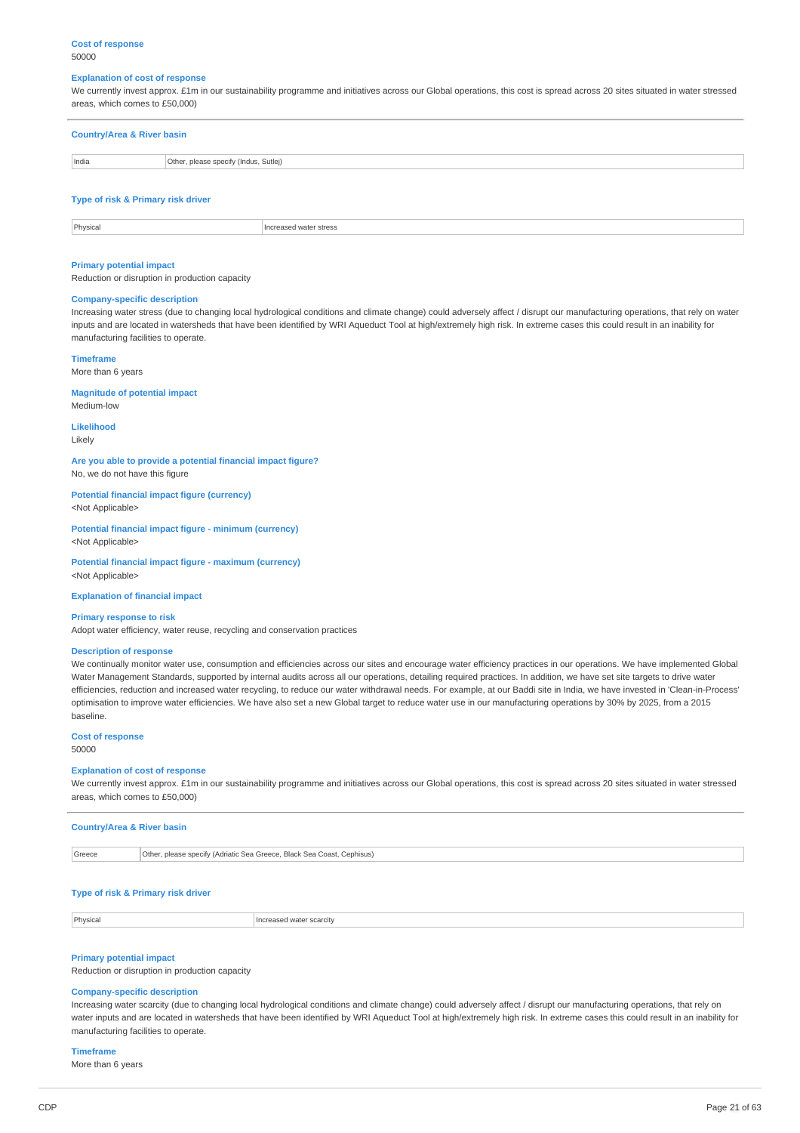#### **Cost of response** 50000

#### **Explanation of cost of response**

We currently invest approx. £1m in our sustainability programme and initiatives across our Global operations, this cost is spread across 20 sites situated in water stressed areas, which comes to £50,000)

| <b>Country/Area &amp; River basin</b> |                                       |  |
|---------------------------------------|---------------------------------------|--|
| India                                 | Other, please specify (Indus, Sutlej) |  |
|                                       |                                       |  |

# **Type of risk & Primary risk driver**

| Physical | Increased water stress<br>. |
|----------|-----------------------------|
|          |                             |

# **Primary potential impact**

Reduction or disruption in production capacity

# **Company-specific description**

Increasing water stress (due to changing local hydrological conditions and climate change) could adversely affect / disrupt our manufacturing operations, that rely on water inputs and are located in watersheds that have been identified by WRI Aqueduct Tool at high/extremely high risk. In extreme cases this could result in an inability for manufacturing facilities to operate.

# **Timeframe**

More than 6 years

# **Magnitude of potential impact**

Medium-low

**Likelihood** Likely

**Are you able to provide a potential financial impact figure?** No, we do not have this figure

# **Potential financial impact figure (currency)**

<Not Applicable>

**Potential financial impact figure - minimum (currency)** <Not Applicable>

**Potential financial impact figure - maximum (currency)**

<Not Applicable>

**Explanation of financial impact**

### **Primary response to risk**

Adopt water efficiency, water reuse, recycling and conservation practices

# **Description of response**

We continually monitor water use, consumption and efficiencies across our sites and encourage water efficiency practices in our operations. We have implemented Global Water Management Standards, supported by internal audits across all our operations, detailing required practices. In addition, we have set site targets to drive water efficiencies, reduction and increased water recycling, to reduce our water withdrawal needs. For example, at our Baddi site in India, we have invested in 'Clean-in-Process' optimisation to improve water efficiencies. We have also set a new Global target to reduce water use in our manufacturing operations by 30% by 2025, from a 2015 baseline.

#### **Cost of response** 50000

### **Explanation of cost of response**

We currently invest approx. £1m in our sustainability programme and initiatives across our Global operations, this cost is spread across 20 sites situated in water stressed areas, which comes to £50,000)

#### **Country/Area & River basin**

| Greece<br>Other, please specify (Adriatic Sea Greece, Black Sea Coast, G<br>. Cephisus)<br>. |  |
|----------------------------------------------------------------------------------------------|--|
|----------------------------------------------------------------------------------------------|--|

### **Type of risk & Primary risk driver**

Physical **Increased water scarcity** 

#### **Primary potential impact**

Reduction or disruption in production capacity

# **Company-specific description**

Increasing water scarcity (due to changing local hydrological conditions and climate change) could adversely affect / disrupt our manufacturing operations, that rely on water inputs and are located in watersheds that have been identified by WRI Aqueduct Tool at high/extremely high risk. In extreme cases this could result in an inability for manufacturing facilities to operate.

#### **Timeframe**

More than 6 years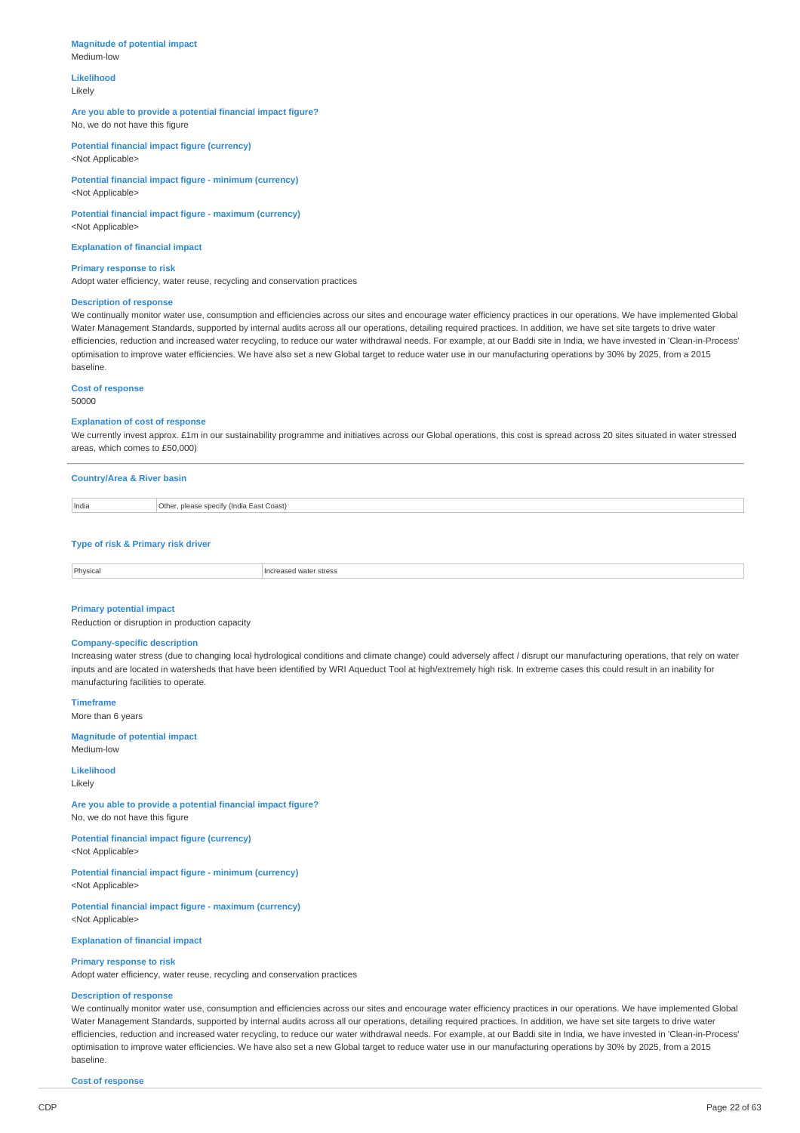#### **Magnitude of potential impact** Medium-low

**Likelihood** Likely

# **Are you able to provide a potential financial impact figure?** No, we do not have this figure

**Potential financial impact figure (currency)** <Not Applicable>

**Potential financial impact figure - minimum (currency)** <Not Applicable>

**Potential financial impact figure - maximum (currency)** <Not Applicable>

**Explanation of financial impact**

**Primary response to risk** Adopt water efficiency, water reuse, recycling and conservation practices

# **Description of response**

We continually monitor water use, consumption and efficiencies across our sites and encourage water efficiency practices in our operations. We have implemented Global Water Management Standards, supported by internal audits across all our operations, detailing required practices. In addition, we have set site targets to drive water efficiencies, reduction and increased water recycling, to reduce our water withdrawal needs. For example, at our Baddi site in India, we have invested in 'Clean-in-Process' optimisation to improve water efficiencies. We have also set a new Global target to reduce water use in our manufacturing operations by 30% by 2025, from a 2015 baseline.

**Cost of response**

50000

#### **Explanation of cost of response**

We currently invest approx. £1m in our sustainability programme and initiatives across our Global operations, this cost is spread across 20 sites situated in water stressed areas, which comes to £50,000)

| <b>Country/Area &amp; River basin</b> |  |  |  |  |
|---------------------------------------|--|--|--|--|
|                                       |  |  |  |  |

| India | Other<br>Coast)<br>. please specify<br>⊿ Eoct 1<br>Indin<br>шила |
|-------|------------------------------------------------------------------|
|       |                                                                  |

# **Type of risk & Primary risk driver**

| Physica<br>. | stress<br>:asei<br>. |
|--------------|----------------------|
|              |                      |

#### **Primary potential impact**

Reduction or disruption in production capacity

# **Company-specific description**

Increasing water stress (due to changing local hydrological conditions and climate change) could adversely affect / disrupt our manufacturing operations, that rely on water inputs and are located in watersheds that have been identified by WRI Aqueduct Tool at high/extremely high risk. In extreme cases this could result in an inability for manufacturing facilities to operate.

**Timeframe**

More than 6 years

#### **Magnitude of potential impact** Medium-low

**Likelihood**

Likely

**Are you able to provide a potential financial impact figure?** No, we do not have this figure

**Potential financial impact figure (currency)** <Not Applicable>

**Potential financial impact figure - minimum (currency)** <Not Applicable>

**Potential financial impact figure - maximum (currency)** <Not Applicable>

**Explanation of financial impact**

#### **Primary response to risk**

Adopt water efficiency, water reuse, recycling and conservation practices

# **Description of response**

We continually monitor water use, consumption and efficiencies across our sites and encourage water efficiency practices in our operations. We have implemented Global Water Management Standards, supported by internal audits across all our operations, detailing required practices, In addition, we have set site targets to drive water efficiencies, reduction and increased water recycling, to reduce our water withdrawal needs. For example, at our Baddi site in India, we have invested in 'Clean-in-Process' optimisation to improve water efficiencies. We have also set a new Global target to reduce water use in our manufacturing operations by 30% by 2025, from a 2015 baseline.

**Cost of response**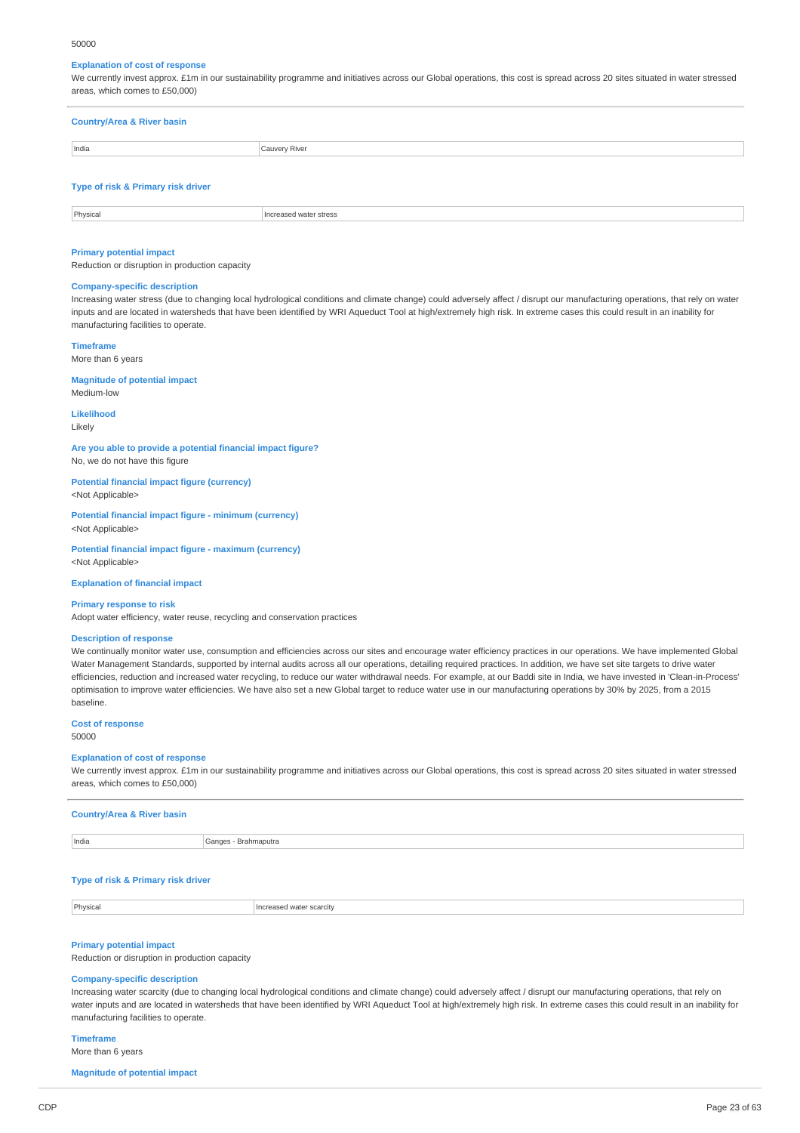#### 50000

# **Explanation of cost of response**

We currently invest approx. £1m in our sustainability programme and initiatives across our Global operations, this cost is spread across 20 sites situated in water stressed areas, which comes to £50,000)

| Cauvery River | <b>Country/Area &amp; River basin</b> |  |  |
|---------------|---------------------------------------|--|--|
|               | India                                 |  |  |

# **Type of risk & Primary risk driver**

| Physica. | stres<br>11.7 |
|----------|---------------|
|          |               |

### **Primary potential impact**

Reduction or disruption in production capacity

### **Company-specific description**

Increasing water stress (due to changing local hydrological conditions and climate change) could adversely affect / disrupt our manufacturing operations, that rely on water inputs and are located in watersheds that have been identified by WRI Aqueduct Tool at high/extremely high risk. In extreme cases this could result in an inability for manufacturing facilities to operate.

#### **Timeframe**

More than 6 years

**Magnitude of potential impact** Medium-low

# **Likelihood**

Likely

**Are you able to provide a potential financial impact figure?** No, we do not have this figure

**Potential financial impact figure (currency)** <Not Applicable>

#### **Potential financial impact figure - minimum (currency)** <Not Applicable>

**Potential financial impact figure - maximum (currency)** <Not Applicable>

**Explanation of financial impact**

#### **Primary response to risk**

Adopt water efficiency, water reuse, recycling and conservation practices

# **Description of response**

We continually monitor water use, consumption and efficiencies across our sites and encourage water efficiency practices in our operations. We have implemented Global Water Management Standards, supported by internal audits across all our operations, detailing required practices. In addition, we have set site targets to drive water efficiencies, reduction and increased water recycling, to reduce our water withdrawal needs. For example, at our Baddi site in India, we have invested in 'Clean-in-Process' optimisation to improve water efficiencies. We have also set a new Global target to reduce water use in our manufacturing operations by 30% by 2025, from a 2015 baseline.

# **Cost of response**

50000

#### **Explanation of cost of response**

We currently invest approx. £1m in our sustainability programme and initiatives across our Global operations, this cost is spread across 20 sites situated in water stressed areas, which comes to £50,000)

| <b>Country/Area &amp; River basin</b> |                      |
|---------------------------------------|----------------------|
| India                                 | Ganges - Brahmaputra |

#### **Type of risk & Primary risk driver**

Physical **Increased water scarcity** 

# **Primary potential impact**

Reduction or disruption in production capacity

### **Company-specific description**

Increasing water scarcity (due to changing local hydrological conditions and climate change) could adversely affect / disrupt our manufacturing operations, that rely on water inputs and are located in watersheds that have been identified by WRI Aqueduct Tool at high/extremely high risk. In extreme cases this could result in an inability for manufacturing facilities to operate.

# **Timeframe**

More than 6 years

**Magnitude of potential impact**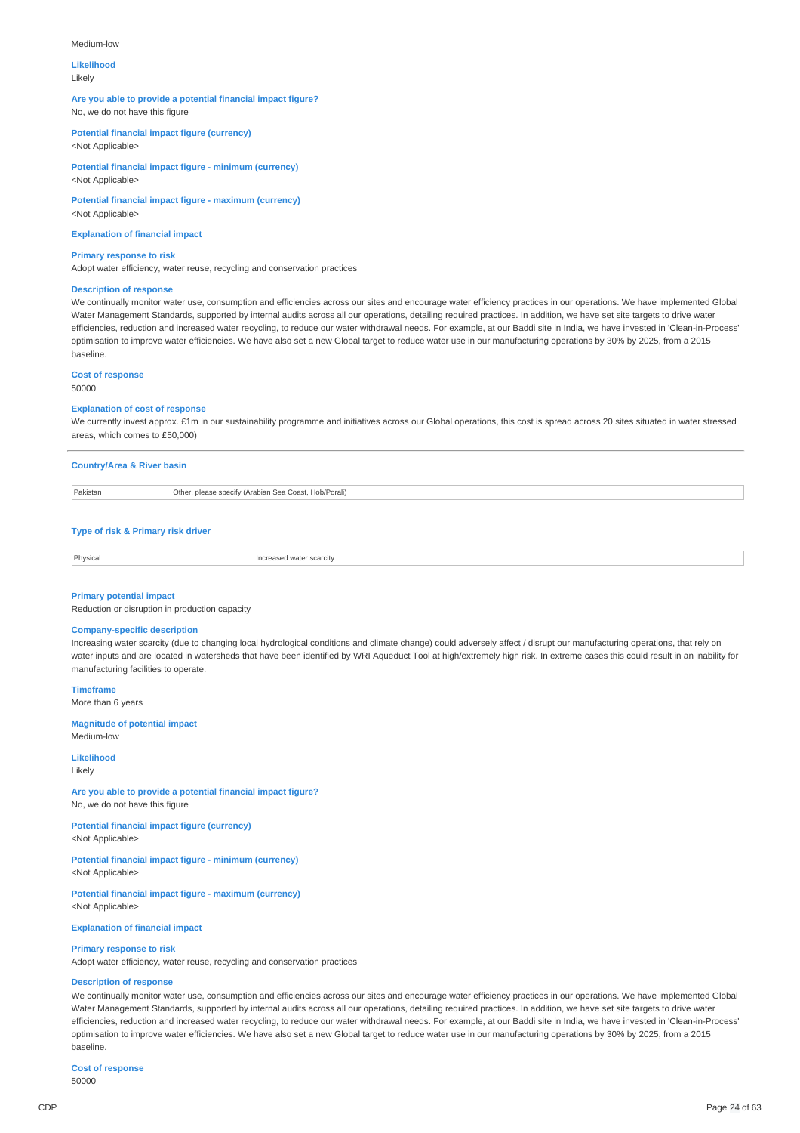#### Medium-low

# **Likelihood**

Likely

### **Are you able to provide a potential financial impact figure?** No, we do not have this figure

**Potential financial impact figure (currency)**

<Not Applicable>

#### **Potential financial impact figure - minimum (currency)** <Not Applicable>

**Potential financial impact figure - maximum (currency)** <Not Applicable>

**Explanation of financial impact**

### **Primary response to risk**

Adopt water efficiency, water reuse, recycling and conservation practices

#### **Description of response**

We continually monitor water use, consumption and efficiencies across our sites and encourage water efficiency practices in our operations. We have implemented Global Water Management Standards, supported by internal audits across all our operations, detailing required practices. In addition, we have set site targets to drive water efficiencies, reduction and increased water recycling, to reduce our water withdrawal needs. For example, at our Baddi site in India, we have invested in 'Clean-in-Process' optimisation to improve water efficiencies. We have also set a new Global target to reduce water use in our manufacturing operations by 30% by 2025, from a 2015 baseline.

# **Cost of response**

50000

#### **Explanation of cost of response**

We currently invest approx. £1m in our sustainability programme and initiatives across our Global operations, this cost is spread across 20 sites situated in water stressed areas, which comes to £50,000)

|          | <b>Country/Area &amp; River basin</b>                 |  |
|----------|-------------------------------------------------------|--|
| Pakistan | Other, please specify (Arabian Sea Coast, Hob/Porali) |  |
|          |                                                       |  |

# **Type of risk & Primary risk driver**

| Physical | r scarcity<br>ised water<br>m<br>. |
|----------|------------------------------------|
|          |                                    |

### **Primary potential impact**

Reduction or disruption in production capacity

#### **Company-specific description**

Increasing water scarcity (due to changing local hydrological conditions and climate change) could adversely affect / disrupt our manufacturing operations, that rely on water inputs and are located in watersheds that have been identified by WRI Aqueduct Tool at high/extremely high risk. In extreme cases this could result in an inability for manufacturing facilities to operate.

**Timeframe** More than 6 years

#### **Magnitude of potential impact**

Medium-low

**Likelihood** Likely

### **Are you able to provide a potential financial impact figure?** No, we do not have this figure

**Potential financial impact figure (currency)** <Not Applicable>

**Potential financial impact figure - minimum (currency)** <Not Applicable>

**Potential financial impact figure - maximum (currency)** <Not Applicable>

**Explanation of financial impact**

### **Primary response to risk**

Adopt water efficiency, water reuse, recycling and conservation practices

# **Description of response**

We continually monitor water use, consumption and efficiencies across our sites and encourage water efficiency practices in our operations. We have implemented Global Water Management Standards, supported by internal audits across all our operations, detailing required practices. In addition, we have set site targets to drive water efficiencies, reduction and increased water recycling, to reduce our water withdrawal needs. For example, at our Baddi site in India, we have invested in 'Clean-in-Process' optimisation to improve water efficiencies. We have also set a new Global target to reduce water use in our manufacturing operations by 30% by 2025, from a 2015 baseline.

**Cost of response** 50000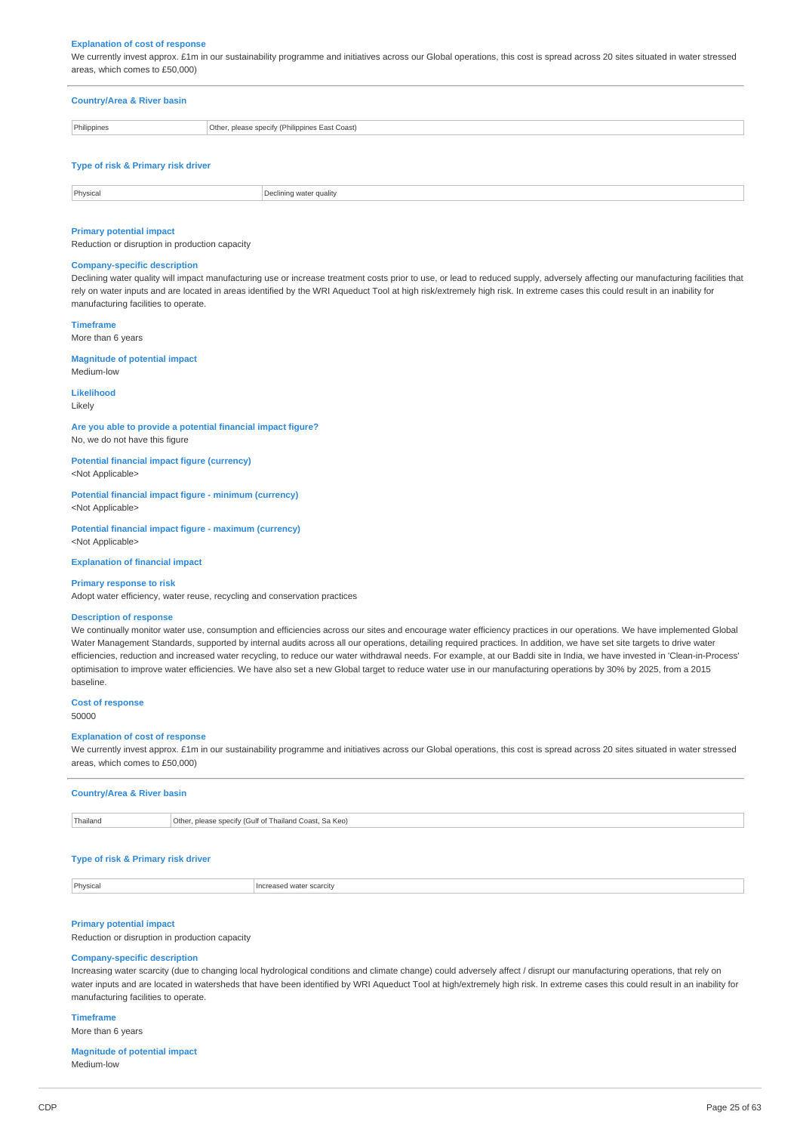#### **Explanation of cost of response**

We currently invest approx. £1m in our sustainability programme and initiatives across our Global operations, this cost is spread across 20 sites situated in water stressed areas, which comes to £50,000)

# **Country/Area & River basin** Philippines **Other, please specify (Philippines East Coast)**

### **Type of risk & Primary risk driver**

| Physical | clinina water aualitv |
|----------|-----------------------|
|          |                       |

### **Primary potential impact**

Reduction or disruption in production capacity

### **Company-specific description**

Declining water quality will impact manufacturing use or increase treatment costs prior to use, or lead to reduced supply, adversely affecting our manufacturing facilities that rely on water inputs and are located in areas identified by the WRI Aqueduct Tool at high risk/extremely high risk. In extreme cases this could result in an inability for manufacturing facilities to operate.

**Timeframe**

More than 6 years

# **Magnitude of potential impact**

Medium-low

### **Likelihood**

Likely

**Are you able to provide a potential financial impact figure?** No, we do not have this figure

**Potential financial impact figure (currency)**

<Not Applicable>

**Potential financial impact figure - minimum (currency)** <Not Applicable>

**Potential financial impact figure - maximum (currency)** <Not Applicable>

**Explanation of financial impact**

#### **Primary response to risk**

Adopt water efficiency, water reuse, recycling and conservation practices

#### **Description of response**

We continually monitor water use, consumption and efficiencies across our sites and encourage water efficiency practices in our operations. We have implemented Global Water Management Standards, supported by internal audits across all our operations, detailing required practices. In addition, we have set site targets to drive water efficiencies, reduction and increased water recycling, to reduce our water withdrawal needs. For example, at our Baddi site in India, we have invested in 'Clean-in-Process' optimisation to improve water efficiencies. We have also set a new Global target to reduce water use in our manufacturing operations by 30% by 2025, from a 2015 baseline.

# **Cost of response**

50000

#### **Explanation of cost of response**

We currently invest approx. £1m in our sustainability programme and initiatives across our Global operations, this cost is spread across 20 sites situated in water stressed areas, which comes to £50,000)

| <b>Country/Area &amp; River basin</b> |                                                        |
|---------------------------------------|--------------------------------------------------------|
| Thailand                              | Other, please specify (Gulf of Thailand Coast, Sa Keo) |

### **Type of risk & Primary risk driver**

Physical **Increased water scarcity** 

#### **Primary potential impact**

Reduction or disruption in production capacity

#### **Company-specific description**

Increasing water scarcity (due to changing local hydrological conditions and climate change) could adversely affect / disrupt our manufacturing operations, that rely on water inputs and are located in watersheds that have been identified by WRI Aqueduct Tool at high/extremely high risk. In extreme cases this could result in an inability for manufacturing facilities to operate.

# **Timeframe**

More than 6 years

### **Magnitude of potential impact** Medium-low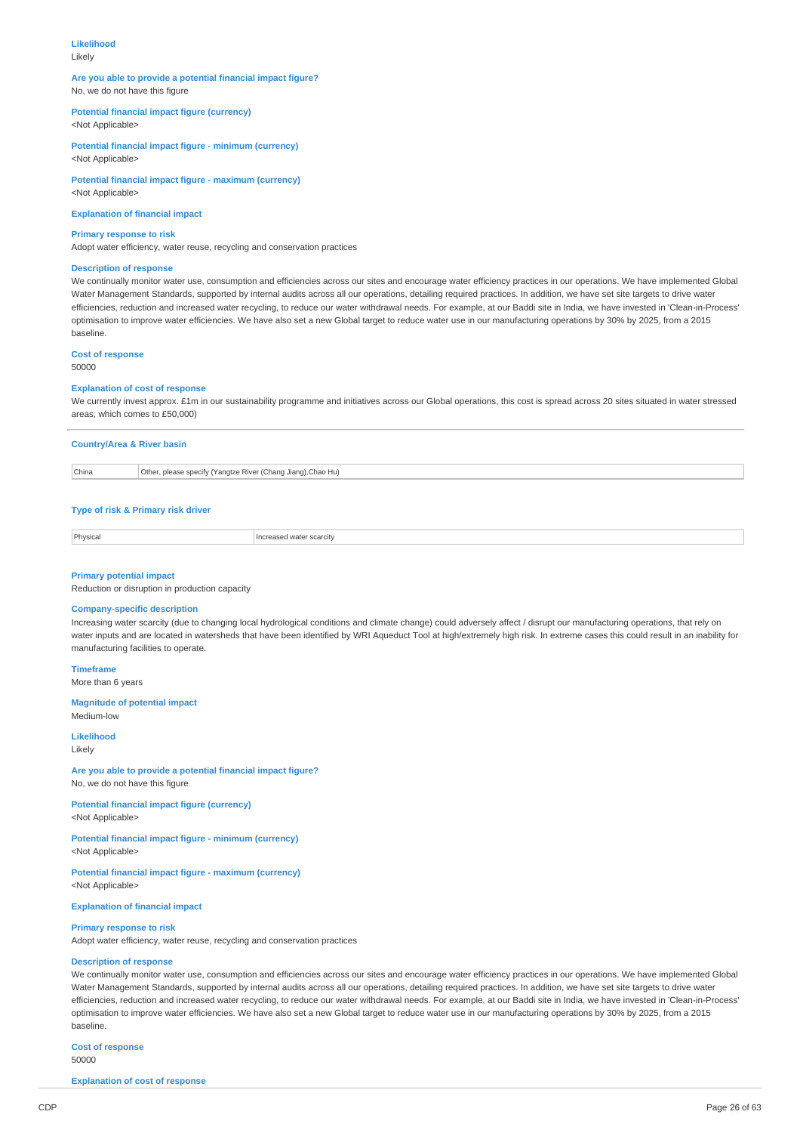# **Likelihood**

Likely

# **Are you able to provide a potential financial impact figure?** No, we do not have this figure

# **Potential financial impact figure (currency)**

<Not Applicable>

**Potential financial impact figure - minimum (currency)** <Not Applicable>

**Potential financial impact figure - maximum (currency)** <Not Applicable>

**Explanation of financial impact**

#### **Primary response to risk**

Adopt water efficiency, water reuse, recycling and conservation practices

#### **Description of response**

We continually monitor water use, consumption and efficiencies across our sites and encourage water efficiency practices in our operations. We have implemented Global Water Management Standards, supported by internal audits across all our operations, detailing required practices. In addition, we have set site targets to drive water efficiencies, reduction and increased water recycling, to reduce our water withdrawal needs. For example, at our Baddi site in India, we have invested in 'Clean-in-Process' optimisation to improve water efficiencies. We have also set a new Global target to reduce water use in our manufacturing operations by 30% by 2025, from a 2015 baseline.

#### **Cost of response** 50000

# **Explanation of cost of response**

We currently invest approx. £1m in our sustainability programme and initiatives across our Global operations, this cost is spread across 20 sites situated in water stressed areas, which comes to £50,000)

|       | <b>Country/Area &amp; River basin</b>                        |  |
|-------|--------------------------------------------------------------|--|
| China | Other, please specify (Yangtze River (Chang Jiang), Chao Hu) |  |

#### **Type of risk & Primary risk driver**

Physical **Increased water scarcity** 

# **Primary potential impact**

Reduction or disruption in production capacity

# **Company-specific description**

Increasing water scarcity (due to changing local hydrological conditions and climate change) could adversely affect / disrupt our manufacturing operations, that rely on water inputs and are located in watersheds that have been identified by WRI Aqueduct Tool at high/extremely high risk. In extreme cases this could result in an inability for manufacturing facilities to operate.

**Timeframe** More than 6 years

#### **Magnitude of potential impact**

Medium-low

**Likelihood** Likely

**Are you able to provide a potential financial impact figure?** No, we do not have this figure

**Potential financial impact figure (currency)** <Not Applicable>

**Potential financial impact figure - minimum (currency)** <Not Applicable>

**Potential financial impact figure - maximum (currency)** <Not Applicable>

### **Explanation of financial impact**

#### **Primary response to risk**

Adopt water efficiency, water reuse, recycling and conservation practices

#### **Description of response**

We continually monitor water use, consumption and efficiencies across our sites and encourage water efficiency practices in our operations. We have implemented Global Water Management Standards, supported by internal audits across all our operations, detailing required practices. In addition, we have set site targets to drive water efficiencies, reduction and increased water recycling, to reduce our water withdrawal needs. For example, at our Baddi site in India, we have invested in 'Clean-in-Process' optimisation to improve water efficiencies. We have also set a new Global target to reduce water use in our manufacturing operations by 30% by 2025, from a 2015 baseline.

**Cost of response**

50000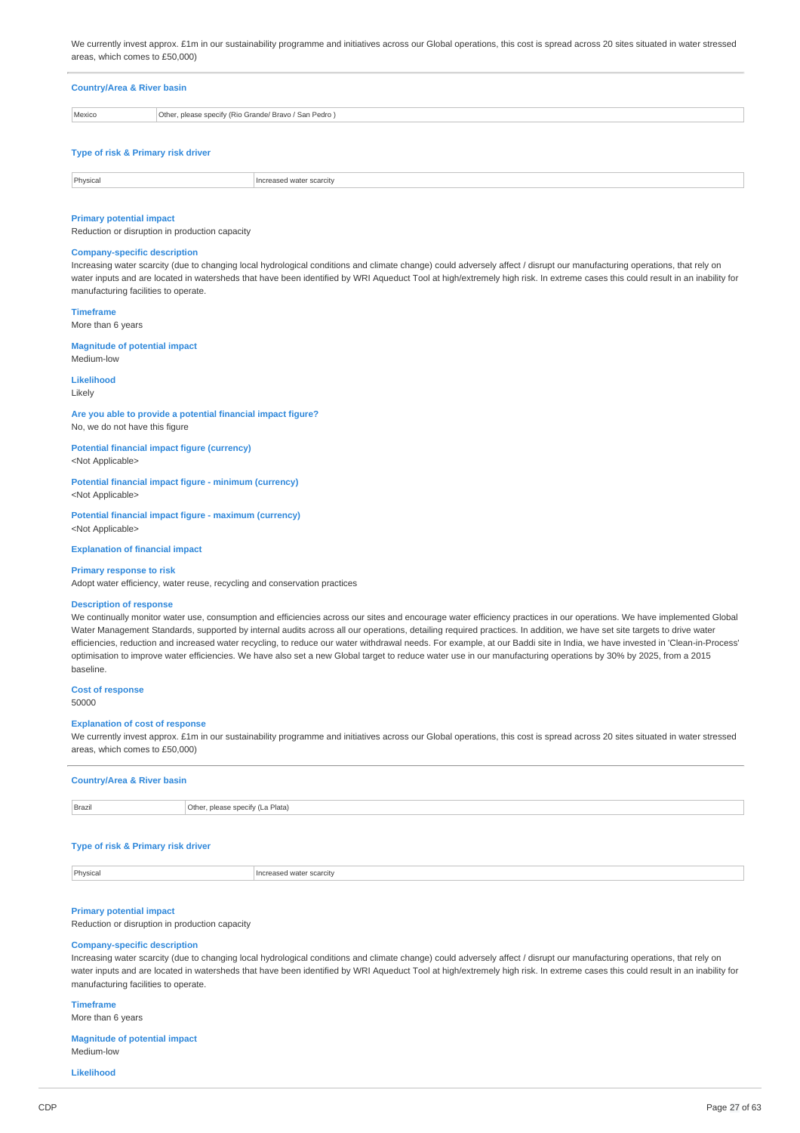We currently invest approx. £1m in our sustainability programme and initiatives across our Global operations, this cost is spread across 20 sites situated in water stressed areas, which comes to £50,000)

# **Country/Area & River basin**

| Mexico                             | Other, please specify (Rio Grande/ Bravo / San Pedro) |
|------------------------------------|-------------------------------------------------------|
|                                    |                                                       |
| Type of risk & Primary risk driver |                                                       |

| Physic<br>$\cdot$<br>. | carcırvد -<br><b>VVCII</b><br>.<br>.<br>. |
|------------------------|-------------------------------------------|
|                        |                                           |

#### **Primary potential impact**

Reduction or disruption in production capacity

# **Company-specific description**

Increasing water scarcity (due to changing local hydrological conditions and climate change) could adversely affect / disrupt our manufacturing operations, that rely on water inputs and are located in watersheds that have been identified by WRI Aqueduct Tool at high/extremely high risk. In extreme cases this could result in an inability for manufacturing facilities to operate.

**Timeframe** More than 6 years

### **Magnitude of potential impact**

Medium-low

**Likelihood** Likely

# **Are you able to provide a potential financial impact figure?**

No, we do not have this figure

### **Potential financial impact figure (currency)** <Not Applicable>

**Potential financial impact figure - minimum (currency)** <Not Applicable>

**Potential financial impact figure - maximum (currency)** <Not Applicable>

# **Explanation of financial impact**

#### **Primary response to risk**

Adopt water efficiency, water reuse, recycling and conservation practices

# **Description of response**

We continually monitor water use, consumption and efficiencies across our sites and encourage water efficiency practices in our operations. We have implemented Global Water Management Standards, supported by internal audits across all our operations, detailing required practices. In addition, we have set site targets to drive water efficiencies, reduction and increased water recycling, to reduce our water withdrawal needs. For example, at our Baddi site in India, we have invested in 'Clean-in-Process' optimisation to improve water efficiencies. We have also set a new Global target to reduce water use in our manufacturing operations by 30% by 2025, from a 2015 baseline.

**Cost of response** 50000

#### **Explanation of cost of response**

We currently invest approx. £1m in our sustainability programme and initiatives across our Global operations, this cost is spread across 20 sites situated in water stressed areas, which comes to £50,000)

#### **Country/Area & River basin**

**Brazil** Brazil **Brazil** Other, please specify (La Plata)

# **Type of risk & Primary risk driver**

**Physical Increased water scarcity** 

# **Primary potential impact**

Reduction or disruption in production capacity

#### **Company-specific description**

Increasing water scarcity (due to changing local hydrological conditions and climate change) could adversely affect / disrupt our manufacturing operations, that rely on water inputs and are located in watersheds that have been identified by WRI Aqueduct Tool at high/extremely high risk. In extreme cases this could result in an inability for manufacturing facilities to operate.

#### **Timeframe**

More than 6 years

**Magnitude of potential impact** Medium-low

#### **Likelihood**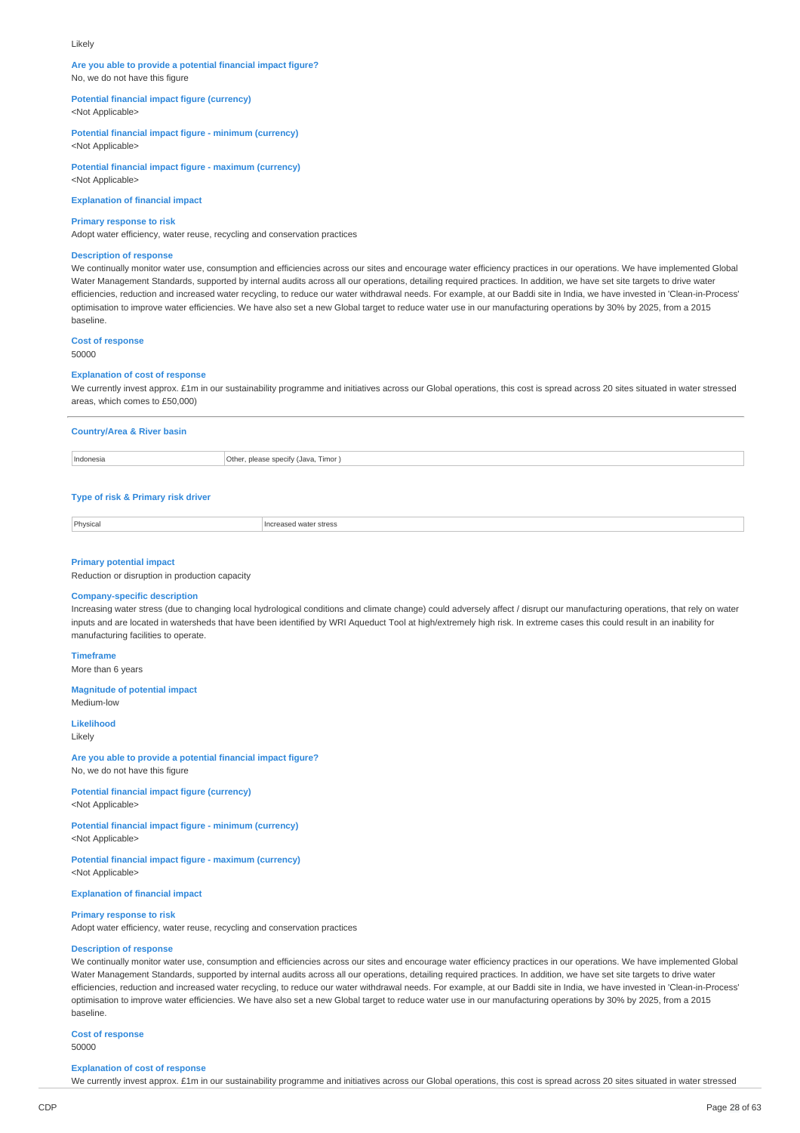#### Likely

### **Are you able to provide a potential financial impact figure?** No, we do not have this figure

**Potential financial impact figure (currency)**

<Not Applicable>

**Potential financial impact figure - minimum (currency)** <Not Applicable>

**Potential financial impact figure - maximum (currency)** <Not Applicable>

**Explanation of financial impact**

#### **Primary response to risk**

Adopt water efficiency, water reuse, recycling and conservation practices

# **Description of response**

We continually monitor water use, consumption and efficiencies across our sites and encourage water efficiency practices in our operations. We have implemented Global Water Management Standards, supported by internal audits across all our operations, detailing required practices. In addition, we have set site targets to drive water efficiencies, reduction and increased water recycling, to reduce our water withdrawal needs. For example, at our Baddi site in India, we have invested in 'Clean-in-Process' optimisation to improve water efficiencies. We have also set a new Global target to reduce water use in our manufacturing operations by 30% by 2025, from a 2015 baseline.

#### **Cost of response**

50000

# **Explanation of cost of response**

We currently invest approx. £1m in our sustainability programme and initiatives across our Global operations, this cost is spread across 20 sites situated in water stressed areas, which comes to £50,000)

| <b>Country/Area &amp; River basin</b> |                                     |
|---------------------------------------|-------------------------------------|
| Indonesia                             | Other, please specify (Java, Timor) |
|                                       |                                     |

#### **Type of risk & Primary risk driver**

Physical **Increased water stress** 

#### **Primary potential impact**

Reduction or disruption in production capacity

# **Company-specific description**

Increasing water stress (due to changing local hydrological conditions and climate change) could adversely affect / disrupt our manufacturing operations, that rely on water inputs and are located in watersheds that have been identified by WRI Aqueduct Tool at high/extremely high risk. In extreme cases this could result in an inability for manufacturing facilities to operate.

# **Timeframe**

More than 6 years

#### **Magnitude of potential impact** Medium-low

#### **Likelihood** Likely

**Are you able to provide a potential financial impact figure?** No, we do not have this figure

**Potential financial impact figure (currency)** <Not Applicable>

**Potential financial impact figure - minimum (currency)** <Not Applicable>

**Potential financial impact figure - maximum (currency)** <Not Applicable>

**Explanation of financial impact**

### **Primary response to risk**

Adopt water efficiency, water reuse, recycling and conservation practices

# **Description of response**

We continually monitor water use, consumption and efficiencies across our sites and encourage water efficiency practices in our operations. We have implemented Global Water Management Standards, supported by internal audits across all our operations, detailing required practices. In addition, we have set site targets to drive water efficiencies, reduction and increased water recycling, to reduce our water withdrawal needs. For example, at our Baddi site in India, we have invested in 'Clean-in-Process' optimisation to improve water efficiencies. We have also set a new Global target to reduce water use in our manufacturing operations by 30% by 2025, from a 2015 baseline.

**Cost of response**

# 50000

#### **Explanation of cost of response**

We currently invest approx. £1m in our sustainability programme and initiatives across our Global operations, this cost is spread across 20 sites situated in water stressed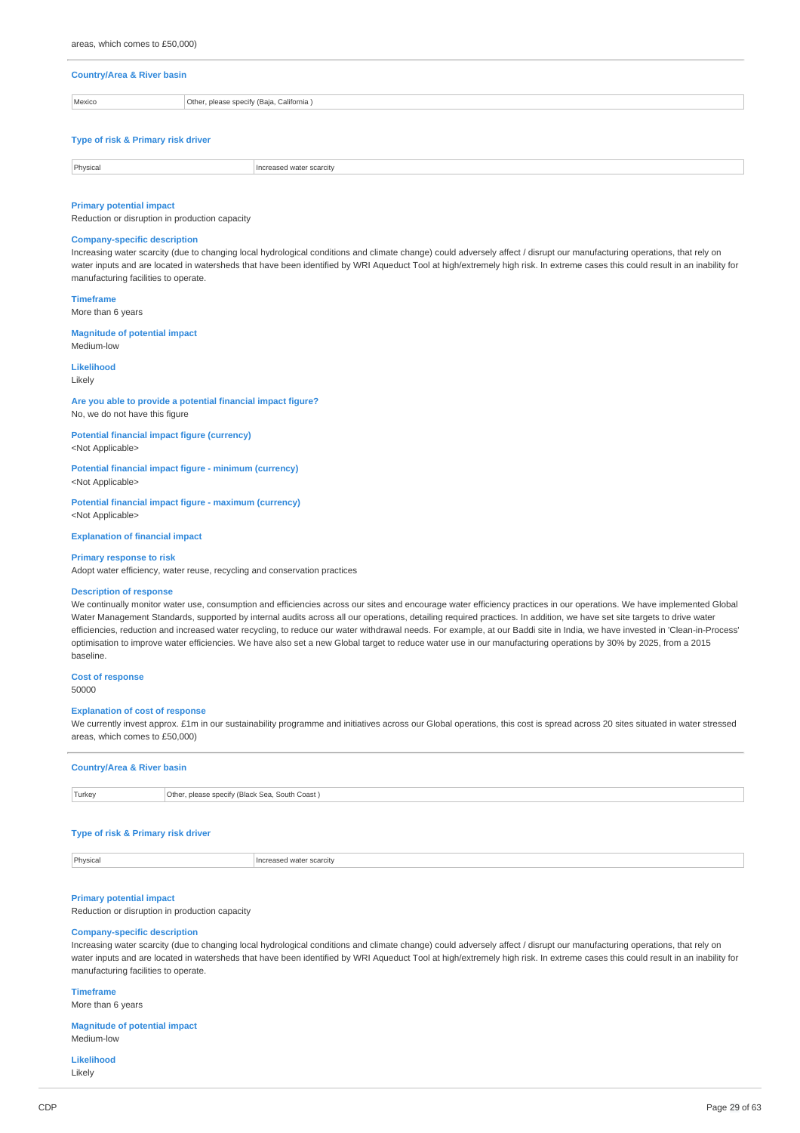# **Country/Area & River basin** Mexico **Other, please specify (Baja, California** )

# **Type of risk & Primary risk driver**

| Physica | carcity<br>wate |
|---------|-----------------|

#### **Primary potential impact**

Reduction or disruption in production capacity

# **Company-specific description**

Increasing water scarcity (due to changing local hydrological conditions and climate change) could adversely affect / disrupt our manufacturing operations, that rely on water inputs and are located in watersheds that have been identified by WRI Aqueduct Tool at high/extremely high risk. In extreme cases this could result in an inability for manufacturing facilities to operate.

**Timeframe**

More than 6 years

# **Magnitude of potential impact**

Medium-low

# **Likelihood**

Likely

# **Are you able to provide a potential financial impact figure?**

No, we do not have this figure

**Potential financial impact figure (currency)** <Not Applicable>

**Potential financial impact figure - minimum (currency)**

<Not Applicable> **Potential financial impact figure - maximum (currency)**

<Not Applicable>

**Explanation of financial impact**

#### **Primary response to risk**

Adopt water efficiency, water reuse, recycling and conservation practices

#### **Description of response**

We continually monitor water use, consumption and efficiencies across our sites and encourage water efficiency practices in our operations. We have implemented Global Water Management Standards, supported by internal audits across all our operations, detailing required practices. In addition, we have set site targets to drive water efficiencies, reduction and increased water recycling, to reduce our water withdrawal needs. For example, at our Baddi site in India, we have invested in 'Clean-in-Process' optimisation to improve water efficiencies. We have also set a new Global target to reduce water use in our manufacturing operations by 30% by 2025, from a 2015 baseline.

# **Cost of response**

50000

#### **Explanation of cost of response**

We currently invest approx. £1m in our sustainability programme and initiatives across our Global operations, this cost is spread across 20 sites situated in water stressed areas, which comes to £50,000)

#### **Country/Area & River basin**

| Turkey | Other, please specify (Black Sea, South Coast) |  |
|--------|------------------------------------------------|--|

#### **Type of risk & Primary risk driver**

| Physical<br>Increased water scarcity |  |
|--------------------------------------|--|
|--------------------------------------|--|

### **Primary potential impact**

Reduction or disruption in production capacity

# **Company-specific description**

Increasing water scarcity (due to changing local hydrological conditions and climate change) could adversely affect / disrupt our manufacturing operations, that rely on water inputs and are located in watersheds that have been identified by WRI Aqueduct Tool at high/extremely high risk. In extreme cases this could result in an inability for manufacturing facilities to operate.

### **Timeframe** More than 6 years

### **Magnitude of potential impact** Medium-low

**Likelihood** Likely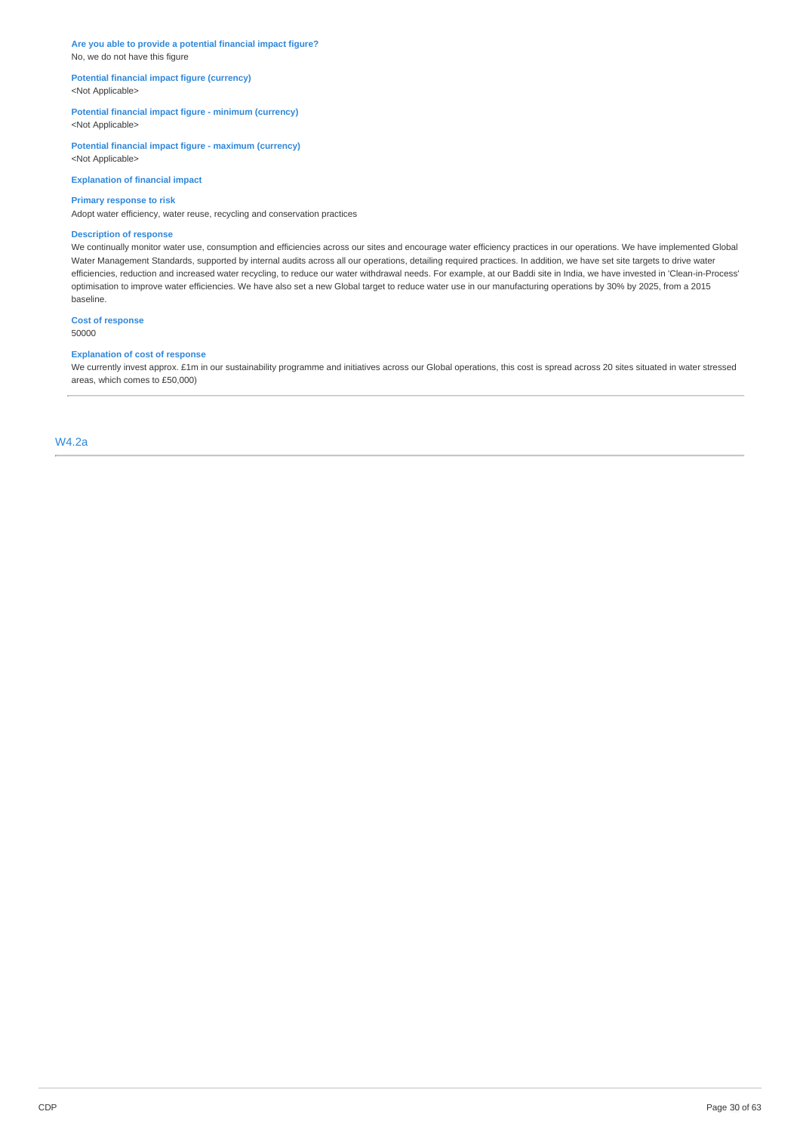**Are you able to provide a potential financial impact figure?** No, we do not have this figure

# **Potential financial impact figure (currency)** <Not Applicable>

# **Potential financial impact figure - minimum (currency)** <Not Applicable>

**Potential financial impact figure - maximum (currency)** <Not Applicable>

**Explanation of financial impact**

# **Primary response to risk**

Adopt water efficiency, water reuse, recycling and conservation practices

### **Description of response**

We continually monitor water use, consumption and efficiencies across our sites and encourage water efficiency practices in our operations. We have implemented Global Water Management Standards, supported by internal audits across all our operations, detailing required practices. In addition, we have set site targets to drive water efficiencies, reduction and increased water recycling, to reduce our water withdrawal needs. For example, at our Baddi site in India, we have invested in 'Clean-in-Process' optimisation to improve water efficiencies. We have also set a new Global target to reduce water use in our manufacturing operations by 30% by 2025, from a 2015 baseline.

# **Cost of response**

50000

# **Explanation of cost of response**

We currently invest approx. £1m in our sustainability programme and initiatives across our Global operations, this cost is spread across 20 sites situated in water stressed areas, which comes to £50,000)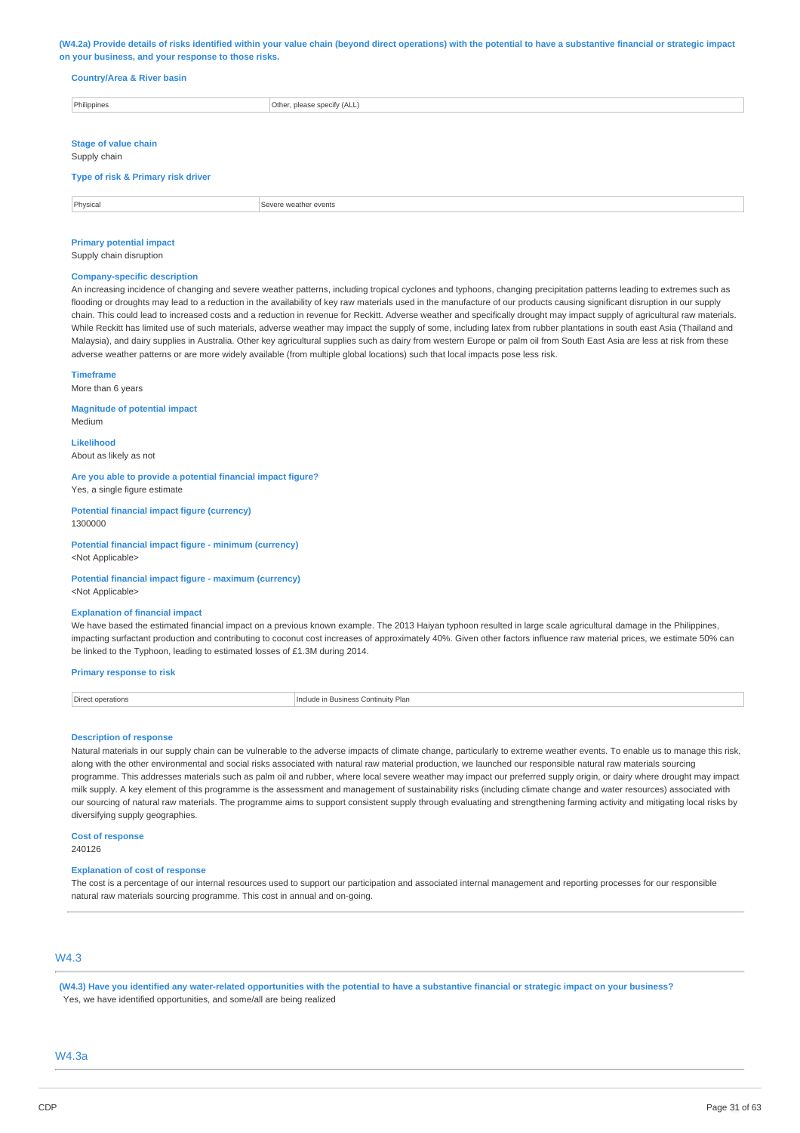#### (W4.2a) Provide details of risks identified within your value chain (beyond direct operations) with the potential to have a substantive financial or strategic impact **on your business, and your response to those risks.**

# **Country/Area & River basin**

| Philippines                                 | Other, please specify (ALL) |  |
|---------------------------------------------|-----------------------------|--|
|                                             |                             |  |
| <b>Stage of value chain</b><br>Supply chain |                             |  |
| Type of risk & Primary risk driver          |                             |  |
|                                             |                             |  |
| Physical                                    | Severe weather events       |  |

# **Primary potential impact**

Supply chain disruption

#### **Company-specific description**

An increasing incidence of changing and severe weather patterns, including tropical cyclones and typhoons, changing precipitation patterns leading to extremes such as flooding or droughts may lead to a reduction in the availability of key raw materials used in the manufacture of our products causing significant disruption in our supply chain. This could lead to increased costs and a reduction in revenue for Reckitt. Adverse weather and specifically drought may impact supply of agricultural raw materials. While Reckitt has limited use of such materials, adverse weather may impact the supply of some, including latex from rubber plantations in south east Asia (Thailand and Malaysia), and dairy supplies in Australia. Other key agricultural supplies such as dairy from western Europe or palm oil from South East Asia are less at risk from these adverse weather patterns or are more widely available (from multiple global locations) such that local impacts pose less risk.

#### **Timeframe**

More than 6 years

**Magnitude of potential impact** Medium

**Likelihood** About as likely as not

**Are you able to provide a potential financial impact figure?** Yes, a single figure estimate

**Potential financial impact figure (currency)** 1300000

**Potential financial impact figure - minimum (currency)** <Not Applicable>

**Potential financial impact figure - maximum (currency)** <Not Applicable>

### **Explanation of financial impact**

We have based the estimated financial impact on a previous known example. The 2013 Haiyan typhoon resulted in large scale agricultural damage in the Philippines, impacting surfactant production and contributing to coconut cost increases of approximately 40%. Given other factors influence raw material prices, we estimate 50% can be linked to the Typhoon, leading to estimated losses of £1.3M during 2014.

# **Primary response to risk**

**Direct operations** Include in Business Continuity Plan

#### **Description of response**

Natural materials in our supply chain can be vulnerable to the adverse impacts of climate change, particularly to extreme weather events. To enable us to manage this risk, along with the other environmental and social risks associated with natural raw material production, we launched our responsible natural raw materials sourcing programme. This addresses materials such as palm oil and rubber, where local severe weather may impact our preferred supply origin, or dairy where drought may impact milk supply. A key element of this programme is the assessment and management of sustainability risks (including climate change and water resources) associated with our sourcing of natural raw materials. The programme aims to support consistent supply through evaluating and strengthening farming activity and mitigating local risks by diversifying supply geographies.

**Cost of response** 240126

#### **Explanation of cost of response**

The cost is a percentage of our internal resources used to support our participation and associated internal management and reporting processes for our responsible natural raw materials sourcing programme. This cost in annual and on-going.

# W4.3

(W4.3) Have you identified any water-related opportunities with the potential to have a substantive financial or strategic impact on your business? Yes, we have identified opportunities, and some/all are being realized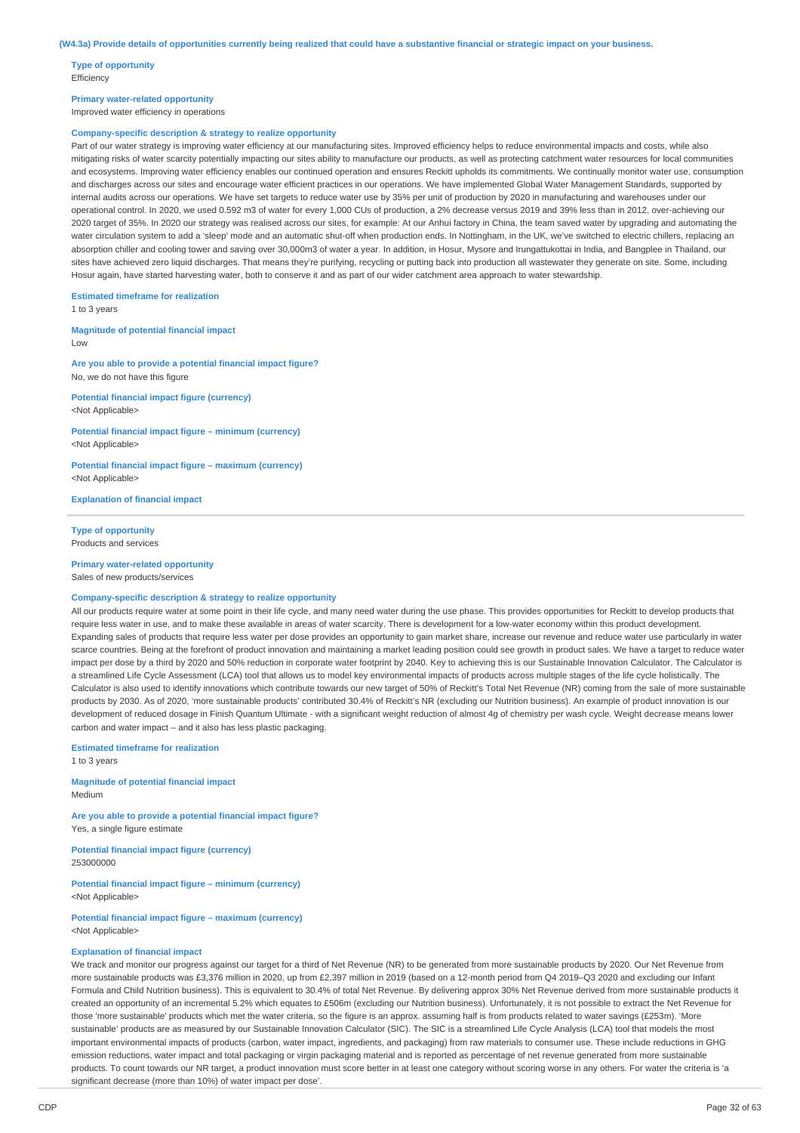**Type of opportunity Efficiency** 

# **Primary water-related opportunity**

Improved water efficiency in operations

#### **Company-specific description & strategy to realize opportunity**

Part of our water strategy is improving water efficiency at our manufacturing sites. Improved efficiency helps to reduce environmental impacts and costs, while also mitigating risks of water scarcity potentially impacting our sites ability to manufacture our products, as well as protecting catchment water resources for local communities and ecosystems. Improving water efficiency enables our continued operation and ensures Reckitt upholds its commitments. We continually monitor water use, consumption and discharges across our sites and encourage water efficient practices in our operations. We have implemented Global Water Management Standards, supported by internal audits across our operations. We have set targets to reduce water use by 35% per unit of production by 2020 in manufacturing and warehouses under our operational control. In 2020, we used 0.592 m3 of water for every 1,000 CUs of production, a 2% decrease versus 2019 and 39% less than in 2012, over-achieving our 2020 target of 35%. In 2020 our strategy was realised across our sites, for example: At our Anhui factory in China, the team sayed water by upgrading and automating the water circulation system to add a 'sleep' mode and an automatic shut-off when production ends. In Nottingham, in the UK, we've switched to electric chillers, replacing an absorption chiller and cooling tower and saving over 30,000m3 of water a year. In addition, in Hosur, Mysore and Irungattukottai in India, and Bangplee in Thailand, our sites have achieved zero liquid discharges. That means they're purifying, recycling or putting back into production all wastewater they generate on site. Some, including Hosur again, have started harvesting water, both to conserve it and as part of our wider catchment area approach to water stewardship.

**Estimated timeframe for realization**

1 to 3 years

**Magnitude of potential financial impact** Low

**Are you able to provide a potential financial impact figure?** No, we do not have this figure

**Potential financial impact figure (currency)** <Not Applicable>

**Potential financial impact figure – minimum (currency)** <Not Applicable>

**Potential financial impact figure – maximum (currency)** <Not Applicable>

**Explanation of financial impact**

**Type of opportunity** Products and services

#### **Primary water-related opportunity**

Sales of new products/services

# **Company-specific description & strategy to realize opportunity**

All our products require water at some point in their life cycle, and many need water during the use phase. This provides opportunities for Reckitt to develop products that require less water in use, and to make these available in areas of water scarcity. There is development for a low-water economy within this product development. Expanding sales of products that require less water per dose provides an opportunity to gain market share, increase our revenue and reduce water use particularly in water scarce countries. Being at the forefront of product innovation and maintaining a market leading position could see growth in product sales. We have a target to reduce water impact per dose by a third by 2020 and 50% reduction in corporate water footprint by 2040. Key to achieving this is our Sustainable Innovation Calculator. The Calculator is a streamlined Life Cycle Assessment (LCA) tool that allows us to model key environmental impacts of products across multiple stages of the life cycle holistically. The Calculator is also used to identify innovations which contribute towards our new target of 50% of Reckitt's Total Net Revenue (NR) coming from the sale of more sustainable products by 2030. As of 2020, 'more sustainable products' contributed 30.4% of Reckitt's NR (excluding our Nutrition business). An example of product innovation is our development of reduced dosage in Finish Quantum Ultimate - with a significant weight reduction of almost 4g of chemistry per wash cycle. Weight decrease means lower carbon and water impact – and it also has less plastic packaging.

**Estimated timeframe for realization**

1 to 3 years

**Magnitude of potential financial impact** Medium

**Are you able to provide a potential financial impact figure?** Yes, a single figure estimate

**Potential financial impact figure (currency)** 253000000

**Potential financial impact figure – minimum (currency)** <Not Applicable>

**Potential financial impact figure – maximum (currency)** <Not Applicable>

# **Explanation of financial impact**

We track and monitor our progress against our target for a third of Net Revenue (NR) to be generated from more sustainable products by 2020. Our Net Revenue from more sustainable products was £3,376 million in 2020, up from £2,397 million in 2019 (based on a 12-month period from Q4 2019–Q3 2020 and excluding our Infant Formula and Child Nutrition business). This is equivalent to 30.4% of total Net Revenue. By delivering approx 30% Net Revenue derived from more sustainable products it created an opportunity of an incremental 5.2% which equates to £506m (excluding our Nutrition business). Unfortunately, it is not possible to extract the Net Revenue for those 'more sustainable' products which met the water criteria, so the figure is an approx. assuming half is from products related to water savings (£253m). 'More sustainable' products are as measured by our Sustainable Innovation Calculator (SIC). The SIC is a streamlined Life Cycle Analysis (LCA) tool that models the most important environmental impacts of products (carbon, water impact, ingredients, and packaging) from raw materials to consumer use. These include reductions in GHG emission reductions, water impact and total packaging or virgin packaging material and is reported as percentage of net revenue generated from more sustainable products. To count towards our NR target, a product innovation must score better in at least one category without scoring worse in any others. For water the criteria is 'a significant decrease (more than 10%) of water impact per dose'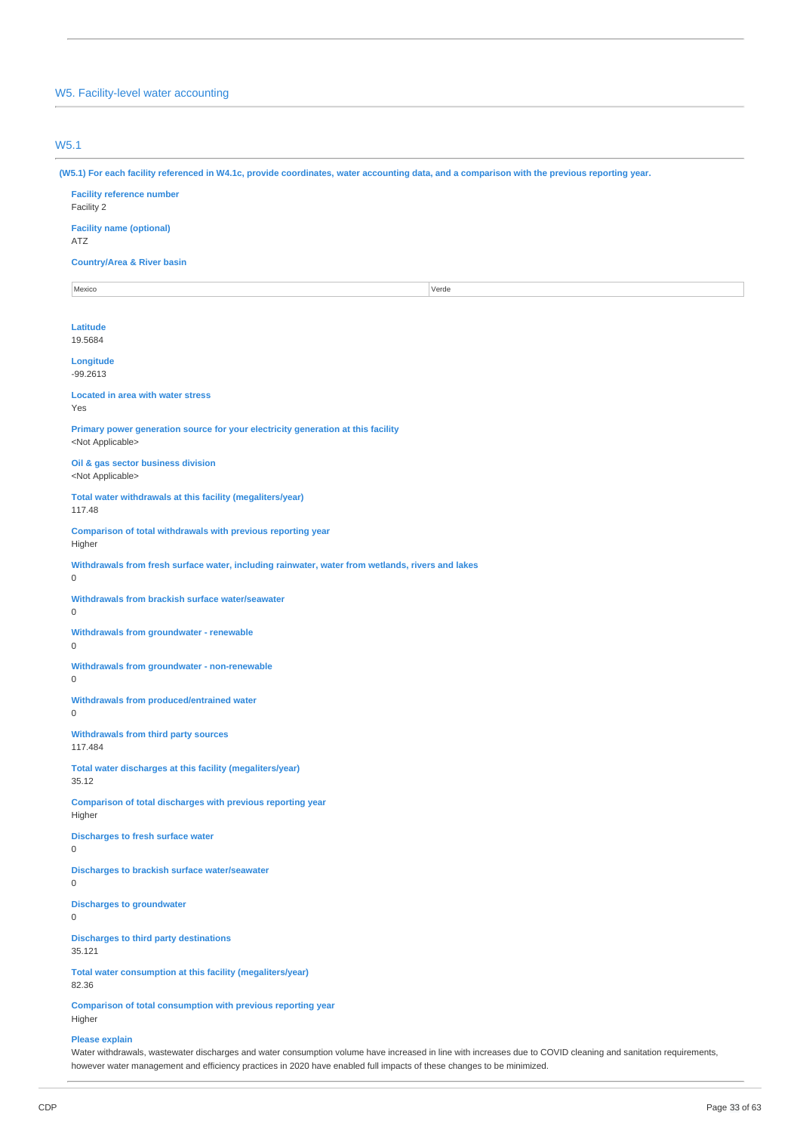# W5. Facility-level water accounting

# W5.1

(W5.1) For each facility referenced in W4.1c, provide coordinates, water accounting data, and a comparison with the previous reporting year.

**Facility reference number** Facility 2 **Facility name (optional)** ATZ **Country/Area & River basin** Mexico Verde **Latitude** 19.5684 **Longitude** -99.2613 **Located in area with water stress** Yes **Primary power generation source for your electricity generation at this facility** <Not Applicable> **Oil & gas sector business division** <Not Applicable> **Total water withdrawals at this facility (megaliters/year)** 117.48 **Comparison of total withdrawals with previous reporting year** Higher **Withdrawals from fresh surface water, including rainwater, water from wetlands, rivers and lakes** 0 **Withdrawals from brackish surface water/seawater** 0 **Withdrawals from groundwater - renewable** 0 **Withdrawals from groundwater - non-renewable**  $\Omega$ **Withdrawals from produced/entrained water** 0 **Withdrawals from third party sources** 117.484 **Total water discharges at this facility (megaliters/year)** 35.12 **Comparison of total discharges with previous reporting year** Higher **Discharges to fresh surface water** 0 **Discharges to brackish surface water/seawater**  $\Omega$ **Discharges to groundwater** 0 **Discharges to third party destinations** 35.121 **Total water consumption at this facility (megaliters/year)** 82.36 **Comparison of total consumption with previous reporting year** Higher

#### **Please explain**

Water withdrawals, wastewater discharges and water consumption volume have increased in line with increases due to COVID cleaning and sanitation requirements, however water management and efficiency practices in 2020 have enabled full impacts of these changes to be minimized.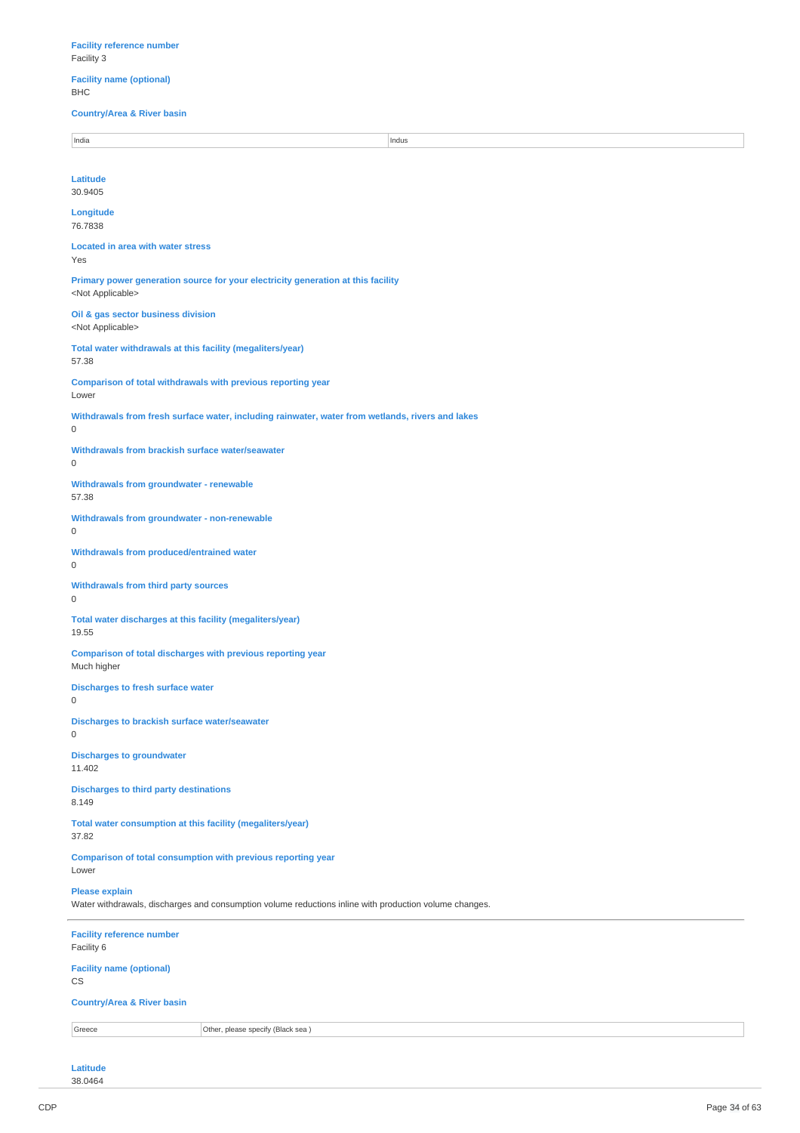**Facility name (optional)** BHC

**Country/Area & River basin**

| India                                                                                                                           | Indus                                                                                            |  |
|---------------------------------------------------------------------------------------------------------------------------------|--------------------------------------------------------------------------------------------------|--|
|                                                                                                                                 |                                                                                                  |  |
| Latitude<br>30.9405                                                                                                             |                                                                                                  |  |
| Longitude<br>76.7838                                                                                                            |                                                                                                  |  |
| <b>Located in area with water stress</b><br>Yes                                                                                 |                                                                                                  |  |
| <not applicable=""></not>                                                                                                       | Primary power generation source for your electricity generation at this facility                 |  |
| Oil & gas sector business division<br><not applicable=""></not>                                                                 |                                                                                                  |  |
| Total water withdrawals at this facility (megaliters/year)<br>57.38                                                             |                                                                                                  |  |
| Comparison of total withdrawals with previous reporting year<br>Lower                                                           |                                                                                                  |  |
| $\mathsf{O}\xspace$                                                                                                             | Withdrawals from fresh surface water, including rainwater, water from wetlands, rivers and lakes |  |
| Withdrawals from brackish surface water/seawater<br>$\mathbf 0$                                                                 |                                                                                                  |  |
| <b>Withdrawals from groundwater - renewable</b><br>57.38                                                                        |                                                                                                  |  |
| Withdrawals from groundwater - non-renewable<br>$\mathbf 0$                                                                     |                                                                                                  |  |
| Withdrawals from produced/entrained water<br>$\mathsf 0$                                                                        |                                                                                                  |  |
| Withdrawals from third party sources<br>$\mathsf 0$                                                                             |                                                                                                  |  |
| Total water discharges at this facility (megaliters/year)<br>19.55                                                              |                                                                                                  |  |
| Comparison of total discharges with previous reporting year<br>Much higher                                                      |                                                                                                  |  |
| <b>Discharges to fresh surface water</b><br>0                                                                                   |                                                                                                  |  |
| Discharges to brackish surface water/seawater<br>$\mathsf 0$                                                                    |                                                                                                  |  |
| <b>Discharges to groundwater</b><br>11.402                                                                                      |                                                                                                  |  |
| <b>Discharges to third party destinations</b><br>8.149                                                                          |                                                                                                  |  |
| Total water consumption at this facility (megaliters/year)<br>37.82                                                             |                                                                                                  |  |
| Comparison of total consumption with previous reporting year<br>Lower                                                           |                                                                                                  |  |
| <b>Please explain</b><br>Water withdrawals, discharges and consumption volume reductions inline with production volume changes. |                                                                                                  |  |
| <b>Facility reference number</b><br>Facility 6                                                                                  |                                                                                                  |  |
| <b>Facility name (optional)</b><br>CS                                                                                           |                                                                                                  |  |
| <b>Country/Area &amp; River basin</b>                                                                                           |                                                                                                  |  |
| Greece                                                                                                                          | Other, please specify (Black sea)                                                                |  |
|                                                                                                                                 |                                                                                                  |  |

**Latitude** 38.0464

 $\overline{a}$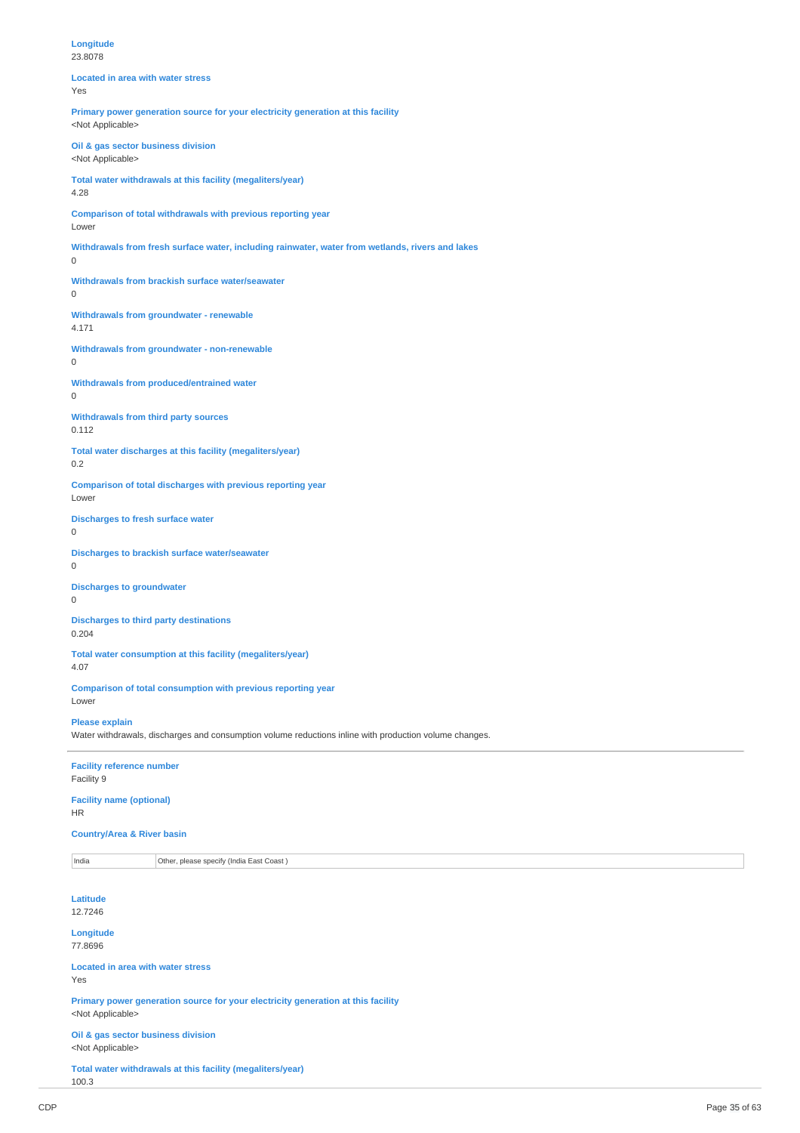| Longitude<br>23.8078                                                                                                            |  |  |
|---------------------------------------------------------------------------------------------------------------------------------|--|--|
| <b>Located in area with water stress</b><br>Yes                                                                                 |  |  |
| Primary power generation source for your electricity generation at this facility<br><not applicable=""></not>                   |  |  |
| Oil & gas sector business division<br><not applicable=""></not>                                                                 |  |  |
| Total water withdrawals at this facility (megaliters/year)<br>4.28                                                              |  |  |
| Comparison of total withdrawals with previous reporting year<br>Lower                                                           |  |  |
| Withdrawals from fresh surface water, including rainwater, water from wetlands, rivers and lakes<br>$\mathbf 0$                 |  |  |
| Withdrawals from brackish surface water/seawater<br>$\mathbf 0$                                                                 |  |  |
| <b>Withdrawals from groundwater - renewable</b><br>4.171                                                                        |  |  |
| Withdrawals from groundwater - non-renewable<br>0                                                                               |  |  |
| <b>Withdrawals from produced/entrained water</b><br>0                                                                           |  |  |
| Withdrawals from third party sources<br>0.112                                                                                   |  |  |
| Total water discharges at this facility (megaliters/year)<br>0.2                                                                |  |  |
| Comparison of total discharges with previous reporting year<br>Lower                                                            |  |  |
| <b>Discharges to fresh surface water</b><br>$\mathbf 0$                                                                         |  |  |
| <b>Discharges to brackish surface water/seawater</b><br>$\mathbf 0$                                                             |  |  |
| <b>Discharges to groundwater</b><br>$\mathbf 0$                                                                                 |  |  |
| <b>Discharges to third party destinations</b><br>0.204                                                                          |  |  |
| Total water consumption at this facility (megaliters/year)<br>4.07                                                              |  |  |
| Comparison of total consumption with previous reporting year<br>Lower                                                           |  |  |
| <b>Please explain</b><br>Water withdrawals, discharges and consumption volume reductions inline with production volume changes. |  |  |
| <b>Facility reference number</b><br>Facility 9                                                                                  |  |  |
| <b>Facility name (optional)</b><br><b>HR</b>                                                                                    |  |  |
| <b>Country/Area &amp; River basin</b>                                                                                           |  |  |
| Other, please specify (India East Coast)<br>India                                                                               |  |  |
| Latitude<br>12.7246                                                                                                             |  |  |
| Longitude<br>77.8696                                                                                                            |  |  |
| <b>Located in area with water stress</b><br>Yes                                                                                 |  |  |
| Primary power generation source for your electricity generation at this facility<br><not applicable=""></not>                   |  |  |
| Oil & gas sector business division<br><not applicable=""></not>                                                                 |  |  |

**Total water withdrawals at this facility (megaliters/year)** 100.3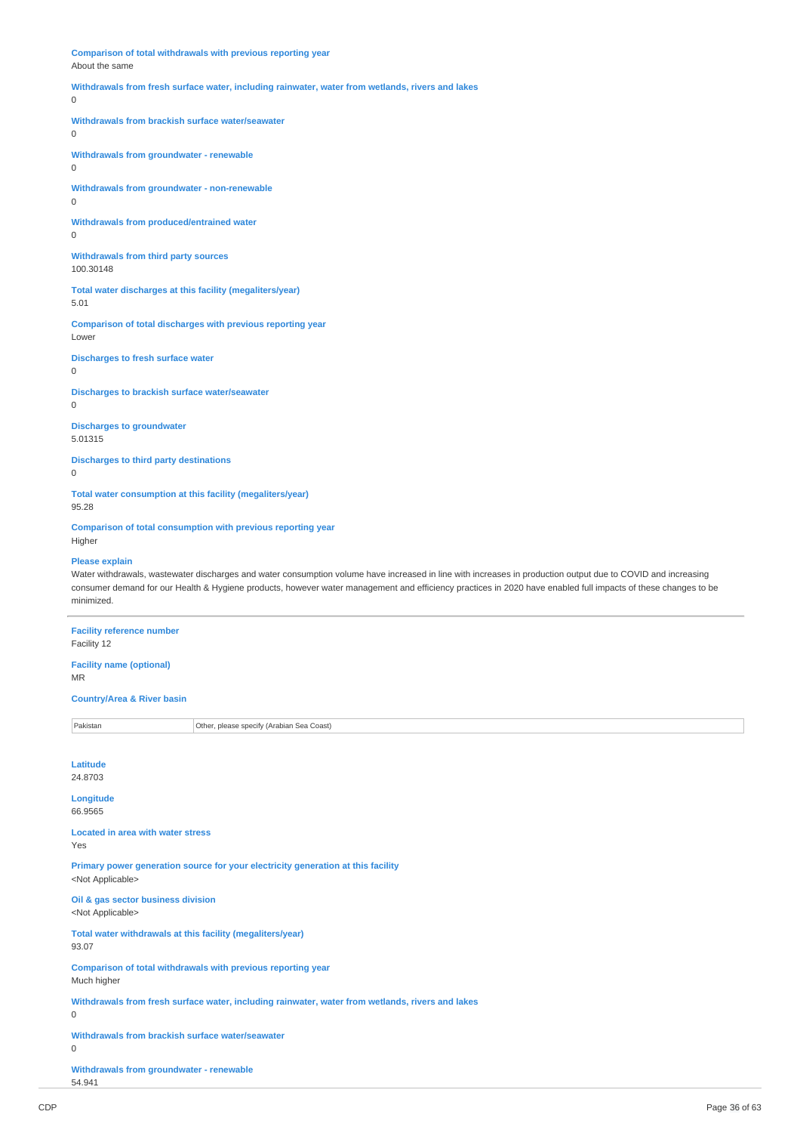**Comparison of total withdrawals with previous reporting year** About the same **Withdrawals from fresh surface water, including rainwater, water from wetlands, rivers and lakes**  $\overline{0}$ **Withdrawals from brackish surface water/seawater**  $\Omega$ **Withdrawals from groundwater - renewable** 0 **Withdrawals from groundwater - non-renewable**  $\theta$ **Withdrawals from produced/entrained water**  $\Omega$ **Withdrawals from third party sources** 100.30148 **Total water discharges at this facility (megaliters/year)** 5.01 **Comparison of total discharges with previous reporting year** Lower **Discharges to fresh surface water** 0 **Discharges to brackish surface water/seawater** 0 **Discharges to groundwater** 5.01315 **Discharges to third party destinations**  $\theta$ **Total water consumption at this facility (megaliters/year)** 95.28 **Comparison of total consumption with previous reporting year** Higher **Please explain** Water withdrawals, wastewater discharges and water consumption volume have increased in line with increases in production output due to COVID and increasing consumer demand for our Health & Hygiene products, however water management and efficiency practices in 2020 have enabled full impacts of these changes to be minimized. **Facility reference number** Facility 12 **Facility name (optional)** MR

# **Country/Area & River basin**

Pakistan **Pakistan** Other, please specify (Arabian Sea Coast)

### **Latitude** 24.8703

**Longitude**

# 66.9565

**Located in area with water stress** Yes

**Primary power generation source for your electricity generation at this facility** <Not Applicable>

**Oil & gas sector business division** <Not Applicable>

**Total water withdrawals at this facility (megaliters/year)** 93.07

**Comparison of total withdrawals with previous reporting year** Much higher

**Withdrawals from fresh surface water, including rainwater, water from wetlands, rivers and lakes**  $\Omega$ 

**Withdrawals from brackish surface water/seawater**

0

**Withdrawals from groundwater - renewable** 54.941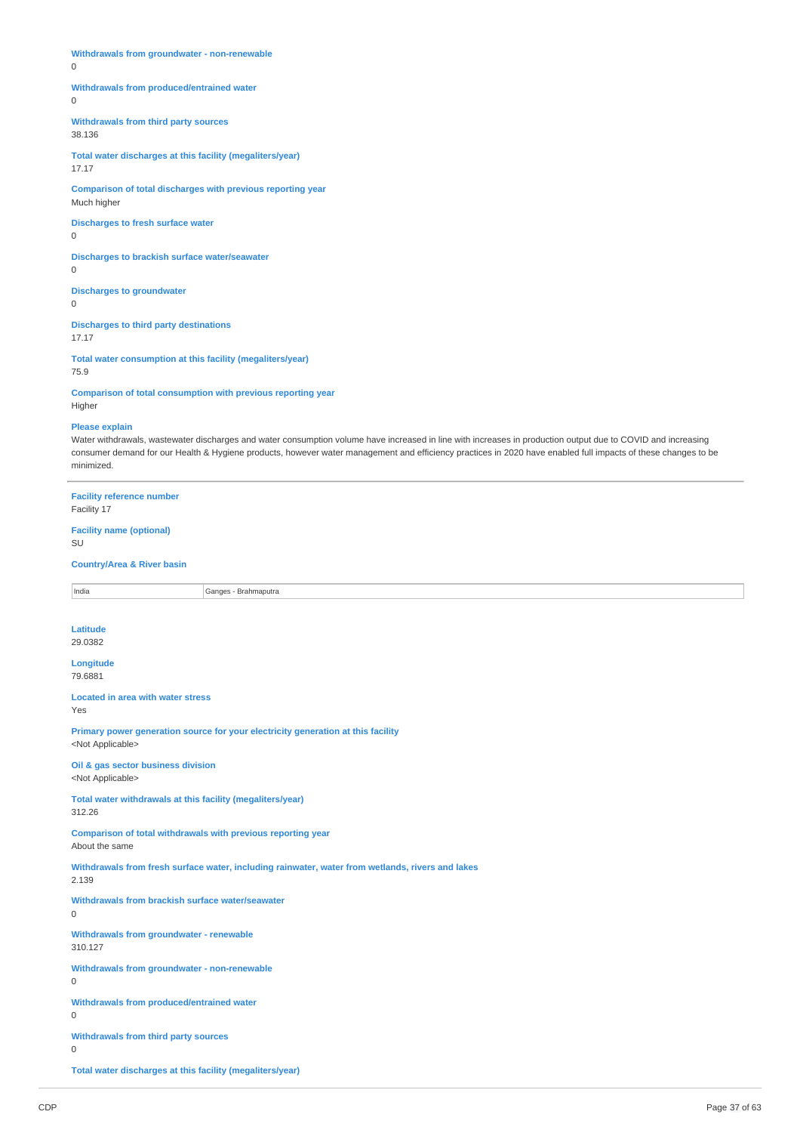|  |  |  | Withdrawals from groundwater - non-renewable |
|--|--|--|----------------------------------------------|
|--|--|--|----------------------------------------------|

 $\Omega$ 

#### **Withdrawals from produced/entrained water**

 $\Omega$ 

**Withdrawals from third party sources** 38.136

**Total water discharges at this facility (megaliters/year)** 17.17

**Comparison of total discharges with previous reporting year** Much higher

**Discharges to fresh surface water**  $\cap$ 

**Discharges to brackish surface water/seawater**

 $\Omega$ 

**Discharges to groundwater** 0

**Discharges to third party destinations** 17.17

**Total water consumption at this facility (megaliters/year)** 75.9

**Comparison of total consumption with previous reporting year** Higher

### **Please explain**

Water withdrawals, wastewater discharges and water consumption volume have increased in line with increases in production output due to COVID and increasing consumer demand for our Health & Hygiene products, however water management and efficiency practices in 2020 have enabled full impacts of these changes to be minimized.

**Facility reference number**

Facility 17

# **Facility name (optional)**

SU

**Country/Area & River basin**

India Ganges - Brahmaputra

# **Latitude**

29.0382

**Longitude** 79.6881

**Located in area with water stress**

Yes

**Primary power generation source for your electricity generation at this facility** <Not Applicable>

**Oil & gas sector business division** <Not Applicable>

**Total water withdrawals at this facility (megaliters/year)** 312.26

**Comparison of total withdrawals with previous reporting year** About the same

**Withdrawals from fresh surface water, including rainwater, water from wetlands, rivers and lakes** 2.139

**Withdrawals from brackish surface water/seawater**

0

**Withdrawals from groundwater - renewable** 310.127

**Withdrawals from groundwater - non-renewable**

0

**Withdrawals from produced/entrained water** 0

**Withdrawals from third party sources**

0

**Total water discharges at this facility (megaliters/year)**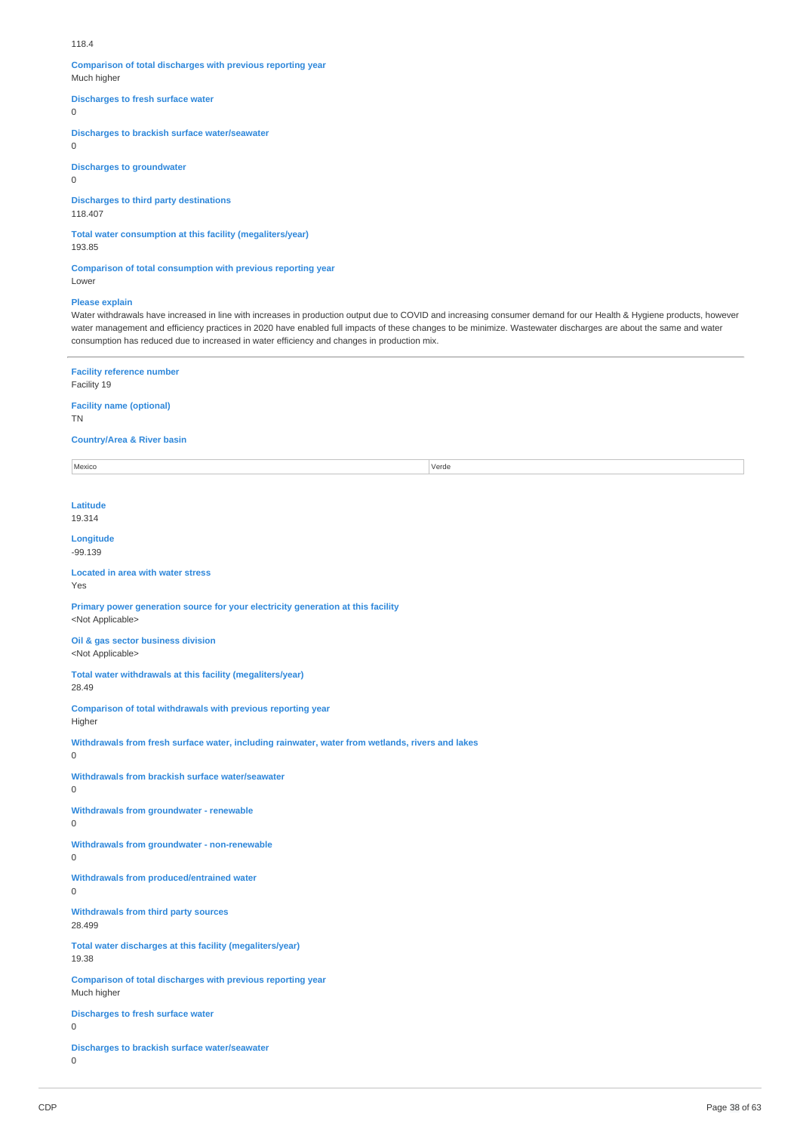#### 118.4

**Comparison of total discharges with previous reporting year** Much higher

**Discharges to fresh surface water**

 $\Omega$ 

0

**Discharges to brackish surface water/seawater**

**Discharges to groundwater**  $\Omega$ 

**Discharges to third party destinations** 118.407

**Total water consumption at this facility (megaliters/year)**

193.85

**Comparison of total consumption with previous reporting year** Lower

# **Please explain**

Water withdrawals have increased in line with increases in production output due to COVID and increasing consumer demand for our Health & Hygiene products, however water management and efficiency practices in 2020 have enabled full impacts of these changes to be minimize. Wastewater discharges are about the same and water consumption has reduced due to increased in water efficiency and changes in production mix.

### **Facility reference number** Facility 19

**Facility name (optional)** TN

**Country/Area & River basin**

Mexico Verde

**Latitude** 19.314

**Longitude** -99.139

**Located in area with water stress** Yes

**Primary power generation source for your electricity generation at this facility** <Not Applicable>

**Oil & gas sector business division** <Not Applicable>

**Total water withdrawals at this facility (megaliters/year)** 28.49

**Comparison of total withdrawals with previous reporting year** Higher

**Withdrawals from fresh surface water, including rainwater, water from wetlands, rivers and lakes**  $\overline{0}$ 

**Withdrawals from brackish surface water/seawater**

0

**Withdrawals from groundwater - renewable**

0

**Withdrawals from groundwater - non-renewable**

 $\Omega$ 

**Withdrawals from produced/entrained water**

 $\Omega$ 

**Withdrawals from third party sources** 28.499

**Total water discharges at this facility (megaliters/year)** 19.38

**Comparison of total discharges with previous reporting year** Much higher

**Discharges to fresh surface water**

 $\Omega$ 

**Discharges to brackish surface water/seawater** 0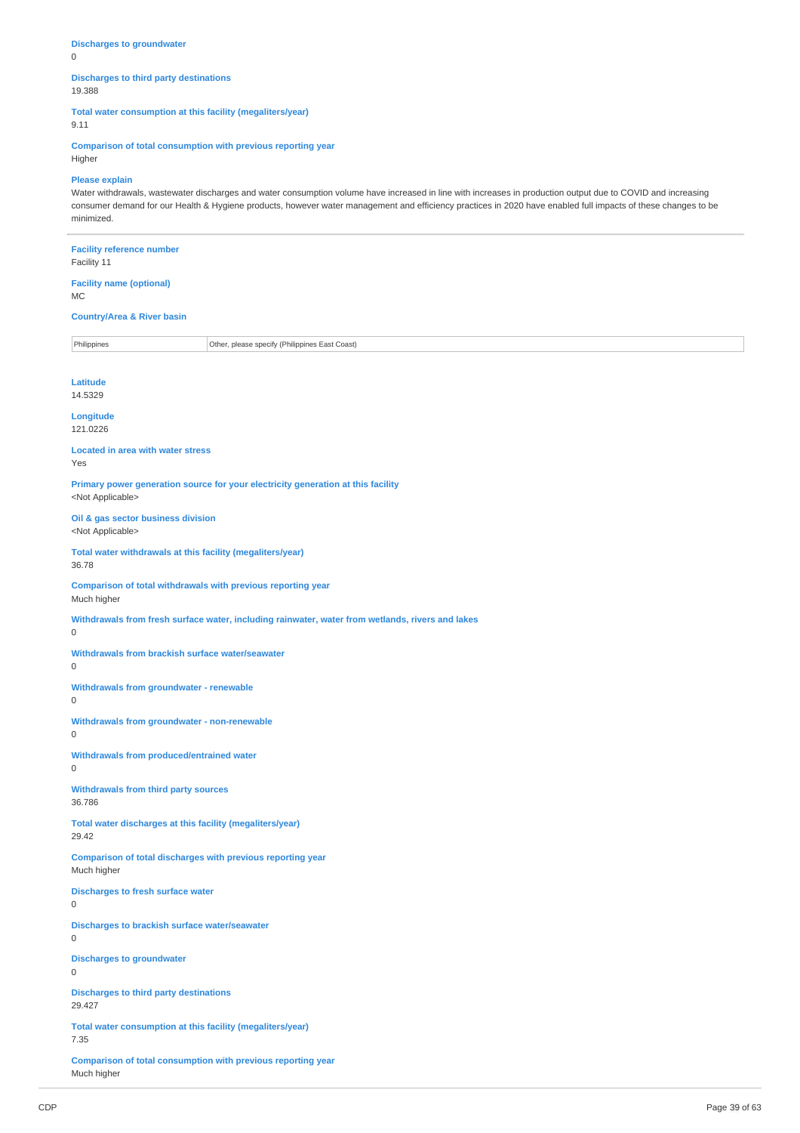**Discharges to groundwater** 0

# **Discharges to third party destinations** 19.388

**Total water consumption at this facility (megaliters/year)**

9.11

**Comparison of total consumption with previous reporting year** Higher

# **Please explain**

Water withdrawals, wastewater discharges and water consumption volume have increased in line with increases in production output due to COVID and increasing consumer demand for our Health & Hygiene products, however water management and efficiency practices in 2020 have enabled full impacts of these changes to be minimized.

| <b>Facility reference number</b><br>Facility 11                             |                                                                                                  |  |
|-----------------------------------------------------------------------------|--------------------------------------------------------------------------------------------------|--|
| <b>Facility name (optional)</b><br><b>MC</b>                                |                                                                                                  |  |
| <b>Country/Area &amp; River basin</b>                                       |                                                                                                  |  |
| Philippines                                                                 | Other, please specify (Philippines East Coast)                                                   |  |
| <b>Latitude</b><br>14.5329                                                  |                                                                                                  |  |
| Longitude<br>121.0226                                                       |                                                                                                  |  |
| <b>Located in area with water stress</b><br>Yes                             |                                                                                                  |  |
| <not applicable=""></not>                                                   | Primary power generation source for your electricity generation at this facility                 |  |
| Oil & gas sector business division<br><not applicable=""></not>             |                                                                                                  |  |
| Total water withdrawals at this facility (megaliters/year)<br>36.78         |                                                                                                  |  |
| Comparison of total withdrawals with previous reporting year<br>Much higher |                                                                                                  |  |
| 0                                                                           | Withdrawals from fresh surface water, including rainwater, water from wetlands, rivers and lakes |  |
| Withdrawals from brackish surface water/seawater<br>0                       |                                                                                                  |  |
| Withdrawals from groundwater - renewable<br>$\mathsf 0$                     |                                                                                                  |  |
| Withdrawals from groundwater - non-renewable<br>0                           |                                                                                                  |  |
| Withdrawals from produced/entrained water<br>0                              |                                                                                                  |  |
| Withdrawals from third party sources<br>36.786                              |                                                                                                  |  |
| Total water discharges at this facility (megaliters/year)<br>29.42          |                                                                                                  |  |
| Comparison of total discharges with previous reporting year<br>Much higher  |                                                                                                  |  |
| <b>Discharges to fresh surface water</b><br>0                               |                                                                                                  |  |
| Discharges to brackish surface water/seawater<br>0                          |                                                                                                  |  |
| <b>Discharges to groundwater</b><br>0                                       |                                                                                                  |  |
| <b>Discharges to third party destinations</b><br>29.427                     |                                                                                                  |  |
| Total water consumption at this facility (megaliters/year)<br>7.35          |                                                                                                  |  |
|                                                                             |                                                                                                  |  |

**Comparison of total consumption with previous reporting year** Much higher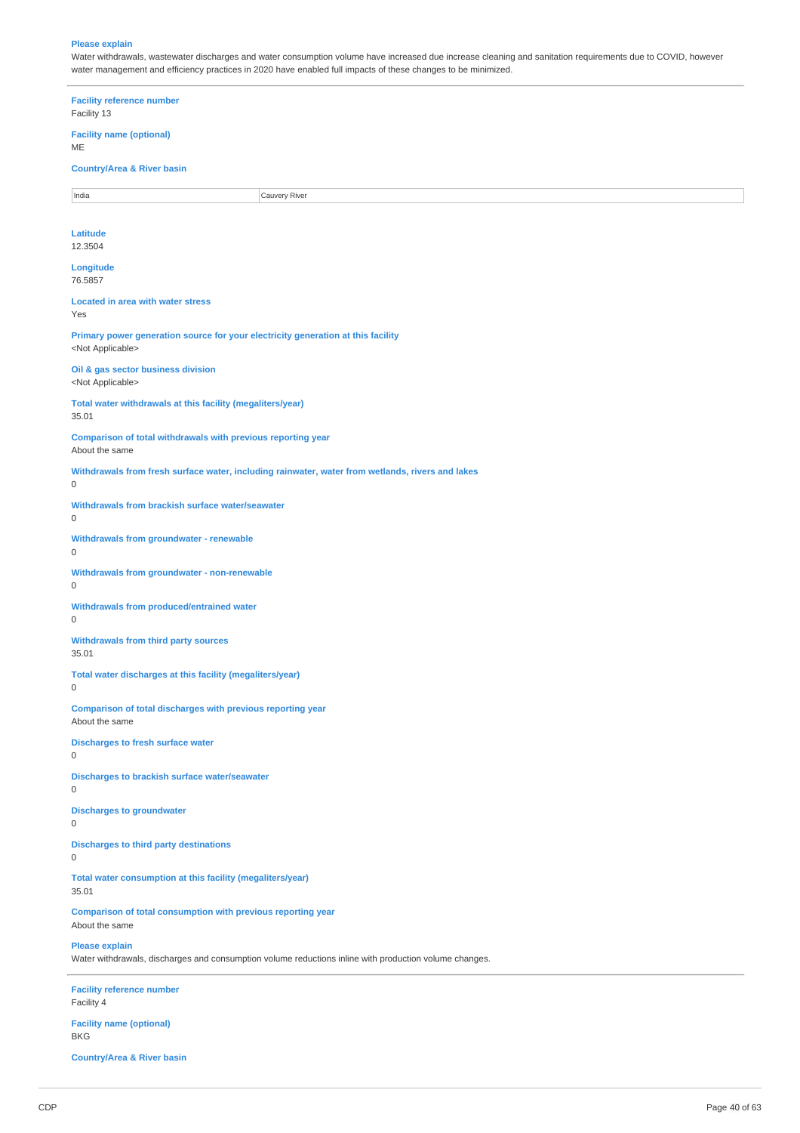#### **Please explain**

Water withdrawals, wastewater discharges and water consumption volume have increased due increase cleaning and sanitation requirements due to COVID, however water management and efficiency practices in 2020 have enabled full impacts of these changes to be minimized.

**Facility reference number** Facility 13 **Facility name (optional)** ME **Country/Area & River basin** India **Cauvery River Latitude** 12.3504 **Longitude** 76.5857 **Located in area with water stress** Yes **Primary power generation source for your electricity generation at this facility** <Not Applicable> **Oil & gas sector business division** <Not Applicable> **Total water withdrawals at this facility (megaliters/year)** 35.01 **Comparison of total withdrawals with previous reporting year** About the same **Withdrawals from fresh surface water, including rainwater, water from wetlands, rivers and lakes** 0 **Withdrawals from brackish surface water/seawater** 0 **Withdrawals from groundwater - renewable** 0 **Withdrawals from groundwater - non-renewable** 0 **Withdrawals from produced/entrained water** 0 **Withdrawals from third party sources** 35.01 **Total water discharges at this facility (megaliters/year)** 0 **Comparison of total discharges with previous reporting year** About the same **Discharges to fresh surface water**  $\theta$ **Discharges to brackish surface water/seawater** 0 **Discharges to groundwater**  $\Omega$ **Discharges to third party destinations**  $\Omega$ **Total water consumption at this facility (megaliters/year)** 35.01 **Comparison of total consumption with previous reporting year** About the same **Please explain** Water withdrawals, discharges and consumption volume reductions inline with production volume changes. **Facility reference number** Facility 4 **Facility name (optional)** BKG

**Country/Area & River basin**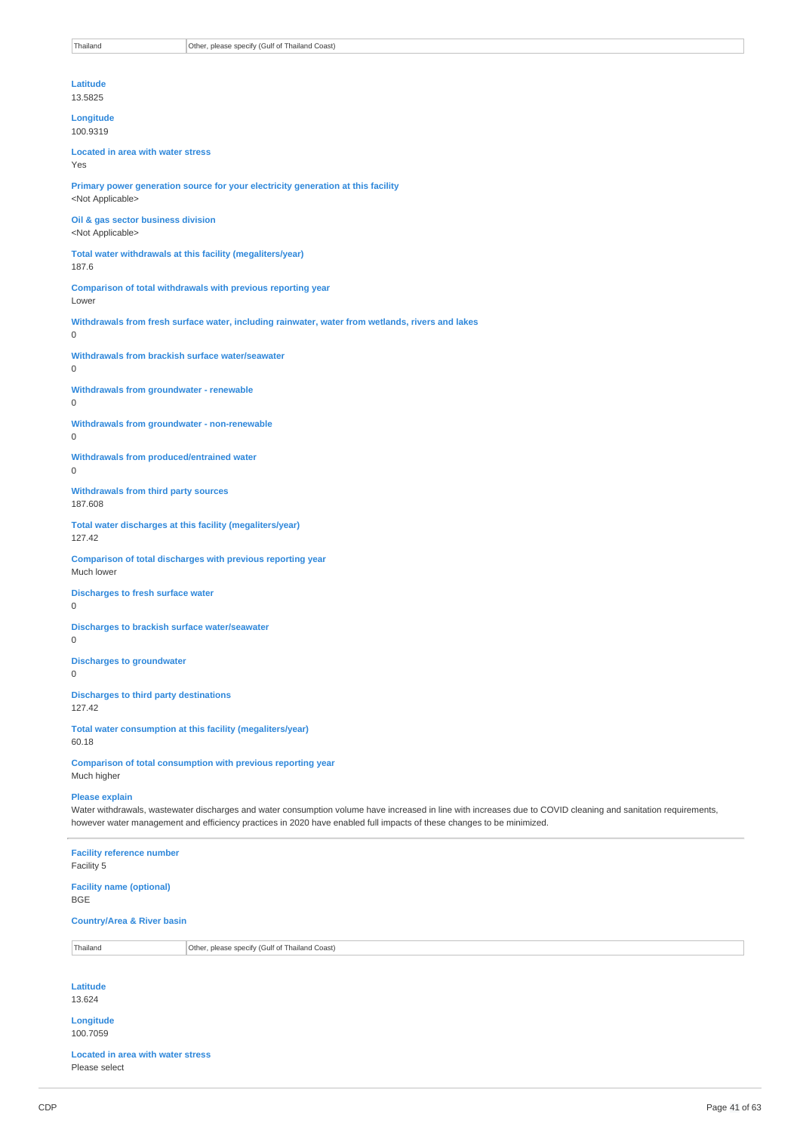**Latitude** 13.5825

**Longitude** 100.9319

**Located in area with water stress** Yes

**Primary power generation source for your electricity generation at this facility** <Not Applicable>

**Oil & gas sector business division** <Not Applicable>

**Total water withdrawals at this facility (megaliters/year)** 187.6

**Comparison of total withdrawals with previous reporting year** Lower

**Withdrawals from fresh surface water, including rainwater, water from wetlands, rivers and lakes**

**Withdrawals from brackish surface water/seawater**

 $\Omega$ 

0

**Withdrawals from groundwater - renewable**  $\Omega$ 

**Withdrawals from groundwater - non-renewable**

0

**Withdrawals from produced/entrained water**  $\Omega$ 

**Withdrawals from third party sources** 187.608

**Total water discharges at this facility (megaliters/year)** 127.42

**Comparison of total discharges with previous reporting year** Much lower

**Discharges to fresh surface water**  $\Omega$ 

**Discharges to brackish surface water/seawater**  $\Omega$ 

**Discharges to groundwater**  $\Omega$ 

**Discharges to third party destinations** 127.42

**Total water consumption at this facility (megaliters/year)** 60.18

**Comparison of total consumption with previous reporting year** Much higher

# **Please explain**

Water withdrawals, wastewater discharges and water consumption volume have increased in line with increases due to COVID cleaning and sanitation requirements, however water management and efficiency practices in 2020 have enabled full impacts of these changes to be minimized.

**Facility reference number**

Facility 5

**Facility name (optional)** BGE

**Country/Area & River basin**

Thailand **Other, please specify (Gulf of Thailand Coast)** 

**Latitude**

13.624

**Longitude** 100.7059

**Located in area with water stress** Please select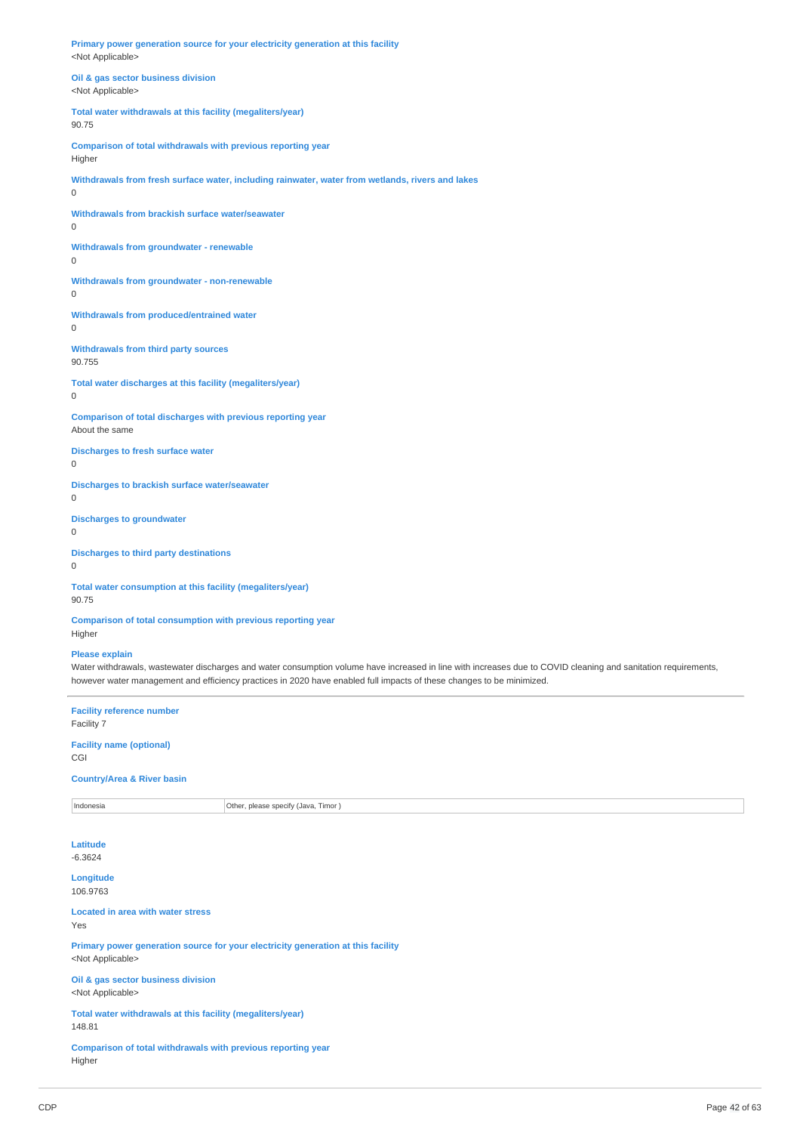**Primary power generation source for your electricity generation at this facility** <Not Applicable>

**Oil & gas sector business division** <Not Applicable>

# **Total water withdrawals at this facility (megaliters/year)** 90.75

**Comparison of total withdrawals with previous reporting year** Higher

**Withdrawals from fresh surface water, including rainwater, water from wetlands, rivers and lakes**

# **Withdrawals from brackish surface water/seawater**

0

0

# **Withdrawals from groundwater - renewable** 0

**Withdrawals from groundwater - non-renewable**

0

#### **Withdrawals from produced/entrained water** 0

**Withdrawals from third party sources** 90.755

# **Total water discharges at this facility (megaliters/year)** 0

**Comparison of total discharges with previous reporting year** About the same

# **Discharges to fresh surface water**

0

# **Discharges to brackish surface water/seawater**

0 **Discharges to groundwater**

 $\theta$ 

# **Discharges to third party destinations** 0

**Total water consumption at this facility (megaliters/year)** 90.75

**Comparison of total consumption with previous reporting year** Higher

### **Please explain**

Water withdrawals, wastewater discharges and water consumption volume have increased in line with increases due to COVID cleaning and sanitation requirements, however water management and efficiency practices in 2020 have enabled full impacts of these changes to be minimized.

**Facility reference number** Facility 7

**Facility name (optional)** CGI

# **Country/Area & River basin**

Indonesia **Indonesia** Other, please specify (Java, Timor )

# **Latitude**

-6.3624

**Longitude** 106.9763

# **Located in area with water stress**

Yes

**Primary power generation source for your electricity generation at this facility** <Not Applicable>

**Oil & gas sector business division** <Not Applicable>

**Total water withdrawals at this facility (megaliters/year)** 148.81

**Comparison of total withdrawals with previous reporting year** Higher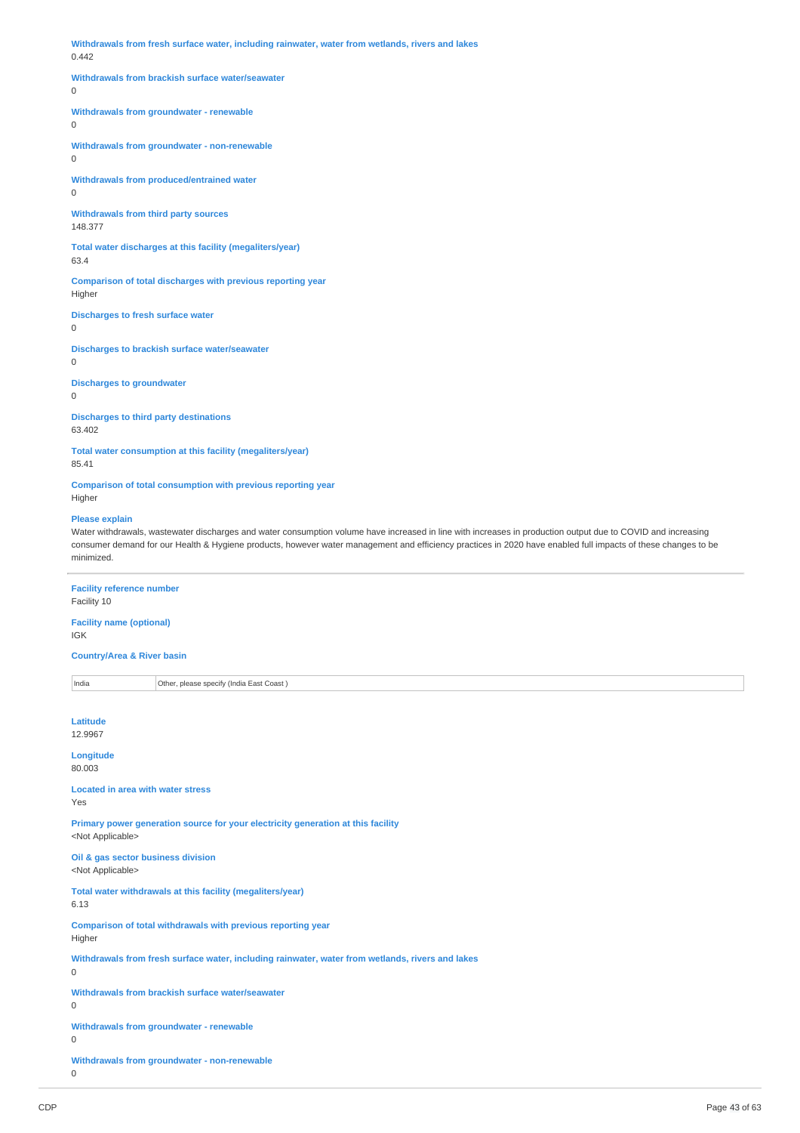**Withdrawals from fresh surface water, including rainwater, water from wetlands, rivers and lakes** 0.442

# **Withdrawals from brackish surface water/seawater**

0

# **Withdrawals from groundwater - renewable**

0

**Withdrawals from groundwater - non-renewable** 0

**Withdrawals from produced/entrained water**

0

**Withdrawals from third party sources** 148.377

**Total water discharges at this facility (megaliters/year)** 63.4

**Comparison of total discharges with previous reporting year** Higher

**Discharges to fresh surface water**

0

**Discharges to brackish surface water/seawater**

0

**Discharges to groundwater**

0

**Discharges to third party destinations** 63.402

**Total water consumption at this facility (megaliters/year)** 85.41

**Comparison of total consumption with previous reporting year** Higher

# **Please explain**

Water withdrawals, wastewater discharges and water consumption volume have increased in line with increases in production output due to COVID and increasing consumer demand for our Health & Hygiene products, however water management and efficiency practices in 2020 have enabled full impacts of these changes to be minimized.

**Facility reference number**

Facility 10

**Facility name (optional)** IGK

**Country/Area & River basin**

India **Other, please specify (India East Coast)** 

| Latitude<br>12.9967                                                                                           |
|---------------------------------------------------------------------------------------------------------------|
| Longitude<br>80.003                                                                                           |
| <b>Located in area with water stress</b><br>Yes                                                               |
| Primary power generation source for your electricity generation at this facility<br><not applicable=""></not> |
| Oil & gas sector business division<br><not applicable=""></not>                                               |
| Total water withdrawals at this facility (megaliters/year)<br>6.13                                            |
| Comparison of total withdrawals with previous reporting year<br>Higher                                        |
| Withdrawals from fresh surface water, including rainwater, water from wetlands, rivers and lakes<br>0         |
| Withdrawals from brackish surface water/seawater<br>0                                                         |
| Withdrawals from groundwater - renewable<br>0                                                                 |
| Withdrawals from groundwater - non-renewable<br>0                                                             |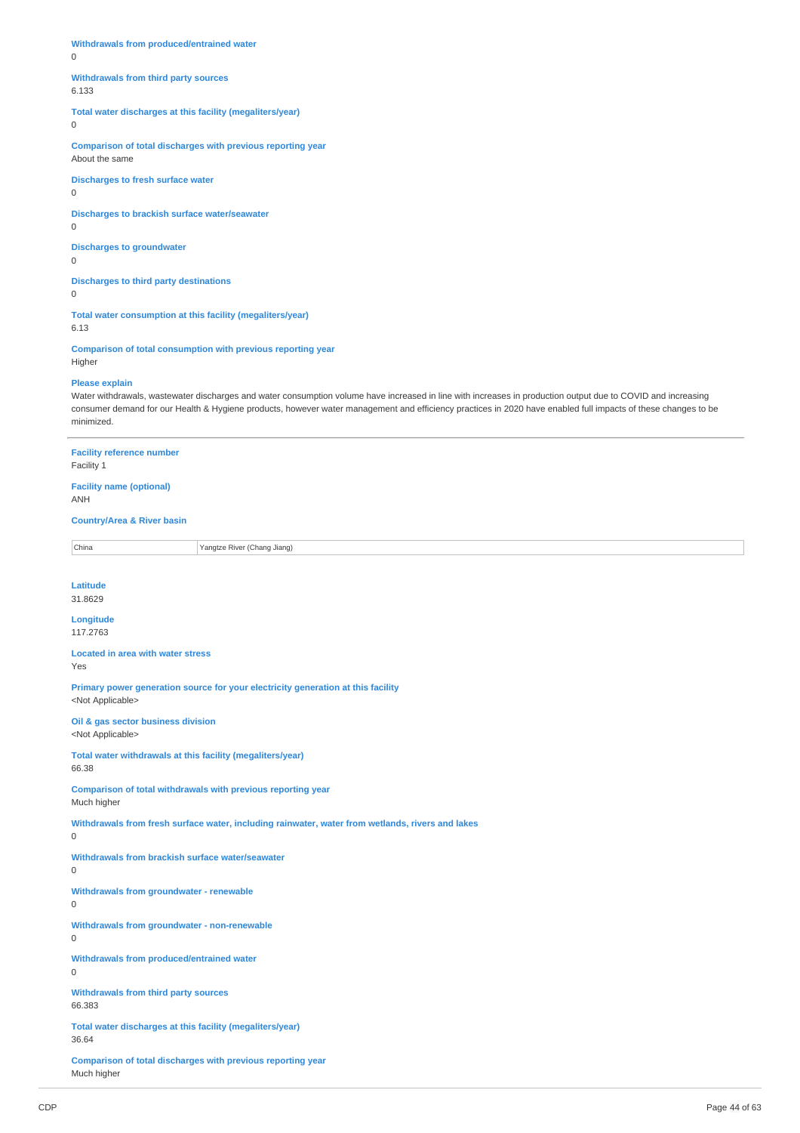**Withdrawals from produced/entrained water**

0

#### **Withdrawals from third party sources**

6.133

**Total water discharges at this facility (megaliters/year)**

 $\overline{0}$ 

**Comparison of total discharges with previous reporting year** About the same

**Discharges to fresh surface water** 0

**Discharges to brackish surface water/seawater**

0

**Discharges to groundwater** 0

**Discharges to third party destinations**  $\Omega$ 

**Total water consumption at this facility (megaliters/year)** 6.13

**Comparison of total consumption with previous reporting year** Higher

#### **Please explain**

Water withdrawals, wastewater discharges and water consumption volume have increased in line with increases in production output due to COVID and increasing consumer demand for our Health & Hygiene products, however water management and efficiency practices in 2020 have enabled full impacts of these changes to be minimized.

**Facility reference number** Facility 1

**Facility name (optional)**

ANH

# **Country/Area & River basin**

China Yangtze River (Chang Jiang)

**Latitude** 31.8629

**Longitude** 117.2763

**Located in area with water stress** Yes

**Primary power generation source for your electricity generation at this facility** <Not Applicable>

**Oil & gas sector business division** <Not Applicable>

**Total water withdrawals at this facility (megaliters/year)**

**Comparison of total withdrawals with previous reporting year** Much higher

**Withdrawals from fresh surface water, including rainwater, water from wetlands, rivers and lakes**

 $\Omega$ 

66.38

**Withdrawals from brackish surface water/seawater**

 $\Omega$ 

**Withdrawals from groundwater - renewable**  $\Omega$ 

**Withdrawals from groundwater - non-renewable**

 $\overline{0}$ 

**Withdrawals from produced/entrained water**  $\Omega$ 

**Withdrawals from third party sources**

66.383

**Total water discharges at this facility (megaliters/year)** 36.64

**Comparison of total discharges with previous reporting year** Much higher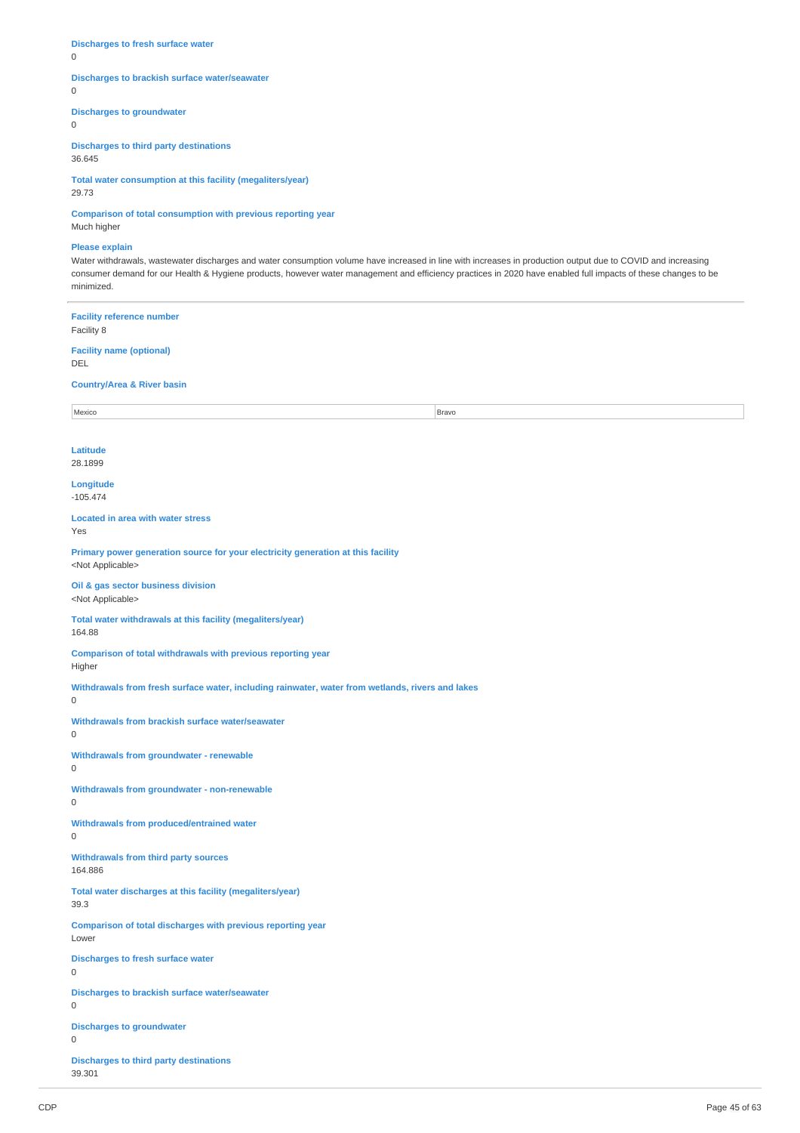# **Discharges to fresh surface water**

0

# **Discharges to brackish surface water/seawater**

0

# **Discharges to groundwater**

 $\overline{0}$ 

**Discharges to third party destinations**

36.645

**Total water consumption at this facility (megaliters/year)** 29.73

**Comparison of total consumption with previous reporting year** Much higher

# **Please explain**

Water withdrawals, wastewater discharges and water consumption volume have increased in line with increases in production output due to COVID and increasing consumer demand for our Health & Hygiene products, however water management and efficiency practices in 2020 have enabled full impacts of these changes to be minimized.

**Facility reference number** Facility 8 **Facility name (optional)** DEL **Country/Area & River basin** Mexico Bravo Bravo Bravo Bravo Bravo Bravo Bravo Bravo Bravo Bravo Bravo Bravo Bravo Bravo Bravo Bravo Bravo B **Latitude** 28.1899 **Longitude** -105.474 **Located in area with water stress** Yes **Primary power generation source for your electricity generation at this facility** <Not Applicable> **Oil & gas sector business division** <Not Applicable> **Total water withdrawals at this facility (megaliters/year)** 164.88 **Comparison of total withdrawals with previous reporting year** Higher **Withdrawals from fresh surface water, including rainwater, water from wetlands, rivers and lakes Withdrawals from brackish surface water/seawater**  $\Omega$ **Withdrawals from groundwater - renewable Withdrawals from groundwater - non-renewable Withdrawals from produced/entrained water Withdrawals from third party sources** 164.886 **Total water discharges at this facility (megaliters/year)** 39.3 **Comparison of total discharges with previous reporting year** Lower **Discharges to fresh surface water Discharges to brackish surface water/seawater**  $\overline{0}$ **Discharges to groundwater Discharges to third party destinations** 39.301

0

 $\Omega$ 

 $\Omega$ 

 $\Omega$ 

 $\Omega$ 

 $\Omega$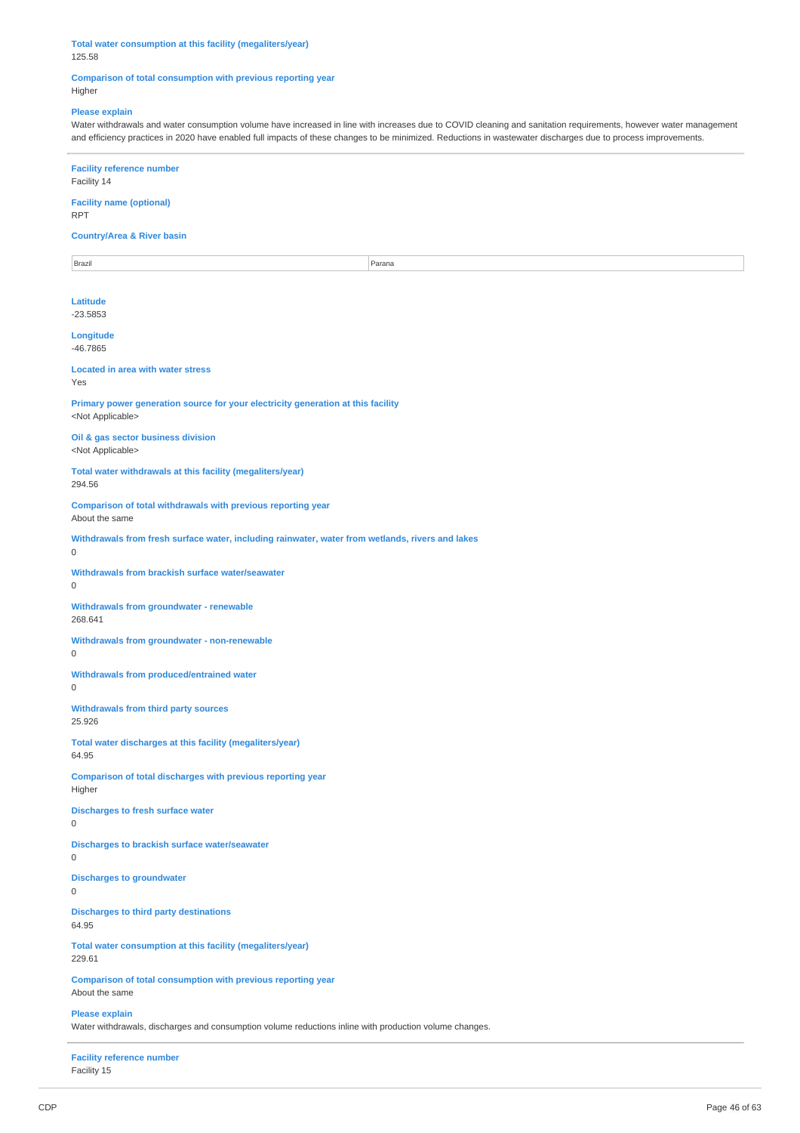**Total water consumption at this facility (megaliters/year)** 125.58

**Comparison of total consumption with previous reporting year** Higher

# **Please explain**

Water withdrawals and water consumption volume have increased in line with increases due to COVID cleaning and sanitation requirements, however water management and efficiency practices in 2020 have enabled full impacts of these changes to be minimized. Reductions in wastewater discharges due to process improvements.

**Facility reference number** Facility 14

**Facility name (optional)** RPT

**Country/Area & River basin**

Brazil Parana

**Latitude** -23.5853

**Longitude** -46.7865

**Located in area with water stress**

Yes

**Primary power generation source for your electricity generation at this facility** <Not Applicable>

**Oil & gas sector business division** <Not Applicable>

**Total water withdrawals at this facility (megaliters/year)**

294.56 **Comparison of total withdrawals with previous reporting year**

About the same

**Withdrawals from fresh surface water, including rainwater, water from wetlands, rivers and lakes**

 $\Omega$ 

**Withdrawals from brackish surface water/seawater**  $\Omega$ 

**Withdrawals from groundwater - renewable** 268.641

**Withdrawals from groundwater - non-renewable**

0

**Withdrawals from produced/entrained water**

0

**Withdrawals from third party sources** 25.926

**Total water discharges at this facility (megaliters/year)** 64.95

**Comparison of total discharges with previous reporting year** Higher

**Discharges to fresh surface water**

0

**Discharges to brackish surface water/seawater**

 $\Omega$ 

**Discharges to groundwater**

0

**Discharges to third party destinations** 64.95

**Total water consumption at this facility (megaliters/year)** 229.61

**Comparison of total consumption with previous reporting year** About the same

**Please explain**

Water withdrawals, discharges and consumption volume reductions inline with production volume changes.

**Facility reference number** Facility 15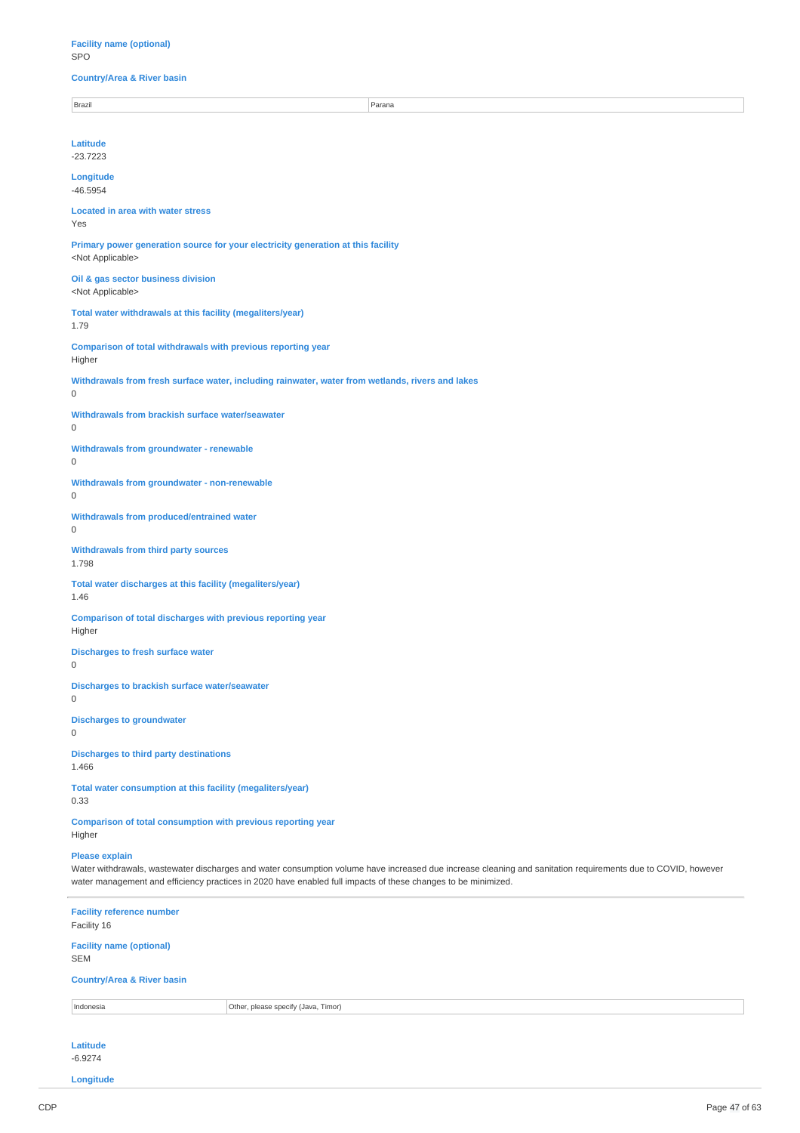**Facility name (optional)** SPO

# **Country/Area & River basin**

Brazil Parana

**Latitude** -23.7223

**Longitude**

-46.5954

#### **Located in area with water stress** Yes

**Primary power generation source for your electricity generation at this facility** <Not Applicable>

**Oil & gas sector business division** <Not Applicable>

**Total water withdrawals at this facility (megaliters/year)** 1.79

**Comparison of total withdrawals with previous reporting year** Higher

**Withdrawals from fresh surface water, including rainwater, water from wetlands, rivers and lakes**

# $\Omega$

**Withdrawals from brackish surface water/seawater**

0

**Withdrawals from groundwater - renewable**

0

**Withdrawals from groundwater - non-renewable** 0

**Withdrawals from produced/entrained water** 0

**Withdrawals from third party sources** 1.798

**Total water discharges at this facility (megaliters/year)** 1.46

**Comparison of total discharges with previous reporting year** Higher

**Discharges to fresh surface water**

 $\Omega$ 

**Discharges to brackish surface water/seawater**

0

**Discharges to groundwater**

0

**Discharges to third party destinations** 1.466

**Total water consumption at this facility (megaliters/year)** 0.33

**Comparison of total consumption with previous reporting year** Higher

#### **Please explain**

Water withdrawals, wastewater discharges and water consumption volume have increased due increase cleaning and sanitation requirements due to COVID, however water management and efficiency practices in 2020 have enabled full impacts of these changes to be minimized.

**Facility reference number** Facility 16 **Facility name (optional)** SEM **Country/Area & River basin** Indonesia **Other, please specify (Java, Timor) Latitude**

-6.9274 **Longitude**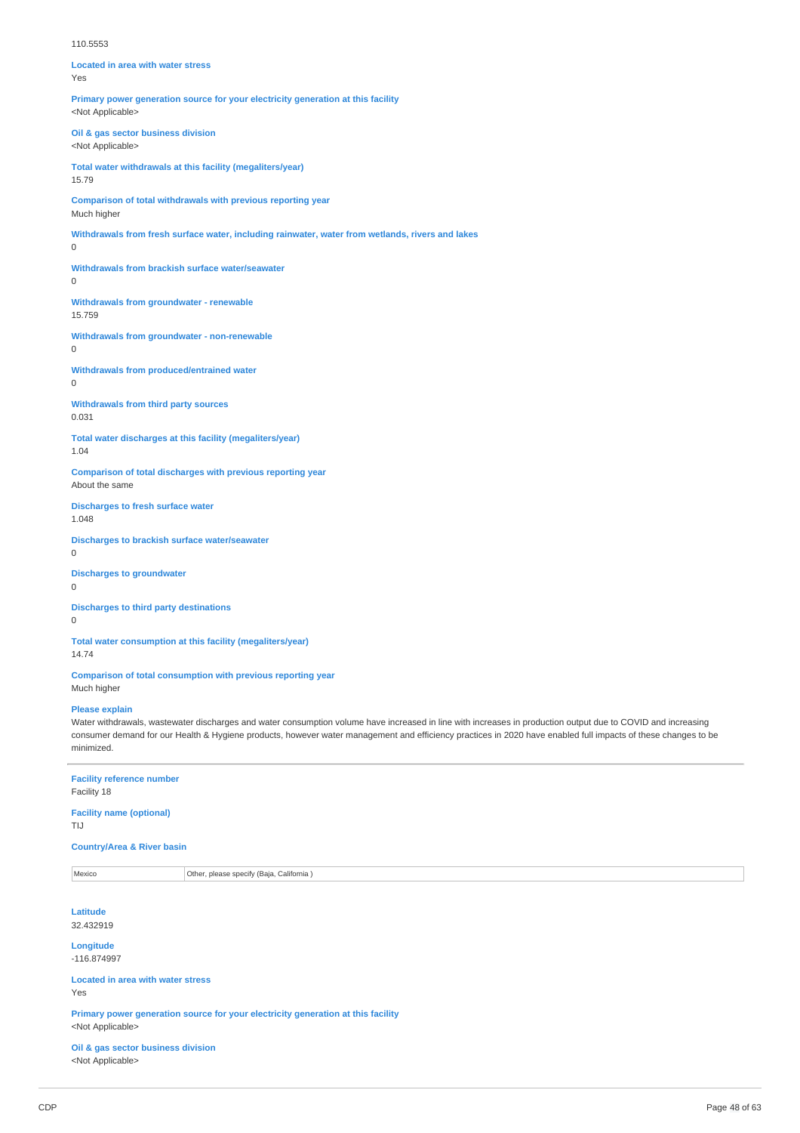#### 110.5553

**Located in area with water stress** Yes **Primary power generation source for your electricity generation at this facility** <Not Applicable> **Oil & gas sector business division** <Not Applicable> **Total water withdrawals at this facility (megaliters/year)** 15.79 **Comparison of total withdrawals with previous reporting year** Much higher **Withdrawals from fresh surface water, including rainwater, water from wetlands, rivers and lakes**  $\Omega$ **Withdrawals from brackish surface water/seawater**  $\Omega$ **Withdrawals from groundwater - renewable** 15.759 **Withdrawals from groundwater - non-renewable**  $\Omega$ **Withdrawals from produced/entrained water**  $\Omega$ **Withdrawals from third party sources** 0.031 **Total water discharges at this facility (megaliters/year)** 1.04 **Comparison of total discharges with previous reporting year** About the same **Discharges to fresh surface water** 1.048 **Discharges to brackish surface water/seawater**

0

**Discharges to groundwater**  $\Omega$ 

**Discharges to third party destinations**  $\theta$ 

**Total water consumption at this facility (megaliters/year)** 14.74

**Comparison of total consumption with previous reporting year** Much higher

#### **Please explain**

Water withdrawals, wastewater discharges and water consumption volume have increased in line with increases in production output due to COVID and increasing consumer demand for our Health & Hygiene products, however water management and efficiency practices in 2020 have enabled full impacts of these changes to be minimized.

# **Facility reference number**

Facility 18

**Facility name (optional)** TIJ

# **Country/Area & River basin**

Mexico **Other, please specify (Baja, California** )

**Latitude** 32.432919

**Longitude** -116.874997

**Located in area with water stress** Yes

**Primary power generation source for your electricity generation at this facility** <Not Applicable>

**Oil & gas sector business division** <Not Applicable>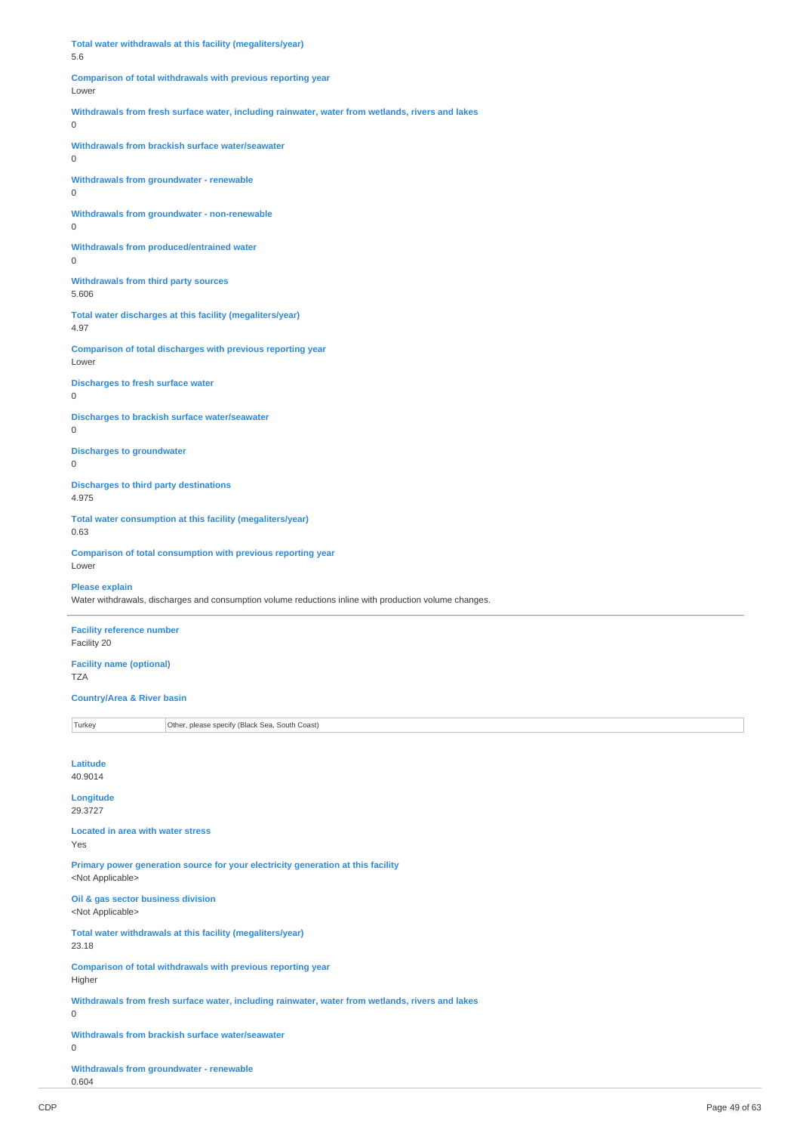| Total water withdrawals at this facility (megaliters/year)<br>5.6                                             |                                                                                                        |  |
|---------------------------------------------------------------------------------------------------------------|--------------------------------------------------------------------------------------------------------|--|
| Comparison of total withdrawals with previous reporting year<br>Lower                                         |                                                                                                        |  |
| Withdrawals from fresh surface water, including rainwater, water from wetlands, rivers and lakes<br>0         |                                                                                                        |  |
| Withdrawals from brackish surface water/seawater<br>0                                                         |                                                                                                        |  |
| Withdrawals from groundwater - renewable<br>0                                                                 |                                                                                                        |  |
| Withdrawals from groundwater - non-renewable<br>0                                                             |                                                                                                        |  |
| <b>Withdrawals from produced/entrained water</b><br>0                                                         |                                                                                                        |  |
| <b>Withdrawals from third party sources</b><br>5.606                                                          |                                                                                                        |  |
| 4.97                                                                                                          | Total water discharges at this facility (megaliters/year)                                              |  |
| Lower                                                                                                         | Comparison of total discharges with previous reporting year                                            |  |
| <b>Discharges to fresh surface water</b><br>0                                                                 |                                                                                                        |  |
| 0                                                                                                             | <b>Discharges to brackish surface water/seawater</b>                                                   |  |
| <b>Discharges to groundwater</b><br>0                                                                         |                                                                                                        |  |
| <b>Discharges to third party destinations</b><br>4.975                                                        |                                                                                                        |  |
| Total water consumption at this facility (megaliters/year)<br>0.63                                            |                                                                                                        |  |
| Lower                                                                                                         | Comparison of total consumption with previous reporting year                                           |  |
| <b>Please explain</b>                                                                                         | Water withdrawals, discharges and consumption volume reductions inline with production volume changes. |  |
| <b>Facility reference number</b><br>Facility 20                                                               |                                                                                                        |  |
| <b>Facility name (optional)</b><br>TZA                                                                        |                                                                                                        |  |
|                                                                                                               | <b>Country/Area &amp; River basin</b>                                                                  |  |
| Turkey                                                                                                        | Other, please specify (Black Sea, South Coast)                                                         |  |
| Latitude<br>40.9014                                                                                           |                                                                                                        |  |
| Longitude<br>29.3727                                                                                          |                                                                                                        |  |
| <b>Located in area with water stress</b><br>Yes                                                               |                                                                                                        |  |
| Primary power generation source for your electricity generation at this facility<br><not applicable=""></not> |                                                                                                        |  |
| Oil & gas sector business division<br><not applicable=""></not>                                               |                                                                                                        |  |
| Total water withdrawals at this facility (megaliters/year)<br>23.18                                           |                                                                                                        |  |
| Comparison of total withdrawals with previous reporting year<br>Higher                                        |                                                                                                        |  |
| Withdrawals from fresh surface water, including rainwater, water from wetlands, rivers and lakes<br>0         |                                                                                                        |  |
| Withdrawals from brackish surface water/seawater<br>0                                                         |                                                                                                        |  |

**Withdrawals from groundwater - renewable** 0.604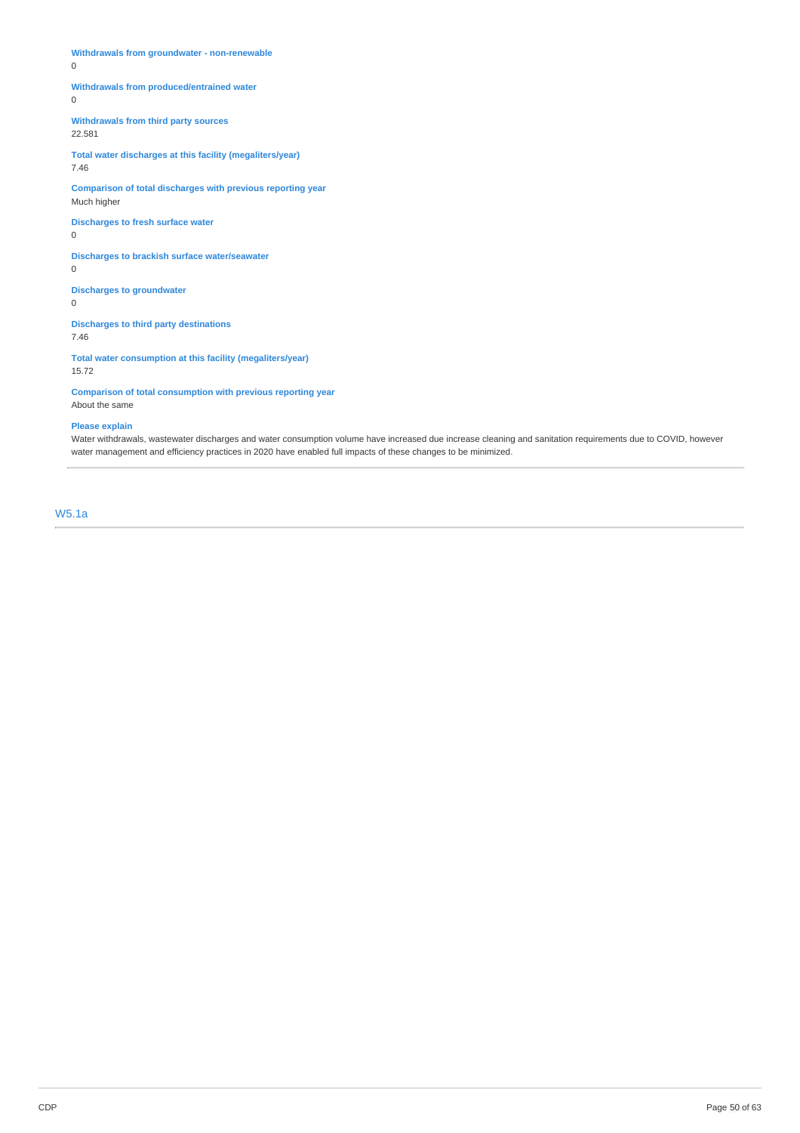**Withdrawals from groundwater - non-renewable**

 $\overline{0}$ 

# **Withdrawals from produced/entrained water**

 $\overline{0}$ 

**Withdrawals from third party sources** 22.581

**Total water discharges at this facility (megaliters/year)** 7.46

**Comparison of total discharges with previous reporting year** Much higher

**Discharges to fresh surface water** 0

**Discharges to brackish surface water/seawater**

0

**Discharges to groundwater**

0

**Discharges to third party destinations** 7.46

**Total water consumption at this facility (megaliters/year)** 15.72

**Comparison of total consumption with previous reporting year**

About the same

# **Please explain**

Water withdrawals, wastewater discharges and water consumption volume have increased due increase cleaning and sanitation requirements due to COVID, however water management and efficiency practices in 2020 have enabled full impacts of these changes to be minimized.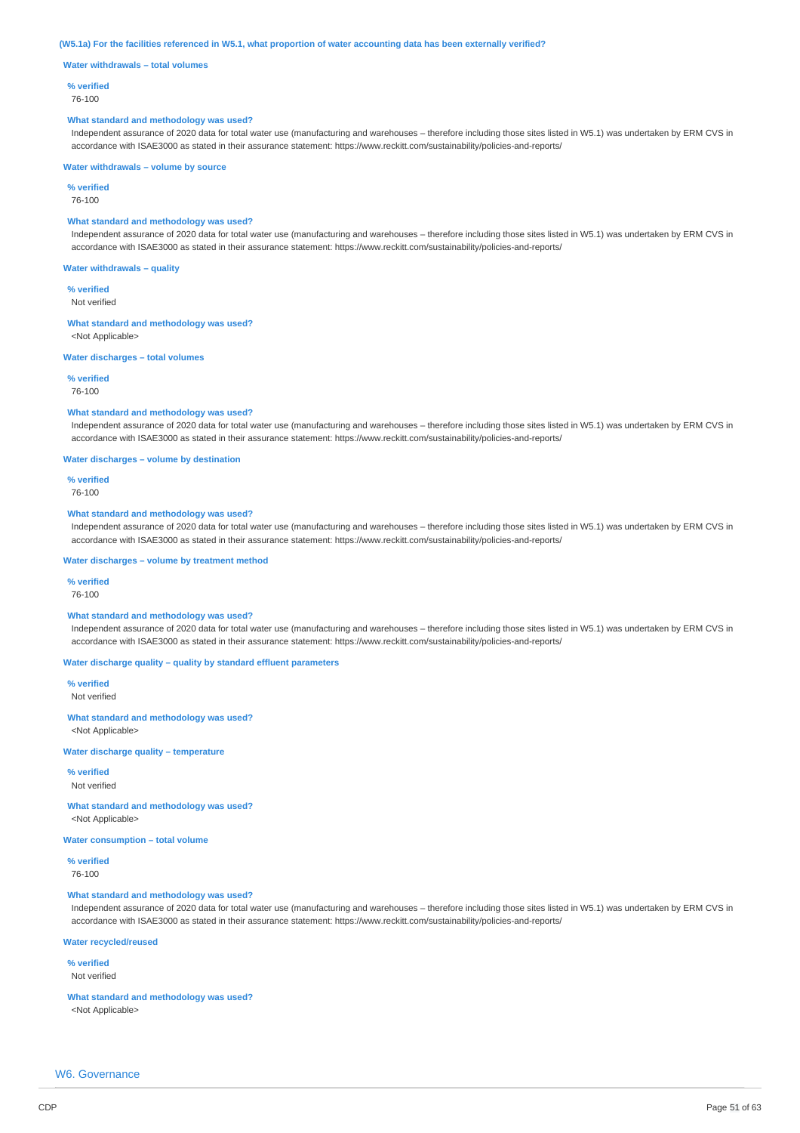#### (W5.1a) For the facilities referenced in W5.1, what proportion of water accounting data has been externally verified?

**Water withdrawals – total volumes**

#### **% verified**

76-100

#### **What standard and methodology was used?**

Independent assurance of 2020 data for total water use (manufacturing and warehouses – therefore including those sites listed in W5.1) was undertaken by ERM CVS in accordance with ISAE3000 as stated in their assurance statement: https://www.reckitt.com/sustainability/policies-and-reports/

#### **Water withdrawals – volume by source**

**% verified**

76-100

# **What standard and methodology was used?**

Independent assurance of 2020 data for total water use (manufacturing and warehouses – therefore including those sites listed in W5.1) was undertaken by ERM CVS in accordance with ISAE3000 as stated in their assurance statement: https://www.reckitt.com/sustainability/policies-and-reports/

#### **Water withdrawals – quality**

**% verified**

Not verified

#### **What standard and methodology was used?**

<Not Applicable>

#### **Water discharges – total volumes**

**% verified**

76-100

# **What standard and methodology was used?**

Independent assurance of 2020 data for total water use (manufacturing and warehouses – therefore including those sites listed in W5.1) was undertaken by ERM CVS in accordance with ISAE3000 as stated in their assurance statement: https://www.reckitt.com/sustainability/policies-and-reports/

#### **Water discharges – volume by destination**

**% verified**

#### 76-100

# **What standard and methodology was used?**

Independent assurance of 2020 data for total water use (manufacturing and warehouses – therefore including those sites listed in W5.1) was undertaken by ERM CVS in accordance with ISAE3000 as stated in their assurance statement: https://www.reckitt.com/sustainability/policies-and-reports/

#### **Water discharges – volume by treatment method**

#### **% verified**

76-100

# **What standard and methodology was used?**

Independent assurance of 2020 data for total water use (manufacturing and warehouses – therefore including those sites listed in W5.1) was undertaken by ERM CVS in accordance with ISAE3000 as stated in their assurance statement: https://www.reckitt.com/sustainability/policies-and-reports/

# **Water discharge quality – quality by standard effluent parameters**

**% verified** Not verified

#### **What standard and methodology was used?** <Not Applicable>

# **Water discharge quality – temperature**

**% verified** Not verified

**What standard and methodology was used?** <Not Applicable>

**Water consumption – total volume**

**% verified**

76-100

# **What standard and methodology was used?**

Independent assurance of 2020 data for total water use (manufacturing and warehouses – therefore including those sites listed in W5.1) was undertaken by ERM CVS in accordance with ISAE3000 as stated in their assurance statement: https://www.reckitt.com/sustainability/policies-and-reports/

# **Water recycled/reused**

**% verified** Not verified

# **What standard and methodology was used?**

<Not Applicable>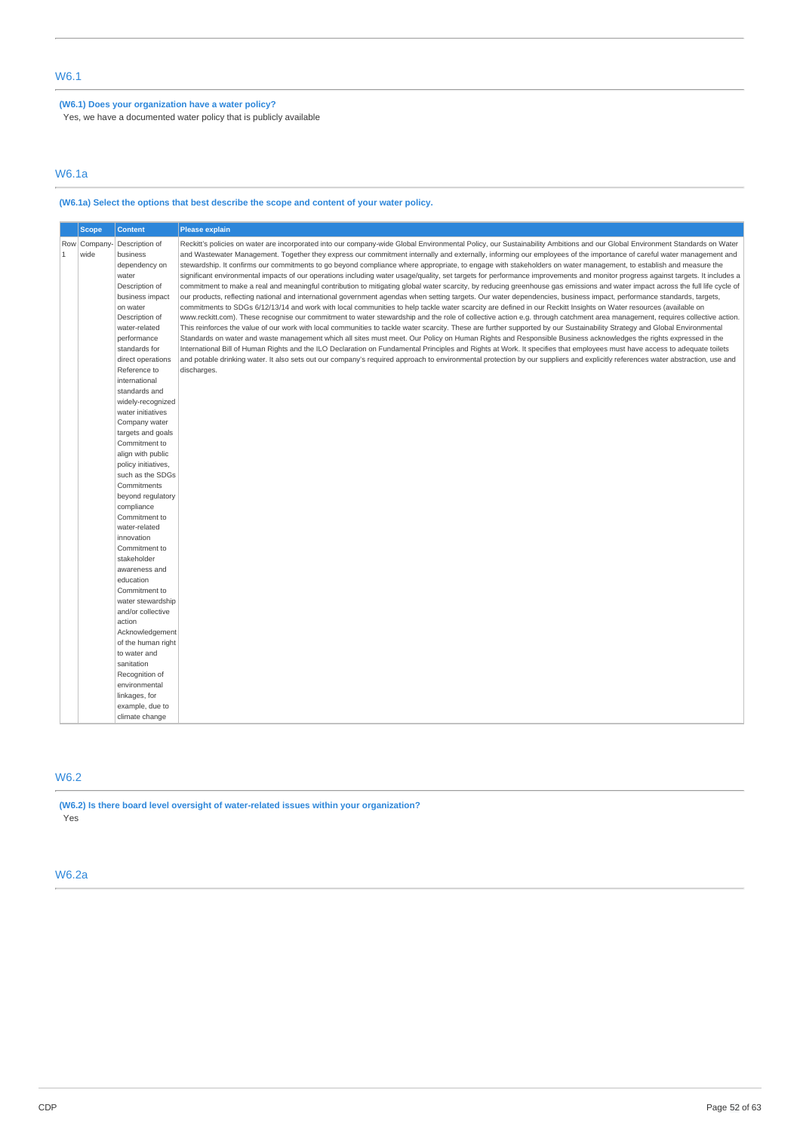# **(W6.1) Does your organization have a water policy?**

Yes, we have a documented water policy that is publicly available

# W6.1a

# **(W6.1a) Select the options that best describe the scope and content of your water policy.**

|              | <b>Scope</b>        | <b>Content</b>                                                                                                                                                                                                                                                                                                                                                                                                                                                                                                                                                                                                                                                           | <b>Please explain</b>                                                                                                                                                                                                                                                                                                                                                                                                                                                                                                                                                                                                                                                                                                                                                                                                                                                                                                                                                                                                                                                                                                                                                                                                                                                                                                                                                                                                                                                                                                                                                                                                                                                                                                                                                                                                                                                                                                                                                                                                                                                                                                                                    |
|--------------|---------------------|--------------------------------------------------------------------------------------------------------------------------------------------------------------------------------------------------------------------------------------------------------------------------------------------------------------------------------------------------------------------------------------------------------------------------------------------------------------------------------------------------------------------------------------------------------------------------------------------------------------------------------------------------------------------------|----------------------------------------------------------------------------------------------------------------------------------------------------------------------------------------------------------------------------------------------------------------------------------------------------------------------------------------------------------------------------------------------------------------------------------------------------------------------------------------------------------------------------------------------------------------------------------------------------------------------------------------------------------------------------------------------------------------------------------------------------------------------------------------------------------------------------------------------------------------------------------------------------------------------------------------------------------------------------------------------------------------------------------------------------------------------------------------------------------------------------------------------------------------------------------------------------------------------------------------------------------------------------------------------------------------------------------------------------------------------------------------------------------------------------------------------------------------------------------------------------------------------------------------------------------------------------------------------------------------------------------------------------------------------------------------------------------------------------------------------------------------------------------------------------------------------------------------------------------------------------------------------------------------------------------------------------------------------------------------------------------------------------------------------------------------------------------------------------------------------------------------------------------|
| $\mathbf{1}$ | Row Company<br>wide | Description of<br>business<br>dependency on<br>water<br>Description of<br>business impact<br>on water<br>Description of<br>water-related<br>performance<br>standards for<br>direct operations<br>Reference to<br>international<br>standards and<br>widely-recognized<br>water initiatives<br>Company water<br>targets and goals<br>Commitment to<br>align with public<br>policy initiatives,<br>such as the SDGs<br>Commitments<br>beyond regulatory<br>compliance<br>Commitment to<br>water-related<br>innovation<br>Commitment to<br>stakeholder<br>awareness and<br>education<br>Commitment to<br>water stewardship<br>and/or collective<br>action<br>Acknowledgement | Reckitt's policies on water are incorporated into our company-wide Global Environmental Policy, our Sustainability Ambitions and our Global Environment Standards on Water<br>and Wastewater Management. Together they express our commitment internally and externally, informing our employees of the importance of careful water management and<br>stewardship. It confirms our commitments to go beyond compliance where appropriate, to engage with stakeholders on water management, to establish and measure the<br>significant environmental impacts of our operations including water usage/quality, set targets for performance improvements and monitor progress against targets. It includes a<br>commitment to make a real and meaningful contribution to mitigating global water scarcity, by reducing greenhouse gas emissions and water impact across the full life cycle of<br>our products, reflecting national and international government agendas when setting targets. Our water dependencies, business impact, performance standards, targets,<br>commitments to SDGs 6/12/13/14 and work with local communities to help tackle water scarcity are defined in our Reckitt Insights on Water resources (available on<br>www.reckitt.com). These recognise our commitment to water stewardship and the role of collective action e.g. through catchment area management, requires collective action.<br>This reinforces the value of our work with local communities to tackle water scarcity. These are further supported by our Sustainability Strategy and Global Environmental<br>Standards on water and waste management which all sites must meet. Our Policy on Human Rights and Responsible Business acknowledges the rights expressed in the<br>International Bill of Human Rights and the ILO Declaration on Fundamental Principles and Rights at Work. It specifies that employees must have access to adequate toilets<br>and potable drinking water. It also sets out our company's required approach to environmental protection by our suppliers and explicitly references water abstraction, use and<br>discharges. |
|              |                     |                                                                                                                                                                                                                                                                                                                                                                                                                                                                                                                                                                                                                                                                          |                                                                                                                                                                                                                                                                                                                                                                                                                                                                                                                                                                                                                                                                                                                                                                                                                                                                                                                                                                                                                                                                                                                                                                                                                                                                                                                                                                                                                                                                                                                                                                                                                                                                                                                                                                                                                                                                                                                                                                                                                                                                                                                                                          |
|              |                     | of the human right<br>to water and<br>sanitation                                                                                                                                                                                                                                                                                                                                                                                                                                                                                                                                                                                                                         |                                                                                                                                                                                                                                                                                                                                                                                                                                                                                                                                                                                                                                                                                                                                                                                                                                                                                                                                                                                                                                                                                                                                                                                                                                                                                                                                                                                                                                                                                                                                                                                                                                                                                                                                                                                                                                                                                                                                                                                                                                                                                                                                                          |
|              |                     | Recognition of<br>environmental<br>linkages, for                                                                                                                                                                                                                                                                                                                                                                                                                                                                                                                                                                                                                         |                                                                                                                                                                                                                                                                                                                                                                                                                                                                                                                                                                                                                                                                                                                                                                                                                                                                                                                                                                                                                                                                                                                                                                                                                                                                                                                                                                                                                                                                                                                                                                                                                                                                                                                                                                                                                                                                                                                                                                                                                                                                                                                                                          |
|              |                     | example, due to<br>climate change                                                                                                                                                                                                                                                                                                                                                                                                                                                                                                                                                                                                                                        |                                                                                                                                                                                                                                                                                                                                                                                                                                                                                                                                                                                                                                                                                                                                                                                                                                                                                                                                                                                                                                                                                                                                                                                                                                                                                                                                                                                                                                                                                                                                                                                                                                                                                                                                                                                                                                                                                                                                                                                                                                                                                                                                                          |

# W6.2

**(W6.2) Is there board level oversight of water-related issues within your organization?** Yes

# W6.2a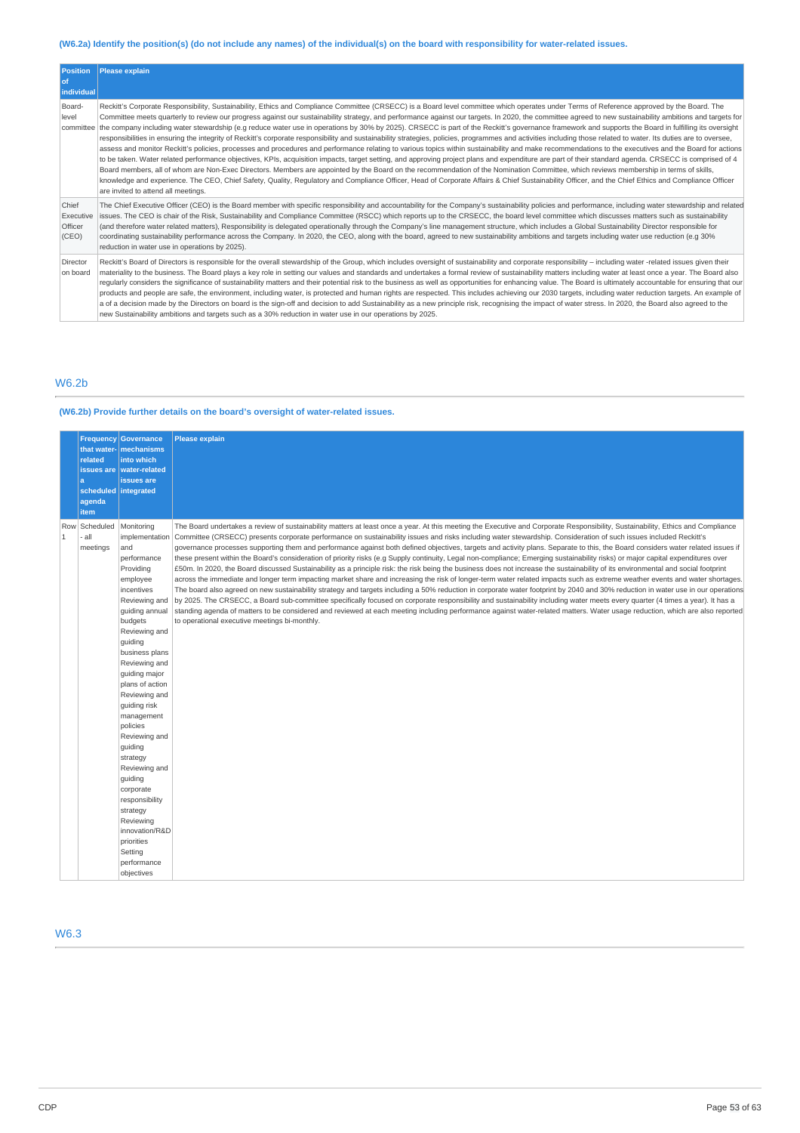# (W6.2a) Identify the position(s) (do not include any names) of the individual(s) on the board with responsibility for water-related issues.

| <b>Position</b><br>l of<br>individual  | Please explain                                                                                                                                                                                                                                                                                                                                                                                                                                                                                                                                                                                                                                                                                                                                                                                                                                                                                                                                                                                                                                                                                                                                                                                                                                                                                                                                                                                                                                                                                                                                                                                                                                                                             |
|----------------------------------------|--------------------------------------------------------------------------------------------------------------------------------------------------------------------------------------------------------------------------------------------------------------------------------------------------------------------------------------------------------------------------------------------------------------------------------------------------------------------------------------------------------------------------------------------------------------------------------------------------------------------------------------------------------------------------------------------------------------------------------------------------------------------------------------------------------------------------------------------------------------------------------------------------------------------------------------------------------------------------------------------------------------------------------------------------------------------------------------------------------------------------------------------------------------------------------------------------------------------------------------------------------------------------------------------------------------------------------------------------------------------------------------------------------------------------------------------------------------------------------------------------------------------------------------------------------------------------------------------------------------------------------------------------------------------------------------------|
| Board-<br>level<br>committee           | Reckitt's Corporate Responsibility, Sustainability, Ethics and Compliance Committee (CRSECC) is a Board level committee which operates under Terms of Reference approved by the Board. The<br>Committee meets quarterly to review our progress against our sustainability strategy, and performance against our targets. In 2020, the committee agreed to new sustainability ambitions and targets for<br>the company including water stewardship (e.g reduce water use in operations by 30% by 2025). CRSECC is part of the Reckitt's governance framework and supports the Board in fulfilling its oversight<br>responsibilities in ensuring the integrity of Reckitt's corporate responsibility and sustainability strategies, policies, programmes and activities including those related to water. Its duties are to oversee,<br>assess and monitor Reckitt's policies, processes and procedures and performance relating to various topics within sustainability and make recommendations to the executives and the Board for actions<br>to be taken. Water related performance objectives, KPIs, acquisition impacts, target setting, and approving project plans and expenditure are part of their standard agenda. CRSECC is comprised of 4<br>Board members, all of whom are Non-Exec Directors. Members are appointed by the Board on the recommendation of the Nomination Committee, which reviews membership in terms of skills,<br>knowledge and experience. The CEO, Chief Safety, Quality, Requlatory and Compliance Officer, Head of Corporate Affairs & Chief Sustainability Officer, and the Chief Ethics and Compliance Officer<br>are invited to attend all meetings. |
| Chief<br>Executive<br>Officer<br>(CEO) | The Chief Executive Officer (CEO) is the Board member with specific responsibility and accountability for the Company's sustainability policies and performance, including water stewardship and related<br>issues. The CEO is chair of the Risk, Sustainability and Compliance Committee (RSCC) which reports up to the CRSECC, the board level committee which discusses matters such as sustainability<br>(and therefore water related matters), Responsibility is delegated operationally through the Company's line management structure, which includes a Global Sustainability Director responsible for<br>coordinating sustainability performance across the Company. In 2020, the CEO, along with the board, agreed to new sustainability ambitions and targets including water use reduction (e.g 30%)<br>reduction in water use in operations by 2025).                                                                                                                                                                                                                                                                                                                                                                                                                                                                                                                                                                                                                                                                                                                                                                                                                         |
| Director<br>on board                   | Reckitt's Board of Directors is responsible for the overall stewardship of the Group, which includes oversight of sustainability and corporate responsibility - including water -related issues given their<br>materiality to the business. The Board plays a key role in setting our values and standards and undertakes a formal review of sustainability matters including water at least once a year. The Board also<br>reqularly considers the significance of sustainability matters and their potential risk to the business as well as opportunities for enhancing value. The Board is ultimately accountable for ensuring that our<br>products and people are safe, the environment, including water, is protected and human rights are respected. This includes achieving our 2030 targets, including water reduction targets. An example of<br>a of a decision made by the Directors on board is the sign-off and decision to add Sustainability as a new principle risk, recognising the impact of water stress. In 2020, the Board also agreed to the<br>new Sustainability ambitions and targets such as a 30% reduction in water use in our operations by 2025.                                                                                                                                                                                                                                                                                                                                                                                                                                                                                                             |

# W6.2b

# **(W6.2b) Provide further details on the board's oversight of water-related issues.**

|              | that water-<br>related<br>issues are<br>a<br>scheduled integrated<br>agenda<br>item | Frequency Governance<br>mechanisms<br>into which<br><b>water-related</b><br>issues are                                                                                                                                                                                                                                                                                                                                                                                                                    | <b>Please explain</b>                                                                                                                                                                                                                                                                                                                                                                                                                                                                                                                                                                                                                                                                                                                                                                                                                                                                                                                                                                                                                                                                                                                                                                                                                                                                                                                                                                                                                                                                                                                                                                                                                                                                                  |
|--------------|-------------------------------------------------------------------------------------|-----------------------------------------------------------------------------------------------------------------------------------------------------------------------------------------------------------------------------------------------------------------------------------------------------------------------------------------------------------------------------------------------------------------------------------------------------------------------------------------------------------|--------------------------------------------------------------------------------------------------------------------------------------------------------------------------------------------------------------------------------------------------------------------------------------------------------------------------------------------------------------------------------------------------------------------------------------------------------------------------------------------------------------------------------------------------------------------------------------------------------------------------------------------------------------------------------------------------------------------------------------------------------------------------------------------------------------------------------------------------------------------------------------------------------------------------------------------------------------------------------------------------------------------------------------------------------------------------------------------------------------------------------------------------------------------------------------------------------------------------------------------------------------------------------------------------------------------------------------------------------------------------------------------------------------------------------------------------------------------------------------------------------------------------------------------------------------------------------------------------------------------------------------------------------------------------------------------------------|
| $\mathbf{1}$ | Row Scheduled<br>all<br>meetings                                                    | Monitoring<br>implementation<br>and<br>performance<br>Providing<br>employee<br>incentives<br>Reviewing and<br>guiding annual<br>budgets<br>Reviewing and<br>guiding<br>business plans<br>Reviewing and<br>guiding major<br>plans of action<br>Reviewing and<br>guiding risk<br>management<br>policies<br>Reviewing and<br>guiding<br>strategy<br>Reviewing and<br>quiding<br>corporate<br>responsibility<br>strategy<br>Reviewing<br>innovation/R&D<br>priorities<br>Setting<br>performance<br>objectives | The Board undertakes a review of sustainability matters at least once a year. At this meeting the Executive and Corporate Responsibility, Sustainability, Ethics and Compliance<br>Committee (CRSECC) presents corporate performance on sustainability issues and risks including water stewardship. Consideration of such issues included Reckitt's<br>governance processes supporting them and performance against both defined objectives, targets and activity plans. Separate to this, the Board considers water related issues if<br>these present within the Board's consideration of priority risks (e.g Supply continuity, Legal non-compliance; Emerging sustainability risks) or major capital expenditures over<br>£50m. In 2020, the Board discussed Sustainability as a principle risk: the risk being the business does not increase the sustainability of its environmental and social footprint<br>across the immediate and longer term impacting market share and increasing the risk of longer-term water related impacts such as extreme weather events and water shortages.<br>The board also agreed on new sustainability strategy and targets including a 50% reduction in corporate water footprint by 2040 and 30% reduction in water use in our operations<br>by 2025. The CRSECC, a Board sub-committee specifically focused on corporate responsibility and sustainability including water meets every quarter (4 times a year). It has a<br>standing agenda of matters to be considered and reviewed at each meeting including performance against water-related matters. Water usage reduction, which are also reported<br>to operational executive meetings bi-monthly. |

# W6.3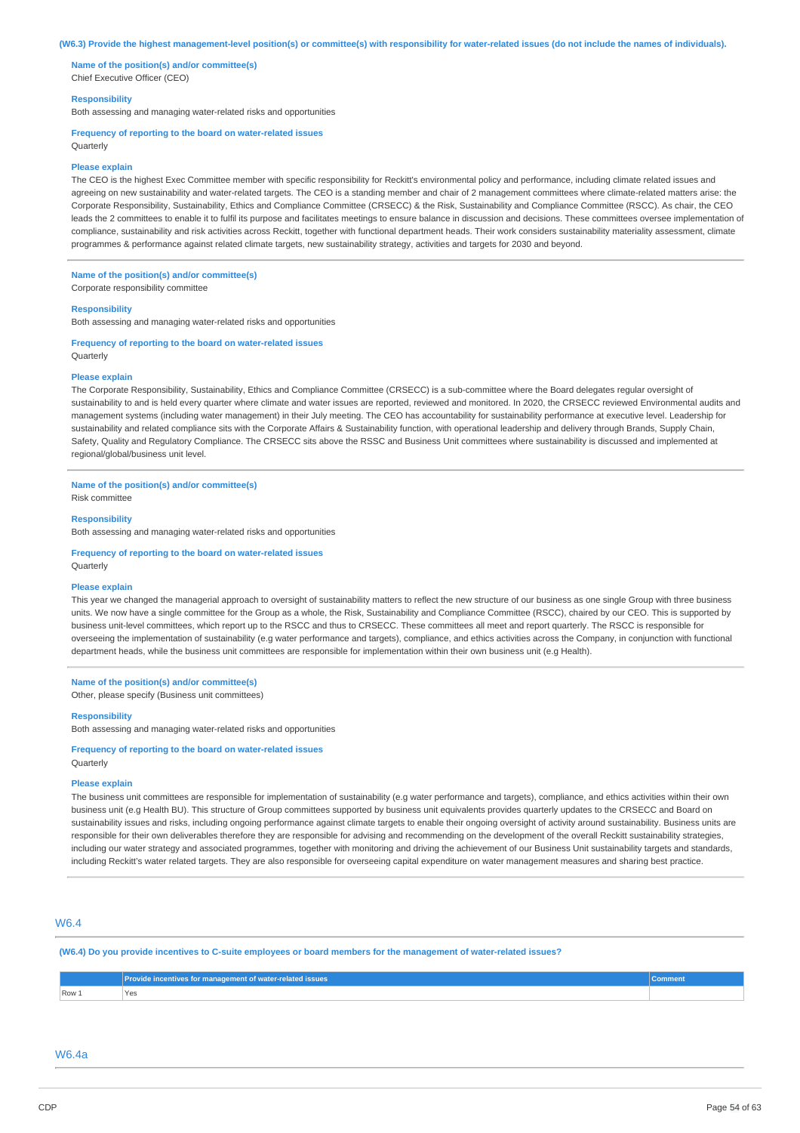#### (W6.3) Provide the highest management-level position(s) or committee(s) with responsibility for water-related issues (do not include the names of individuals).

**Name of the position(s) and/or committee(s)** Chief Executive Officer (CEO)

### **Responsibility**

Both assessing and managing water-related risks and opportunities

#### **Frequency of reporting to the board on water-related issues**

Quarterly

#### **Please explain**

The CEO is the highest Exec Committee member with specific responsibility for Reckitt's environmental policy and performance, including climate related issues and agreeing on new sustainability and water-related targets. The CEO is a standing member and chair of 2 management committees where climate-related matters arise: the Corporate Responsibility, Sustainability, Ethics and Compliance Committee (CRSECC) & the Risk, Sustainability and Compliance Committee (RSCC). As chair, the CEO leads the 2 committees to enable it to fulfil its purpose and facilitates meetings to ensure balance in discussion and decisions. These committees oversee implementation of compliance, sustainability and risk activities across Reckitt, together with functional department heads. Their work considers sustainability materiality assessment, climate programmes & performance against related climate targets, new sustainability strategy, activities and targets for 2030 and beyond.

# **Name of the position(s) and/or committee(s)**

Corporate responsibility committee

#### **Responsibility**

Both assessing and managing water-related risks and opportunities

#### **Frequency of reporting to the board on water-related issues Ouarterly**

#### **Please explain**

The Corporate Responsibility, Sustainability, Ethics and Compliance Committee (CRSECC) is a sub-committee where the Board delegates regular oversight of sustainability to and is held every quarter where climate and water issues are reported, reviewed and monitored. In 2020, the CRSECC reviewed Environmental audits and management systems (including water management) in their July meeting. The CEO has accountability for sustainability performance at executive level. Leadership for sustainability and related compliance sits with the Corporate Affairs & Sustainability function, with operational leadership and delivery through Brands, Supply Chain, Safety, Quality and Regulatory Compliance. The CRSECC sits above the RSSC and Business Unit committees where sustainability is discussed and implemented at regional/global/business unit level.

#### **Name of the position(s) and/or committee(s)**

Risk committee

# **Responsibility**

Both assessing and managing water-related risks and opportunities

# **Frequency of reporting to the board on water-related issues**

# **Please explain**

**Quarterly** 

This year we changed the managerial approach to oversight of sustainability matters to reflect the new structure of our business as one single Group with three business units. We now have a single committee for the Group as a whole, the Risk, Sustainability and Compliance Committee (RSCC), chaired by our CEO. This is supported by business unit-level committees, which report up to the RSCC and thus to CRSECC. These committees all meet and report quarterly. The RSCC is responsible for overseeing the implementation of sustainability (e.g water performance and targets), compliance, and ethics activities across the Company, in conjunction with functional department heads, while the business unit committees are responsible for implementation within their own business unit (e.g Health).

# **Name of the position(s) and/or committee(s)**

Other, please specify (Business unit committees)

### **Responsibility**

Both assessing and managing water-related risks and opportunities

# **Frequency of reporting to the board on water-related issues Ouarterly**

#### **Please explain**

The business unit committees are responsible for implementation of sustainability (e.g water performance and targets), compliance, and ethics activities within their own business unit (e.g Health BU). This structure of Group committees supported by business unit equivalents provides quarterly updates to the CRSECC and Board on sustainability issues and risks, including ongoing performance against climate targets to enable their ongoing oversight of activity around sustainability. Business units are responsible for their own deliverables therefore they are responsible for advising and recommending on the development of the overall Reckitt sustainability strategies, including our water strategy and associated programmes, together with monitoring and driving the achievement of our Business Unit sustainability targets and standards, including Reckitt's water related targets. They are also responsible for overseeing capital expenditure on water management measures and sharing best practice.

# W6.4

#### (W6.4) Do you provide incentives to C-suite employees or board members for the management of water-related issues?

|       | Provide incentives for management of water-related issues , | <b>Comment</b> |
|-------|-------------------------------------------------------------|----------------|
| Row 1 | <b>Yes</b><br>___                                           |                |

# W6.4a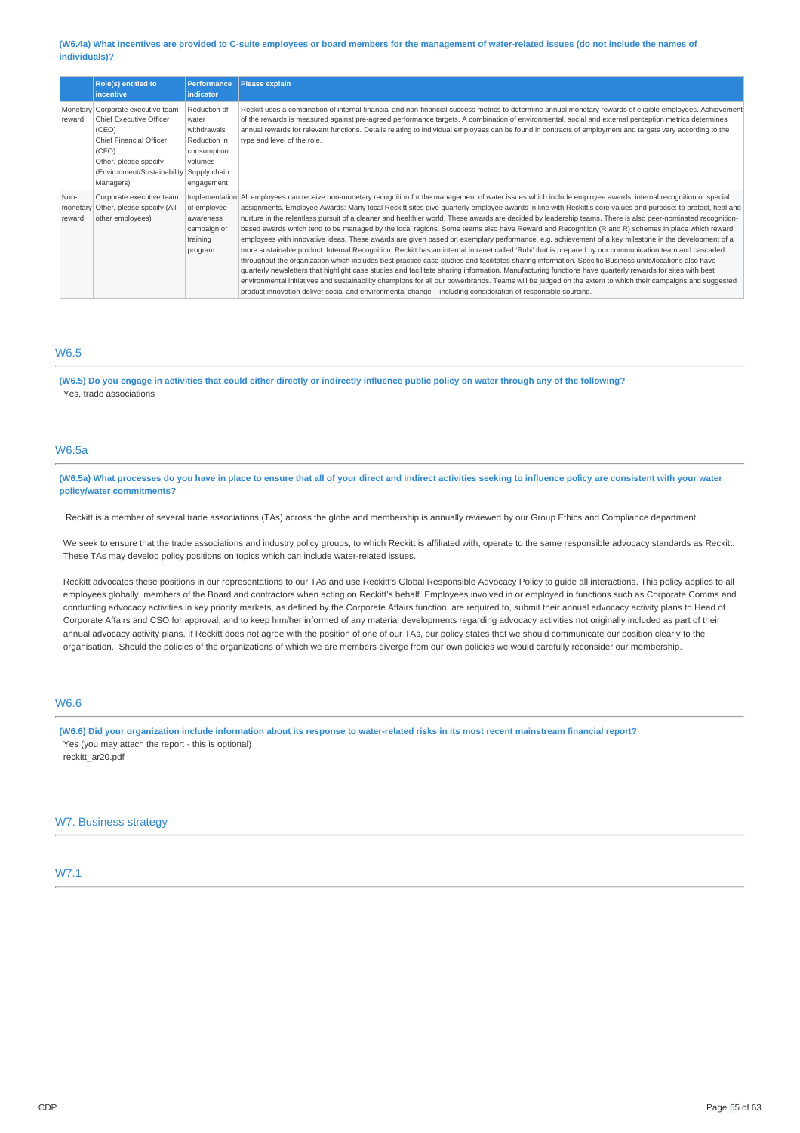### (W6.4a) What incentives are provided to C-suite employees or board members for the management of water-related issues (do not include the names of **individuals)?**

|                            | <b>Role(s) entitled to</b>                                                                                                                                                    | <b>Performance</b>                                                                                           | <b>Please explain</b>                                                                                                                                                                                                                                                                                                                                                                                                                                                                                                                                                                                                                                                                                                                                                                                                                                                                                                                                                                                                                                                                                                                                                                                                                                                                                                                                                                                                                                                                                                                                                    |
|----------------------------|-------------------------------------------------------------------------------------------------------------------------------------------------------------------------------|--------------------------------------------------------------------------------------------------------------|--------------------------------------------------------------------------------------------------------------------------------------------------------------------------------------------------------------------------------------------------------------------------------------------------------------------------------------------------------------------------------------------------------------------------------------------------------------------------------------------------------------------------------------------------------------------------------------------------------------------------------------------------------------------------------------------------------------------------------------------------------------------------------------------------------------------------------------------------------------------------------------------------------------------------------------------------------------------------------------------------------------------------------------------------------------------------------------------------------------------------------------------------------------------------------------------------------------------------------------------------------------------------------------------------------------------------------------------------------------------------------------------------------------------------------------------------------------------------------------------------------------------------------------------------------------------------|
|                            | <i>incentive</i>                                                                                                                                                              | <b>indicator</b>                                                                                             |                                                                                                                                                                                                                                                                                                                                                                                                                                                                                                                                                                                                                                                                                                                                                                                                                                                                                                                                                                                                                                                                                                                                                                                                                                                                                                                                                                                                                                                                                                                                                                          |
| Monetary<br>reward         | Corporate executive team<br>Chief Executive Officer<br>(CEO)<br><b>Chief Financial Officer</b><br>(CFO)<br>Other, please specify<br>(Environment/Sustainability)<br>Managers) | Reduction of<br>water<br>withdrawals<br>Reduction in<br>consumption<br>volumes<br>Supply chain<br>engagement | Reckitt uses a combination of internal financial and non-financial success metrics to determine annual monetary rewards of eligible employees. Achievement<br>of the rewards is measured against pre-agreed performance targets. A combination of environmental, social and external perception metrics determines<br>annual rewards for relevant functions. Details relating to individual employees can be found in contracts of employment and targets vary according to the<br>type and level of the role.                                                                                                                                                                                                                                                                                                                                                                                                                                                                                                                                                                                                                                                                                                                                                                                                                                                                                                                                                                                                                                                           |
| Non-<br>monetary<br>reward | Corporate executive team<br>Other, please specify (All<br>other employees)                                                                                                    | of employee<br>awareness<br>campaign or<br>training<br>program                                               | Implementation All employees can receive non-monetary recognition for the management of water issues which include employee awards, internal recognition or special<br>assignments. Employee Awards: Many local Reckitt sites give quarterly employee awards in line with Reckitt's core values and purpose: to protect, heal and<br>nurture in the relentless pursuit of a cleaner and healthier world. These awards are decided by leadership teams. There is also peer-nominated recognition-<br>based awards which tend to be managed by the local regions. Some teams also have Reward and Recognition (R and R) schemes in place which reward<br>employees with innovative ideas. These awards are given based on exemplary performance, e.g. achievement of a key milestone in the development of a<br>more sustainable product. Internal Recognition: Reckitt has an internal intranet called 'Rubi' that is prepared by our communication team and cascaded<br>throughout the organization which includes best practice case studies and facilitates sharing information. Specific Business units/locations also have<br>quarterly newsletters that highlight case studies and facilitate sharing information. Manufacturing functions have quarterly rewards for sites with best<br>environmental initiatives and sustainability champions for all our powerbrands. Teams will be judged on the extent to which their campaigns and suggested<br>product innovation deliver social and environmental change - including consideration of responsible sourcing. |

# W6.5

(W6.5) Do you engage in activities that could either directly or indirectly influence public policy on water through any of the following? Yes, trade associations

# W6.5a

(W6.5a) What processes do you have in place to ensure that all of your direct and indirect activities seeking to influence policy are consistent with your water **policy/water commitments?**

Reckitt is a member of several trade associations (TAs) across the globe and membership is annually reviewed by our Group Ethics and Compliance department.

We seek to ensure that the trade associations and industry policy groups, to which Reckitt is affiliated with, operate to the same responsible advocacy standards as Reckitt. These TAs may develop policy positions on topics which can include water-related issues.

Reckitt advocates these positions in our representations to our TAs and use Reckitt's Global Responsible Advocacy Policy to guide all interactions. This policy applies to all employees globally, members of the Board and contractors when acting on Reckitt's behalf. Employees involved in or employed in functions such as Corporate Comms and conducting advocacy activities in key priority markets, as defined by the Corporate Affairs function, are required to, submit their annual advocacy activity plans to Head of Corporate Affairs and CSO for approval; and to keep him/her informed of any material developments regarding advocacy activities not originally included as part of their annual advocacy activity plans. If Reckitt does not agree with the position of one of our TAs, our policy states that we should communicate our position clearly to the organisation. Should the policies of the organizations of which we are members diverge from our own policies we would carefully reconsider our membership.

# W6.6

(W6.6) Did your organization include information about its response to water-related risks in its most recent mainstream financial report? Yes (you may attach the report - this is optional) reckitt\_ar20.pdf

# W7. Business strategy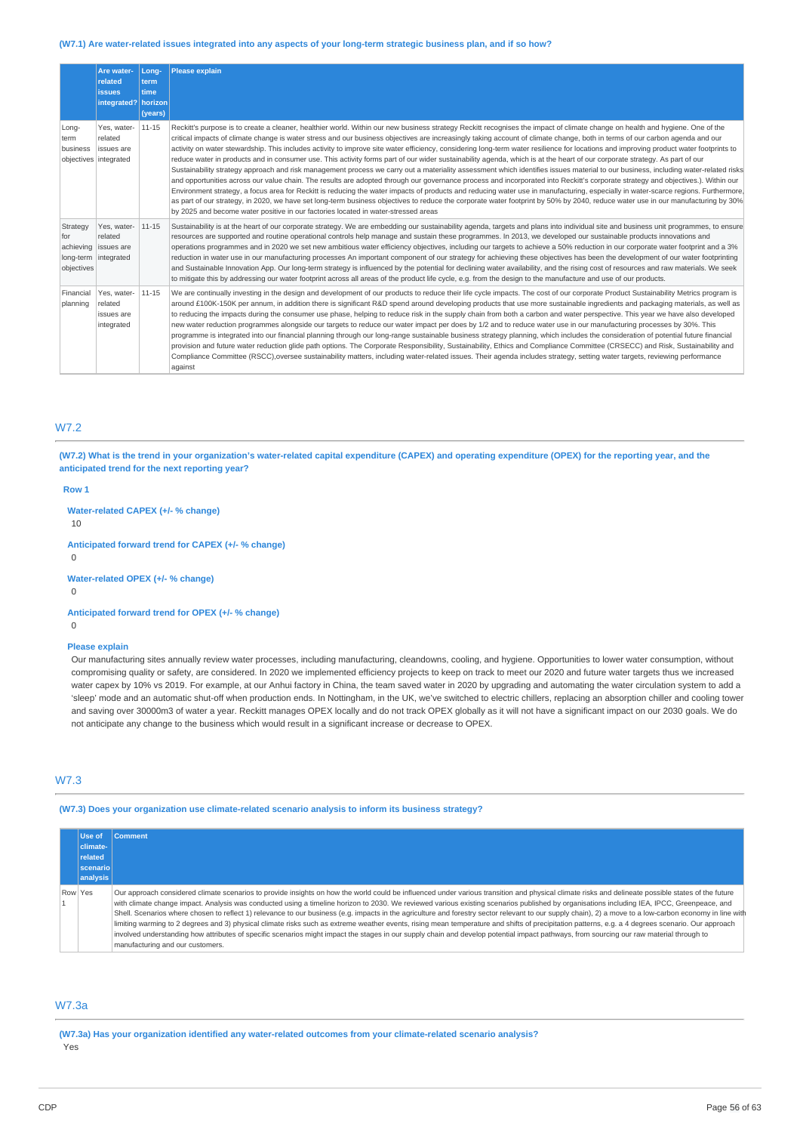#### (W7.1) Are water-related issues integrated into any aspects of your long-term strategic business plan, and if so how?

|                                                       | Are water-<br>related<br><b>issues</b><br>integrated? | Long-<br>term<br>time<br>horizon<br>(years) | <b>Please explain</b>                                                                                                                                                                                                                                                                                                                                                                                                                                                                                                                                                                                                                                                                                                                                                                                                                                                                                                                                                                                                                                                                                                                                                                                                                                                                                                                                                                                                                                                                                                                                                           |
|-------------------------------------------------------|-------------------------------------------------------|---------------------------------------------|---------------------------------------------------------------------------------------------------------------------------------------------------------------------------------------------------------------------------------------------------------------------------------------------------------------------------------------------------------------------------------------------------------------------------------------------------------------------------------------------------------------------------------------------------------------------------------------------------------------------------------------------------------------------------------------------------------------------------------------------------------------------------------------------------------------------------------------------------------------------------------------------------------------------------------------------------------------------------------------------------------------------------------------------------------------------------------------------------------------------------------------------------------------------------------------------------------------------------------------------------------------------------------------------------------------------------------------------------------------------------------------------------------------------------------------------------------------------------------------------------------------------------------------------------------------------------------|
| Long-<br>term<br>business<br>objectives integrated    | Yes, water-<br>related<br>issues are                  | $11 - 15$                                   | Reckitt's purpose is to create a cleaner, healthier world. Within our new business strategy Reckitt recognises the impact of climate change on health and hygiene. One of the<br>critical impacts of climate change is water stress and our business objectives are increasingly taking account of climate change, both in terms of our carbon agenda and our<br>activity on water stewardship. This includes activity to improve site water efficiency, considering long-term water resilience for locations and improving product water footprints to<br>reduce water in products and in consumer use. This activity forms part of our wider sustainability agenda, which is at the heart of our corporate strategy. As part of our<br>Sustainability strategy approach and risk management process we carry out a materiality assessment which identifies issues material to our business, including water-related risks<br>and opportunities across our value chain. The results are adopted through our governance process and incorporated into Reckitt's corporate strategy and objectives.). Within our<br>Environment strategy, a focus area for Reckitt is reducing the water impacts of products and reducing water use in manufacturing, especially in water-scarce regions. Furthermore,<br>as part of our strategy, in 2020, we have set long-term business objectives to reduce the corporate water footprint by 50% by 2040, reduce water use in our manufacturing by 30%<br>by 2025 and become water positive in our factories located in water-stressed areas |
| Strategy<br>for<br>long-term integrated<br>objectives | Yes, water-<br>related<br>achieving issues are        | 11-15                                       | Sustainability is at the heart of our corporate strategy. We are embedding our sustainability agenda, targets and plans into individual site and business unit programmes, to ensure<br>resources are supported and routine operational controls help manage and sustain these programmes. In 2013, we developed our sustainable products innovations and<br>operations programmes and in 2020 we set new ambitious water efficiency objectives, including our targets to achieve a 50% reduction in our corporate water footprint and a 3%<br>reduction in water use in our manufacturing processes An important component of our strategy for achieving these objectives has been the development of our water footprinting<br>and Sustainable Innovation App. Our long-term strategy is influenced by the potential for declining water availability, and the rising cost of resources and raw materials. We seek<br>to mitigate this by addressing our water footprint across all areas of the product life cycle, e.g. from the design to the manufacture and use of our products.                                                                                                                                                                                                                                                                                                                                                                                                                                                                                         |
| Financial<br>planning                                 | Yes, water-<br>related<br>issues are<br>integrated    | $11 - 15$                                   | We are continually investing in the design and development of our products to reduce their life cycle impacts. The cost of our corporate Product Sustainability Metrics program is<br>around £100K-150K per annum, in addition there is significant R&D spend around developing products that use more sustainable ingredients and packaging materials, as well as<br>to reducing the impacts during the consumer use phase, helping to reduce risk in the supply chain from both a carbon and water perspective. This year we have also developed<br>new water reduction programmes alongside our targets to reduce our water impact per does by 1/2 and to reduce water use in our manufacturing processes by 30%. This<br>programme is integrated into our financial planning through our long-range sustainable business strategy planning, which includes the consideration of potential future financial<br>provision and future water reduction glide path options. The Corporate Responsibility, Sustainability, Ethics and Compliance Committee (CRSECC) and Risk, Sustainability and<br>Compliance Committee (RSCC),oversee sustainability matters, including water-related issues. Their agenda includes strategy, setting water targets, reviewing performance<br>against                                                                                                                                                                                                                                                                                           |

# W7.2

(W7.2) What is the trend in your organization's water-related capital expenditure (CAPEX) and operating expenditure (OPEX) for the reporting year, and the **anticipated trend for the next reporting year?**

**Row 1**

# **Water-related CAPEX (+/- % change)**

10

**Anticipated forward trend for CAPEX (+/- % change)**

 $\Omega$ 

**Water-related OPEX (+/- % change)**

0

**Anticipated forward trend for OPEX (+/- % change)**

 $\Omega$ 

#### **Please explain**

Our manufacturing sites annually review water processes, including manufacturing, cleandowns, cooling, and hygiene. Opportunities to lower water consumption, without compromising quality or safety, are considered. In 2020 we implemented efficiency projects to keep on track to meet our 2020 and future water targets thus we increased water capex by 10% vs 2019. For example, at our Anhui factory in China, the team saved water in 2020 by upgrading and automating the water circulation system to add a 'sleep' mode and an automatic shut-off when production ends. In Nottingham, in the UK, we've switched to electric chillers, replacing an absorption chiller and cooling tower and saving over 30000m3 of water a year. Reckitt manages OPEX locally and do not track OPEX globally as it will not have a significant impact on our 2030 goals. We do not anticipate any change to the business which would result in a significant increase or decrease to OPEX.

# W7.3

**(W7.3) Does your organization use climate-related scenario analysis to inform its business strategy?**

|         | Use of<br>climate-<br>related<br><b>scenariol</b><br>analysis | <b>Comment</b>                                                                                                                                                                                                                                                                                                                                                                                                                                                                                                                                                                                                                                                                                                                                                                                                                                                                                                                                                                                                                                     |
|---------|---------------------------------------------------------------|----------------------------------------------------------------------------------------------------------------------------------------------------------------------------------------------------------------------------------------------------------------------------------------------------------------------------------------------------------------------------------------------------------------------------------------------------------------------------------------------------------------------------------------------------------------------------------------------------------------------------------------------------------------------------------------------------------------------------------------------------------------------------------------------------------------------------------------------------------------------------------------------------------------------------------------------------------------------------------------------------------------------------------------------------|
| Row Yes |                                                               | Our approach considered climate scenarios to provide insights on how the world could be influenced under various transition and physical climate risks and delineate possible states of the future<br>with climate change impact. Analysis was conducted using a timeline horizon to 2030. We reviewed various existing scenarios published by organisations including IEA, IPCC, Greenpeace, and<br>Shell. Scenarios where chosen to reflect 1) relevance to our business (e.g. impacts in the agriculture and forestry sector relevant to our supply chain), 2) a move to a low-carbon economy in line with<br>limiting warming to 2 degrees and 3) physical climate risks such as extreme weather events, rising mean temperature and shifts of precipitation patterns, e.g. a 4 degrees scenario. Our approach<br>involved understanding how attributes of specific scenarios might impact the stages in our supply chain and develop potential impact pathways, from sourcing our raw material through to<br>manufacturing and our customers. |

# W7.3a

**(W7.3a) Has your organization identified any water-related outcomes from your climate-related scenario analysis?** Yes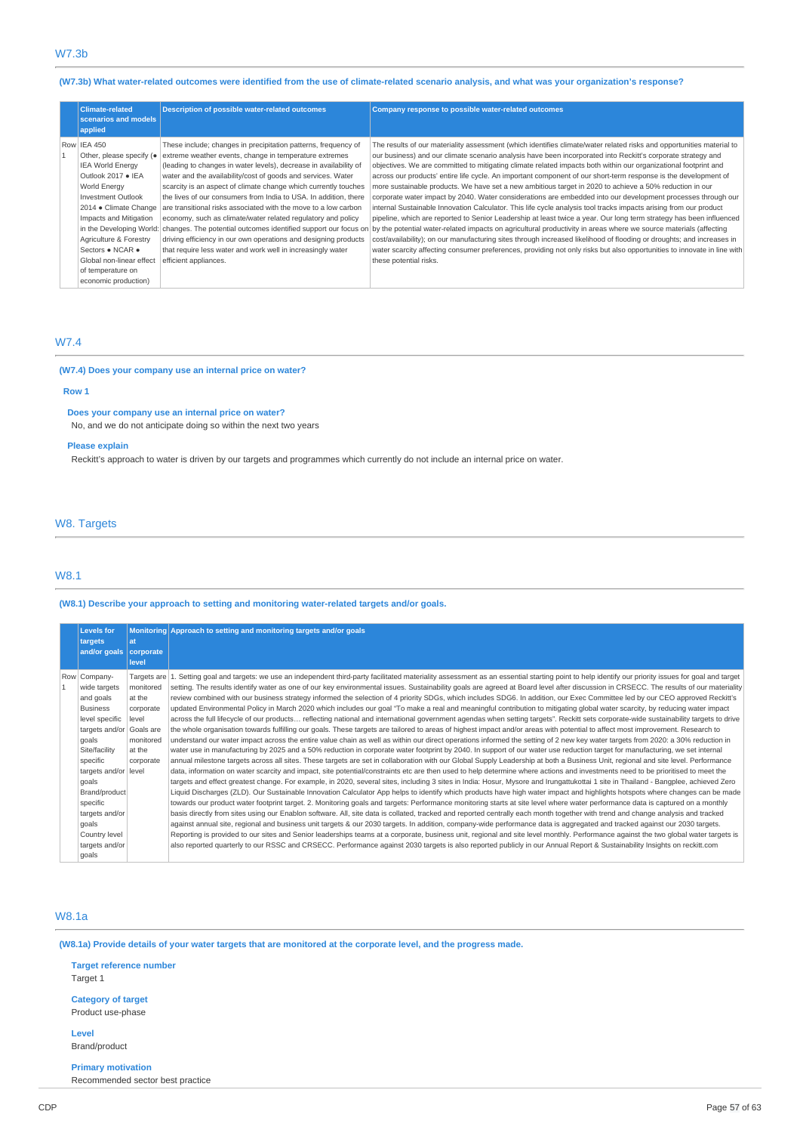# (W7.3b) What water-related outcomes were identified from the use of climate-related scenario analysis, and what was your organization's response?

| <b>Climate-related</b><br>scenarios and models<br>applied                                                                                                                                                                                                                                                                            | <b>Description of possible water-related outcomes</b>                                                                                                                                                                                                                                                                                                                                                                                                                                                                                                                                                                                                                                                                                                                 | Company response to possible water-related outcomes                                                                                                                                                                                                                                                                                                                                                                                                                                                                                                                                                                                                                                                                                                                                                                                                                                                                                                                                                                                                                                                                                                                                                                                                                                                                                                   |
|--------------------------------------------------------------------------------------------------------------------------------------------------------------------------------------------------------------------------------------------------------------------------------------------------------------------------------------|-----------------------------------------------------------------------------------------------------------------------------------------------------------------------------------------------------------------------------------------------------------------------------------------------------------------------------------------------------------------------------------------------------------------------------------------------------------------------------------------------------------------------------------------------------------------------------------------------------------------------------------------------------------------------------------------------------------------------------------------------------------------------|-------------------------------------------------------------------------------------------------------------------------------------------------------------------------------------------------------------------------------------------------------------------------------------------------------------------------------------------------------------------------------------------------------------------------------------------------------------------------------------------------------------------------------------------------------------------------------------------------------------------------------------------------------------------------------------------------------------------------------------------------------------------------------------------------------------------------------------------------------------------------------------------------------------------------------------------------------------------------------------------------------------------------------------------------------------------------------------------------------------------------------------------------------------------------------------------------------------------------------------------------------------------------------------------------------------------------------------------------------|
| Row IEA 450<br>Other, please specify (.<br><b>IEA World Energy</b><br>Outlook 2017 . IEA<br>World Energy<br>Investment Outlook<br>2014 · Climate Change<br>Impacts and Mitigation<br>in the Developing World:<br>Agriculture & Forestry<br>Sectors . NCAR .<br>Global non-linear effect<br>of temperature on<br>economic production) | These include; changes in precipitation patterns, frequency of<br>extreme weather events, change in temperature extremes<br>(leading to changes in water levels), decrease in availability of<br>water and the availability/cost of goods and services. Water<br>scarcity is an aspect of climate change which currently touches<br>the lives of our consumers from India to USA. In addition, there<br>are transitional risks associated with the move to a low carbon<br>economy, such as climate/water related regulatory and policy<br>changes. The potential outcomes identified support our focus on<br>driving efficiency in our own operations and designing products<br>that require less water and work well in increasingly water<br>efficient appliances. | The results of our materiality assessment (which identifies climate/water related risks and opportunities material to<br>our business) and our climate scenario analysis have been incorporated into Reckitt's corporate strategy and<br>objectives. We are committed to mitigating climate related impacts both within our organizational footprint and<br>across our products' entire life cycle. An important component of our short-term response is the development of<br>more sustainable products. We have set a new ambitious target in 2020 to achieve a 50% reduction in our<br>corporate water impact by 2040. Water considerations are embedded into our development processes through our<br>internal Sustainable Innovation Calculator. This life cycle analysis tool tracks impacts arising from our product<br>pipeline, which are reported to Senior Leadership at least twice a year. Our long term strategy has been influenced<br>by the potential water-related impacts on agricultural productivity in areas where we source materials (affecting<br>cost/availability); on our manufacturing sites through increased likelihood of flooding or droughts; and increases in<br>water scarcity affecting consumer preferences, providing not only risks but also opportunities to innovate in line with<br>these potential risks. |

# W7.4

### **(W7.4) Does your company use an internal price on water?**

# **Row 1**

# **Does your company use an internal price on water?**

No, and we do not anticipate doing so within the next two years

### **Please explain**

Reckitt's approach to water is driven by our targets and programmes which currently do not include an internal price on water.

# W8. Targets

# W8.1

### **(W8.1) Describe your approach to setting and monitoring water-related targets and/or goals.**

| <b>Levels for</b><br>targets<br>and/or goals                                                                                                                                                                                                                                           | at<br>corporate<br>level                                                      | Monitoring Approach to setting and monitoring targets and/or goals                                                                                                                                                                                                                                                                                                                                                                                                                                                                                                                                                                                                                                                                                                                                                                                                                                                                                                                                                                                                                                                                                                                                                                                                                                                                                                                                                                                                                                                                                                                                                                                                                                                                                                                                                                                                                                                                                                                                                                                                                                                                                                                                                                                                                                                                                                                                                                                                                                                                                                                                                                                                                                                                                                                                                                                                                                                                                                                                                                                                                                                                                                                |
|----------------------------------------------------------------------------------------------------------------------------------------------------------------------------------------------------------------------------------------------------------------------------------------|-------------------------------------------------------------------------------|-----------------------------------------------------------------------------------------------------------------------------------------------------------------------------------------------------------------------------------------------------------------------------------------------------------------------------------------------------------------------------------------------------------------------------------------------------------------------------------------------------------------------------------------------------------------------------------------------------------------------------------------------------------------------------------------------------------------------------------------------------------------------------------------------------------------------------------------------------------------------------------------------------------------------------------------------------------------------------------------------------------------------------------------------------------------------------------------------------------------------------------------------------------------------------------------------------------------------------------------------------------------------------------------------------------------------------------------------------------------------------------------------------------------------------------------------------------------------------------------------------------------------------------------------------------------------------------------------------------------------------------------------------------------------------------------------------------------------------------------------------------------------------------------------------------------------------------------------------------------------------------------------------------------------------------------------------------------------------------------------------------------------------------------------------------------------------------------------------------------------------------------------------------------------------------------------------------------------------------------------------------------------------------------------------------------------------------------------------------------------------------------------------------------------------------------------------------------------------------------------------------------------------------------------------------------------------------------------------------------------------------------------------------------------------------------------------------------------------------------------------------------------------------------------------------------------------------------------------------------------------------------------------------------------------------------------------------------------------------------------------------------------------------------------------------------------------------------------------------------------------------------------------------------------------------|
| Row Company-<br>wide targets<br>and goals<br><b>Business</b><br>level specific<br>targets and/or Goals are<br>goals<br>Site/facility<br>specific<br>targets and/or  level<br>goals<br>Brand/product<br>specific<br>targets and/or<br>goals<br>Country level<br>targets and/or<br>goals | monitored<br>at the<br>corporate<br>level<br>monitored<br>at the<br>corporate | Targets are 1. Setting goal and targets: we use an independent third-party facilitated materiality assessment as an essential starting point to help identify our priority issues for goal and target<br>setting. The results identify water as one of our key environmental issues. Sustainability goals are agreed at Board level after discussion in CRSECC. The results of our materiality<br>review combined with our business strategy informed the selection of 4 priority SDGs, which includes SDG6. In addition, our Exec Committee led by our CEO approved Reckitt's<br>updated Environmental Policy in March 2020 which includes our goal "To make a real and meaningful contribution to mitigating global water scarcity, by reducing water impact<br>across the full lifecycle of our products reflecting national and international government agendas when setting targets". Reckitt sets corporate-wide sustainability targets to drive<br>the whole organisation towards fulfilling our goals. These targets are tailored to areas of highest impact and/or areas with potential to affect most improvement. Research to<br>understand our water impact across the entire value chain as well as within our direct operations informed the setting of 2 new key water targets from 2020: a 30% reduction in<br>water use in manufacturing by 2025 and a 50% reduction in corporate water footprint by 2040. In support of our water use reduction target for manufacturing, we set internal<br>annual milestone targets across all sites. These targets are set in collaboration with our Global Supply Leadership at both a Business Unit, regional and site level. Performance<br>data, information on water scarcity and impact, site potential/constraints etc are then used to help determine where actions and investments need to be prioritised to meet the<br>targets and effect greatest change. For example, in 2020, several sites, including 3 sites in India: Hosur, Mysore and Irungattukottai 1 site in Thailand - Bangplee, achieved Zero<br>Liquid Discharges (ZLD). Our Sustainable Innovation Calculator App helps to identify which products have high water impact and highlights hotspots where changes can be made<br>towards our product water footprint target. 2. Monitoring goals and targets: Performance monitoring starts at site level where water performance data is captured on a monthly<br>basis directly from sites using our Enablon software. All, site data is collated, tracked and reported centrally each month together with trend and change analysis and tracked<br>against annual site, regional and business unit targets & our 2030 targets. In addition, company-wide performance data is aggregated and tracked against our 2030 targets.<br>Reporting is provided to our sites and Senior leaderships teams at a corporate, business unit, regional and site level monthly. Performance against the two global water targets is<br>also reported quarterly to our RSSC and CRSECC. Performance against 2030 targets is also reported publicly in our Annual Report & Sustainability Insights on reckitt.com |

# W8.1a

(W8.1a) Provide details of your water targets that are monitored at the corporate level, and the progress made.

**Target reference number** Target 1

# **Category of target** Product use-phase

**Level** Brand/product

# **Primary motivation**

Recommended sector best practice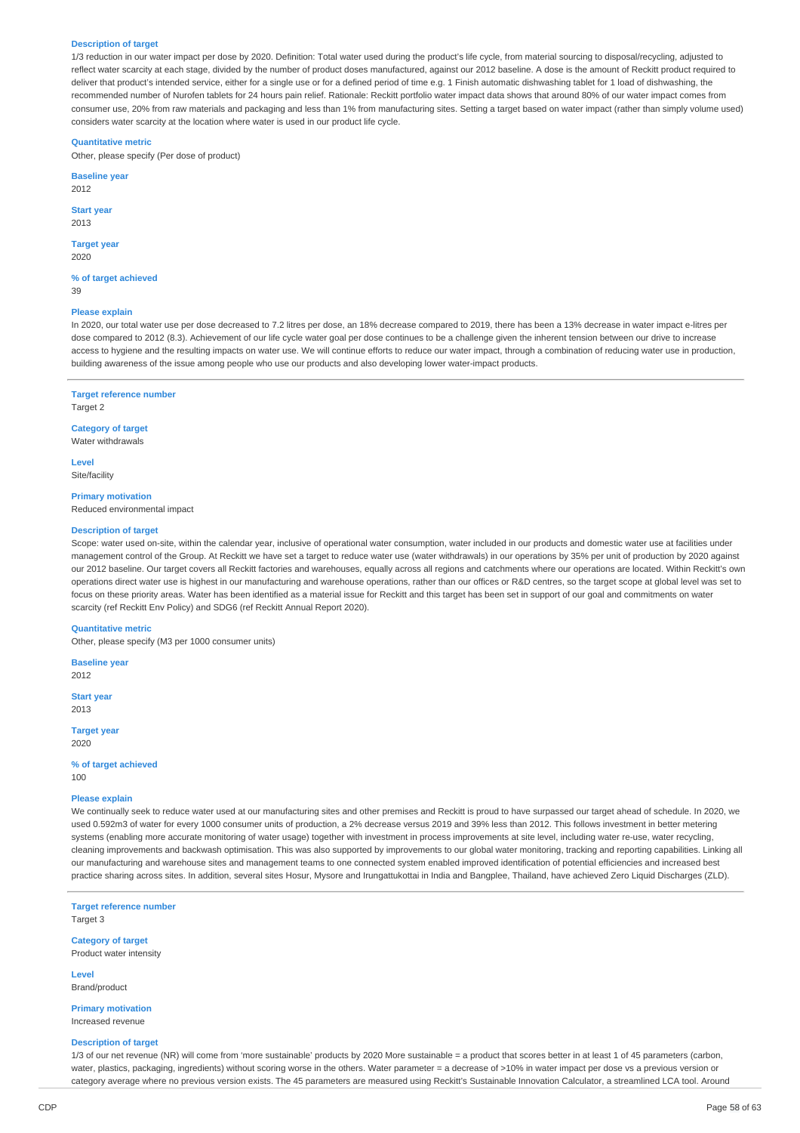#### **Description of target**

1/3 reduction in our water impact per dose by 2020. Definition: Total water used during the product's life cycle, from material sourcing to disposal/recycling, adjusted to reflect water scarcity at each stage, divided by the number of product doses manufactured, against our 2012 baseline. A dose is the amount of Reckitt product required to deliver that product's intended service, either for a single use or for a defined period of time e.g. 1 Finish automatic dishwashing tablet for 1 load of dishwashing, the recommended number of Nurofen tablets for 24 hours pain relief. Rationale: Reckitt portfolio water impact data shows that around 80% of our water impact comes from consumer use, 20% from raw materials and packaging and less than 1% from manufacturing sites. Setting a target based on water impact (rather than simply volume used) considers water scarcity at the location where water is used in our product life cycle.

#### **Quantitative metric**

Other, please specify (Per dose of product)

**Baseline year** 2012

#### **Start year** 2013

**Target year** 2020

**% of target achieved** 39

#### **Please explain**

In 2020, our total water use per dose decreased to 7.2 litres per dose, an 18% decrease compared to 2019, there has been a 13% decrease in water impact e-litres per dose compared to 2012 (8.3). Achievement of our life cycle water goal per dose continues to be a challenge given the inherent tension between our drive to increase access to hygiene and the resulting impacts on water use. We will continue efforts to reduce our water impact, through a combination of reducing water use in production, building awareness of the issue among people who use our products and also developing lower water-impact products.

**Target reference number** Target 2

**Category of target** Water withdrawals

**Level** Site/facility

**Primary motivation**

Reduced environmental impact

#### **Description of target**

Scope: water used on-site, within the calendar year, inclusive of operational water consumption, water included in our products and domestic water use at facilities under management control of the Group. At Reckitt we have set a target to reduce water use (water withdrawals) in our operations by 35% per unit of production by 2020 against our 2012 baseline. Our target covers all Reckitt factories and warehouses, equally across all regions and catchments where our operations are located. Within Reckitt's own operations direct water use is highest in our manufacturing and warehouse operations, rather than our offices or R&D centres, so the target scope at global level was set to focus on these priority areas. Water has been identified as a material issue for Reckitt and this target has been set in support of our goal and commitments on water scarcity (ref Reckitt Env Policy) and SDG6 (ref Reckitt Annual Report 2020).

#### **Quantitative metric**

Other, please specify (M3 per 1000 consumer units)

**Baseline year** 2012

**Start year** 2013

**Target year** 2020

**% of target achieved** 100

# **Please explain**

We continually seek to reduce water used at our manufacturing sites and other premises and Reckitt is proud to have surpassed our target ahead of schedule. In 2020, we used 0.592m3 of water for every 1000 consumer units of production, a 2% decrease versus 2019 and 39% less than 2012. This follows investment in better metering systems (enabling more accurate monitoring of water usage) together with investment in process improvements at site level, including water re-use, water recycling, cleaning improvements and backwash optimisation. This was also supported by improvements to our global water monitoring, tracking and reporting capabilities. Linking all our manufacturing and warehouse sites and management teams to one connected system enabled improved identification of potential efficiencies and increased best practice sharing across sites. In addition, several sites Hosur, Mysore and Irungattukottai in India and Bangplee, Thailand, have achieved Zero Liquid Discharges (ZLD).

**Target reference number** Target 3

**Category of target** Product water intensity

**Level** Brand/product

**Primary motivation** Increased revenue

#### **Description of target**

1/3 of our net revenue (NR) will come from 'more sustainable' products by 2020 More sustainable = a product that scores better in at least 1 of 45 parameters (carbon, water, plastics, packaging, ingredients) without scoring worse in the others. Water parameter = a decrease of >10% in water impact per dose vs a previous version or category average where no previous version exists. The 45 parameters are measured using Reckitt's Sustainable Innovation Calculator, a streamlined LCA tool. Around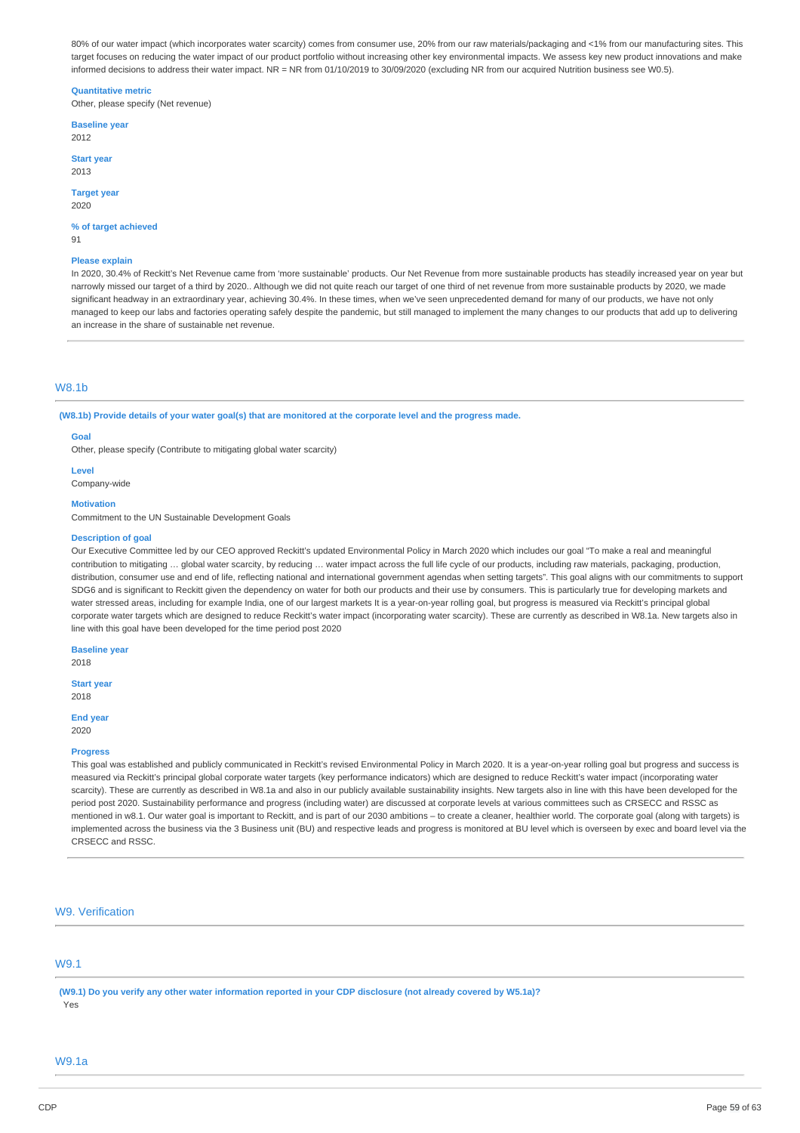80% of our water impact (which incorporates water scarcity) comes from consumer use, 20% from our raw materials/packaging and <1% from our manufacturing sites. This target focuses on reducing the water impact of our product portfolio without increasing other key environmental impacts. We assess key new product innovations and make informed decisions to address their water impact. NR = NR from 01/10/2019 to 30/09/2020 (excluding NR from our acquired Nutrition business see W0.5).

### **Quantitative metric**

Other, please specify (Net revenue)

**Baseline year** 2012

**Start year** 2013

**Target year** 2020

**% of target achieved**

91

#### **Please explain**

In 2020, 30.4% of Reckitt's Net Revenue came from 'more sustainable' products. Our Net Revenue from more sustainable products has steadily increased year on year but narrowly missed our target of a third by 2020.. Although we did not quite reach our target of one third of net revenue from more sustainable products by 2020, we made significant headway in an extraordinary year, achieving 30.4%. In these times, when we've seen unprecedented demand for many of our products, we have not only managed to keep our labs and factories operating safely despite the pandemic, but still managed to implement the many changes to our products that add up to delivering an increase in the share of sustainable net revenue.

### W8.1b

(W8.1b) Provide details of your water goal(s) that are monitored at the corporate level and the progress made.

#### **Goal**

Other, please specify (Contribute to mitigating global water scarcity)

**Level**

Company-wide

**Motivation**

Commitment to the UN Sustainable Development Goals

#### **Description of goal**

Our Executive Committee led by our CEO approved Reckitt's updated Environmental Policy in March 2020 which includes our goal "To make a real and meaningful contribution to mitigating … global water scarcity, by reducing … water impact across the full life cycle of our products, including raw materials, packaging, production, distribution, consumer use and end of life, reflecting national and international government agendas when setting targets". This goal aligns with our commitments to support SDG6 and is significant to Reckitt given the dependency on water for both our products and their use by consumers. This is particularly true for developing markets and water stressed areas, including for example India, one of our largest markets It is a year-on-year rolling goal, but progress is measured via Reckitt's principal global corporate water targets which are designed to reduce Reckitt's water impact (incorporating water scarcity). These are currently as described in W8.1a. New targets also in line with this goal have been developed for the time period post 2020

# **Baseline year**

2018

**Start year** 2018

**End year**

2020

# **Progress**

This goal was established and publicly communicated in Reckitt's revised Environmental Policy in March 2020. It is a year-on-year rolling goal but progress and success is measured via Reckitt's principal global corporate water targets (key performance indicators) which are designed to reduce Reckitt's water impact (incorporating water scarcity). These are currently as described in W8.1a and also in our publicly available sustainability insights. New targets also in line with this have been developed for the period post 2020. Sustainability performance and progress (including water) are discussed at corporate levels at various committees such as CRSECC and RSSC as mentioned in w8.1. Our water goal is important to Reckitt, and is part of our 2030 ambitions – to create a cleaner, healthier world. The corporate goal (along with targets) is implemented across the business via the 3 Business unit (BU) and respective leads and progress is monitored at BU level which is overseen by exec and board level via the CRSECC and RSSC.

# W9. Verification

# W9.1

(W9.1) Do you verify any other water information reported in your CDP disclosure (not already covered by W5.1a)? Yes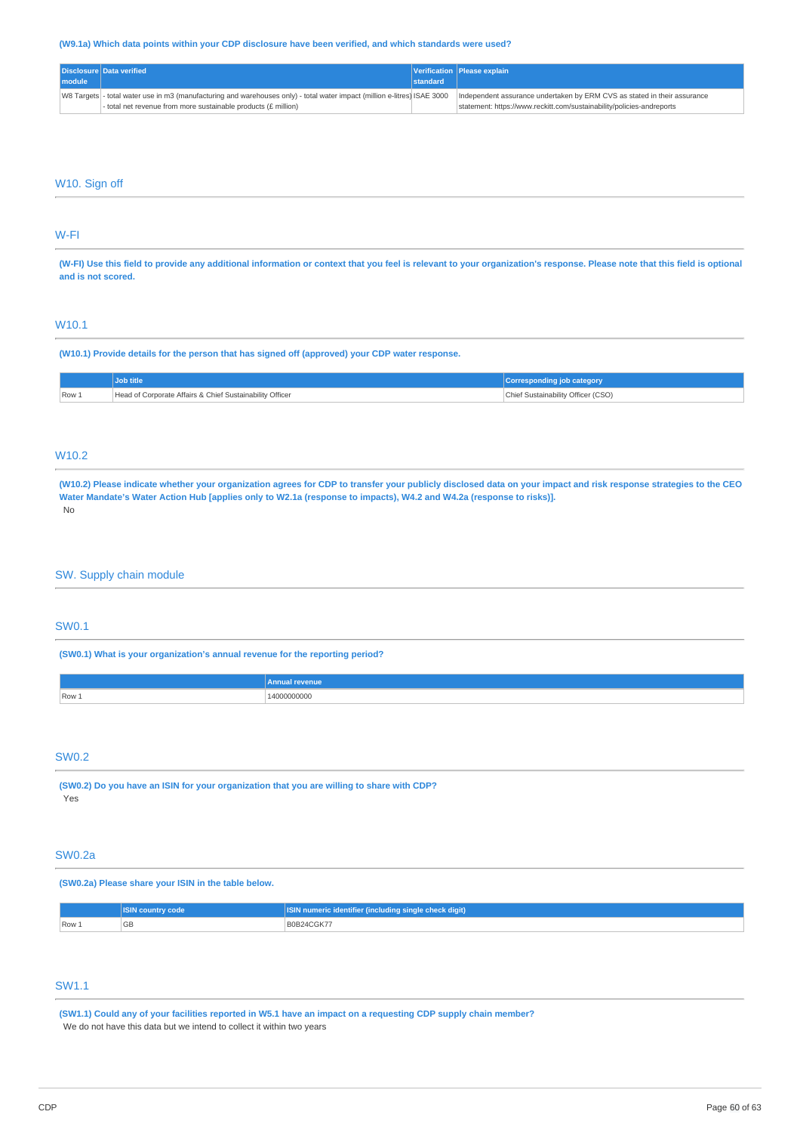# **(W9.1a) Which data points within your CDP disclosure have been verified, and which standards were used?**

|        | Disclosure Data verified                                                                                                 |          | Verification Please explain                                              |
|--------|--------------------------------------------------------------------------------------------------------------------------|----------|--------------------------------------------------------------------------|
| module |                                                                                                                          | standard |                                                                          |
|        | W8 Targets - total water use in m3 (manufacturing and warehouses only) - total water impact (million e-litres) ISAE 3000 |          | Independent assurance undertaken by ERM CVS as stated in their assurance |
|        | $\vert$ - total net revenue from more sustainable products (£ million)                                                   |          | statement: https://www.reckitt.com/sustainability/policies-andreports    |

# W10. Sign off

# W-FI

(W-FI) Use this field to provide any additional information or context that you feel is relevant to your organization's response. Please note that this field is optional **and is not scored.**

# W10.1

**(W10.1) Provide details for the person that has signed off (approved) your CDP water response.**

|       |                                                          | Corresponding job category         |
|-------|----------------------------------------------------------|------------------------------------|
| Row 1 | Head of Corporate Affairs & Chief Sustainability Officer | Chief Sustainability Officer (CSO) |

# W10.2

(W10.2) Please indicate whether your organization agrees for CDP to transfer your publicly disclosed data on your impact and risk response strategies to the CEO Water Mandate's Water Action Hub [applies only to W2.1a (response to impacts), W4.2 and W4.2a (response to risks)]. No

# SW. Supply chain module

# SW0.1

**(SW0.1) What is your organization's annual revenue for the reporting period?**

|                         | amm |
|-------------------------|-----|
| $\sqrt{$ Row $\sqrt{ }$ | .   |

# SW0.2

**(SW0.2) Do you have an ISIN for your organization that you are willing to share with CDP?** Yes

# SW0.2a

**(SW0.2a) Please share your ISIN in the table below.**

|                         | oat           | $\sim$<br>ı sinale check diait).<br><b>Alinciudina</b> |  |
|-------------------------|---------------|--------------------------------------------------------|--|
| $\sqrt{$ Row $\sqrt{ }$ | $\cap$<br>פטי |                                                        |  |

# SW1.1

(SW1.1) Could any of your facilities reported in W5.1 have an impact on a requesting CDP supply chain member? We do not have this data but we intend to collect it within two years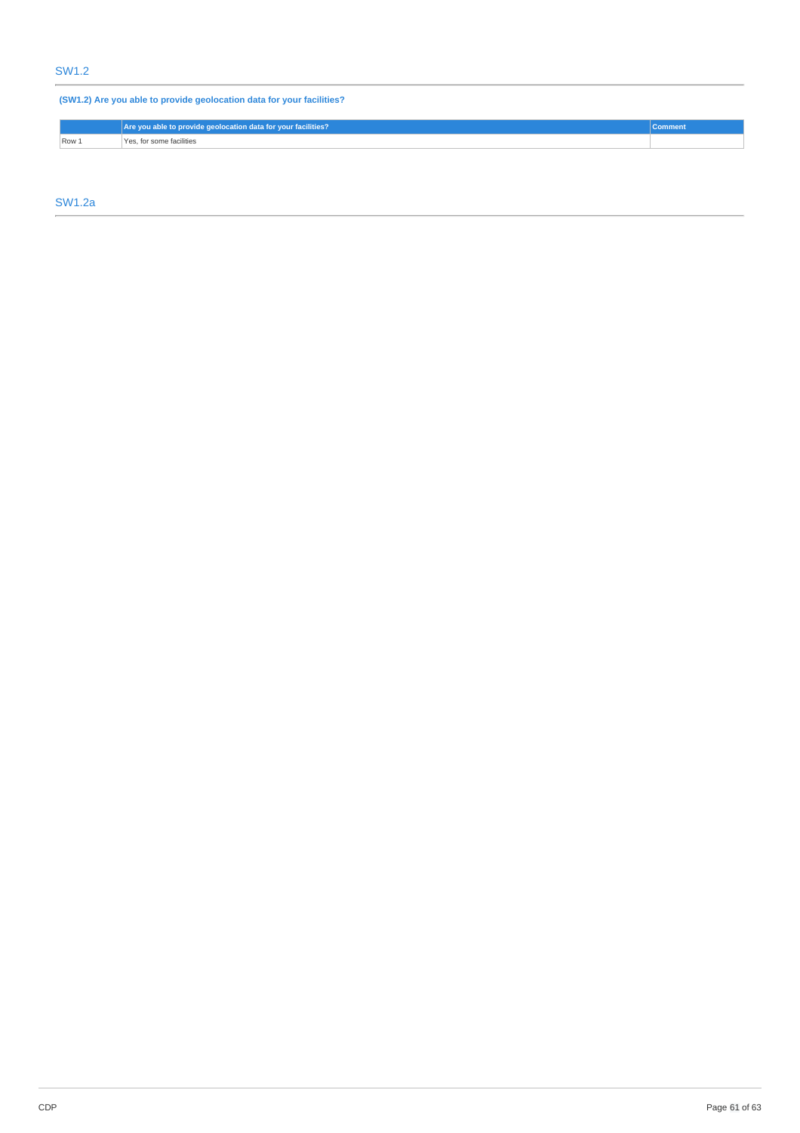# SW1.2

**(SW1.2) Are you able to provide geolocation data for your facilities?**

|       | Are you able to provide geolocation data for your facilities? | Commen |
|-------|---------------------------------------------------------------|--------|
| Row 1 | Yes, for some facilities                                      |        |

SW1.2a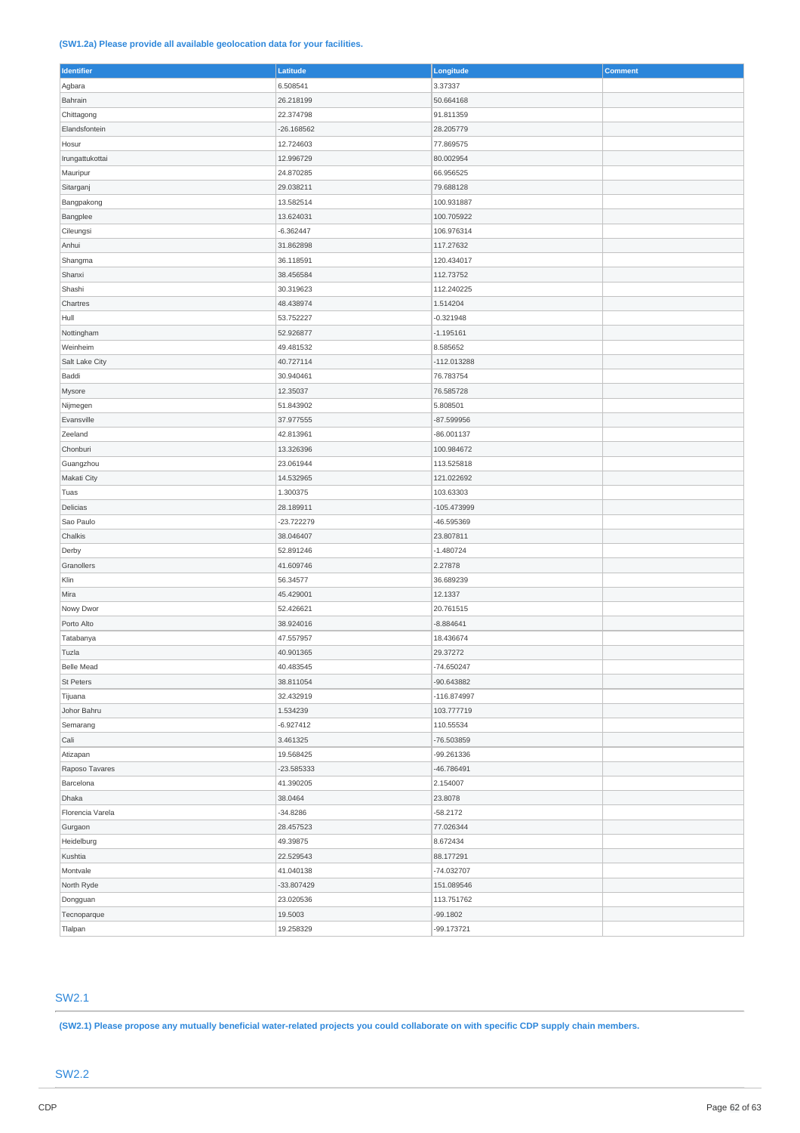# **(SW1.2a) Please provide all available geolocation data for your facilities.**

| Identifier       | Latitude     | Longitude     | Comment |
|------------------|--------------|---------------|---------|
| Agbara           | 6.508541     | 3.37337       |         |
| Bahrain          | 26.218199    | 50.664168     |         |
| Chittagong       | 22.374798    | 91.811359     |         |
| Elandsfontein    | $-26.168562$ | 28.205779     |         |
| Hosur            | 12.724603    | 77.869575     |         |
| Irungattukottai  | 12.996729    | 80.002954     |         |
| Mauripur         | 24.870285    | 66.956525     |         |
| Sitarganj        | 29.038211    | 79.688128     |         |
| Bangpakong       | 13.582514    | 100.931887    |         |
| Bangplee         | 13.624031    | 100.705922    |         |
| Cileungsi        | $-6.362447$  | 106.976314    |         |
| Anhui            | 31.862898    | 117.27632     |         |
| Shangma          | 36.118591    | 120.434017    |         |
| Shanxi           | 38.456584    | 112.73752     |         |
| Shashi           | 30.319623    | 112.240225    |         |
| Chartres         | 48.438974    | 1.514204      |         |
| Hull             | 53.752227    | $-0.321948$   |         |
| Nottingham       | 52.926877    | $-1.195161$   |         |
| Weinheim         | 49.481532    | 8.585652      |         |
|                  | 40.727114    | $-112.013288$ |         |
| Salt Lake City   |              |               |         |
| Baddi            | 30.940461    | 76.783754     |         |
| Mysore           | 12.35037     | 76.585728     |         |
| Nijmegen         | 51.843902    | 5.808501      |         |
| Evansville       | 37.977555    | -87.599956    |         |
| Zeeland          | 42.813961    | $-86.001137$  |         |
| Chonburi         | 13.326396    | 100.984672    |         |
| Guangzhou        | 23.061944    | 113.525818    |         |
| Makati City      | 14.532965    | 121.022692    |         |
| Tuas             | 1.300375     | 103.63303     |         |
| Delicias         | 28.189911    | $-105.473999$ |         |
| Sao Paulo        | -23.722279   | -46.595369    |         |
| Chalkis          | 38.046407    | 23.807811     |         |
| Derby            | 52.891246    | $-1.480724$   |         |
| Granollers       | 41.609746    | 2.27878       |         |
| Klin             | 56.34577     | 36.689239     |         |
| Mira             | 45.429001    | 12.1337       |         |
| Nowy Dwor        | 52.426621    | 20.761515     |         |
| Porto Alto       | 38.924016    | $-8.884641$   |         |
| Tatabanya        | 47.557957    | 18.436674     |         |
| Tuzla            | 40.901365    | 29.37272      |         |
| Belle Mead       | 40.483545    | -74.650247    |         |
| St Peters        | 38.811054    | -90.643882    |         |
| Tijuana          | 32.432919    | $-116.874997$ |         |
| Johor Bahru      | 1.534239     | 103.777719    |         |
| Semarang         | $-6.927412$  | 110.55534     |         |
| Cali             | 3.461325     | -76.503859    |         |
| Atizapan         | 19.568425    | -99.261336    |         |
| Raposo Tavares   | -23.585333   | $-46.786491$  |         |
| Barcelona        | 41.390205    | 2.154007      |         |
| Dhaka            | 38.0464      | 23.8078       |         |
| Florencia Varela | $-34.8286$   | $-58.2172$    |         |
|                  |              |               |         |
| Gurgaon          | 28.457523    | 77.026344     |         |
| Heidelburg       | 49.39875     | 8.672434      |         |
| Kushtia          | 22.529543    | 88.177291     |         |
| Montvale         | 41.040138    | -74.032707    |         |
| North Ryde       | -33.807429   | 151.089546    |         |
| Dongguan         | 23.020536    | 113.751762    |         |
| Tecnoparque      | 19.5003      | $-99.1802$    |         |
| Tlalpan          | 19.258329    | -99.173721    |         |

# SW2.1

(SW2.1) Please propose any mutually beneficial water-related projects you could collaborate on with specific CDP supply chain members.

# SW2.2